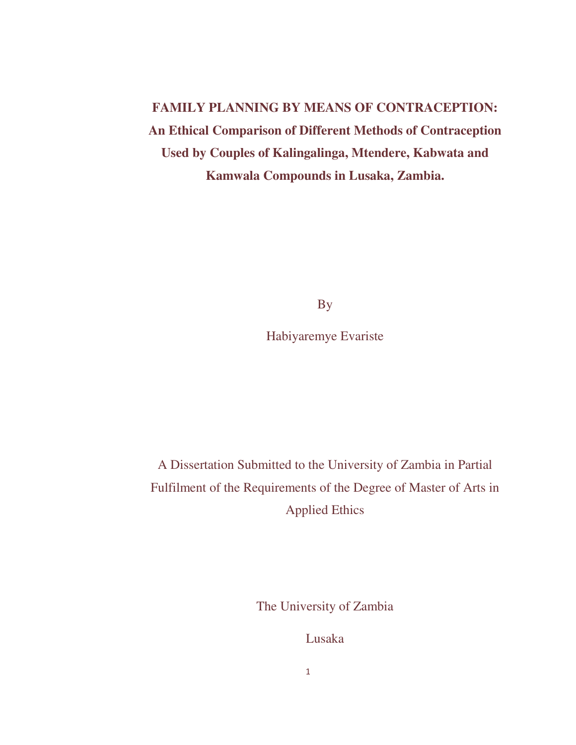**FAMILY PLANNING BY MEANS OF CONTRACEPTION: An Ethical Comparison of Different Methods of Contraception Used by Couples of Kalingalinga, Mtendere, Kabwata and Kamwala Compounds in Lusaka, Zambia.**

By

Habiyaremye Evariste

A Dissertation Submitted to the University of Zambia in Partial Fulfilment of the Requirements of the Degree of Master of Arts in Applied Ethics

The University of Zambia

Lusaka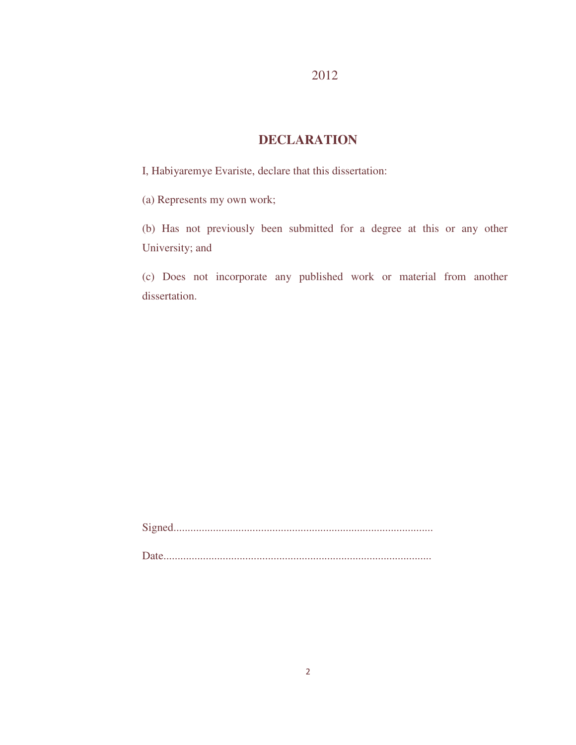# **DECLARATION**

I, Habiyaremye Evariste, declare that this dissertation:

(a) Represents my own work;

(b) Has not previously been submitted for a degree at this or any other University; and

(c) Does not incorporate any published work or material from another dissertation.

Signed............................................................................................ Date...............................................................................................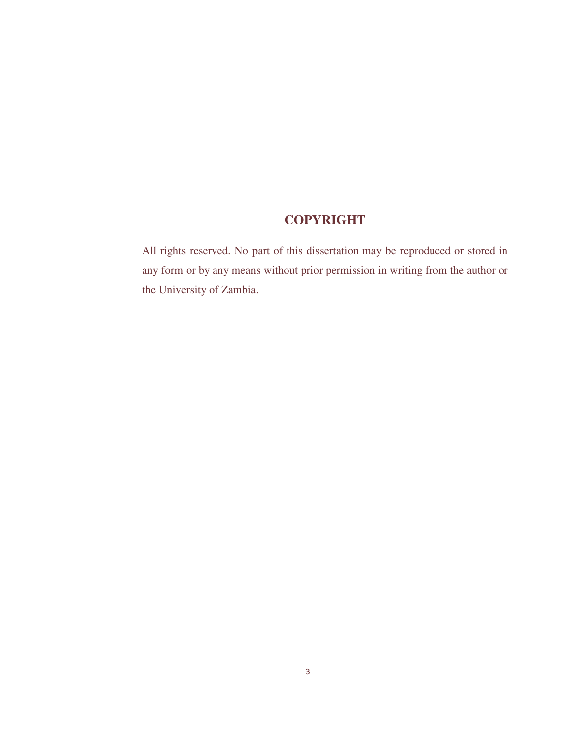# **COPYRIGHT**

All rights reserved. No part of this dissertation may be reproduced or stored in any form or by any means without prior permission in writing from the author or the University of Zambia.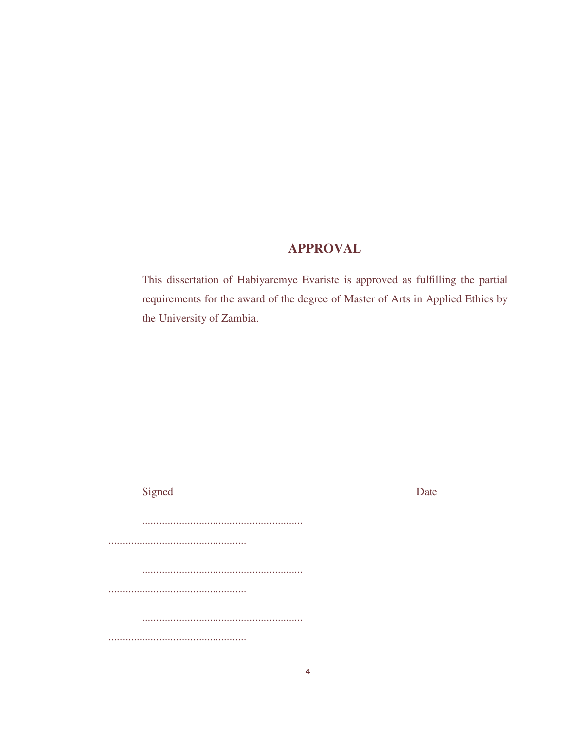# **APPROVAL**

This dissertation of Habiyaremye Evariste is approved as fulfilling the partial requirements for the award of the degree of Master of Arts in Applied Ethics by the University of Zambia.

| Signed | Date |
|--------|------|
|        |      |
|        |      |
|        |      |
|        |      |
|        |      |
|        |      |
|        |      |
|        |      |
|        |      |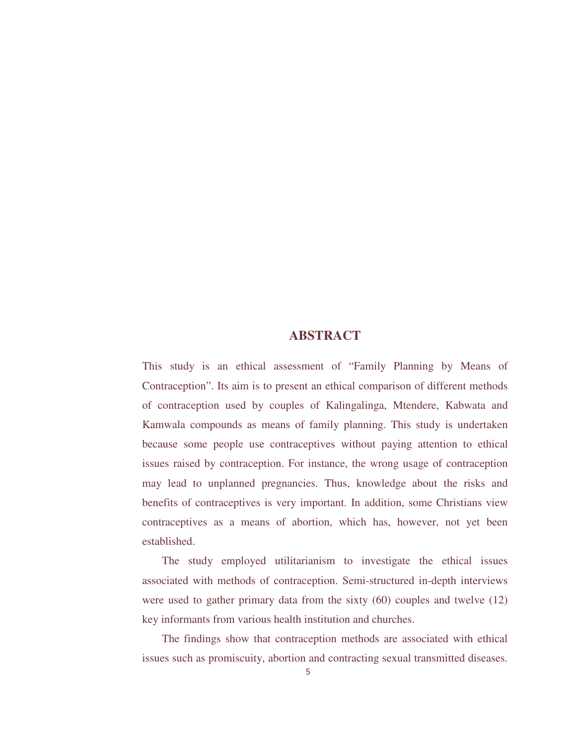# **ABSTRACT**

This study is an ethical assessment of "Family Planning by Means of Contraception". Its aim is to present an ethical comparison of different methods of contraception used by couples of Kalingalinga, Mtendere, Kabwata and Kamwala compounds as means of family planning. This study is undertaken because some people use contraceptives without paying attention to ethical issues raised by contraception. For instance, the wrong usage of contraception may lead to unplanned pregnancies. Thus, knowledge about the risks and benefits of contraceptives is very important. In addition, some Christians view contraceptives as a means of abortion, which has, however, not yet been established.

 The study employed utilitarianism to investigate the ethical issues associated with methods of contraception. Semi-structured in-depth interviews were used to gather primary data from the sixty (60) couples and twelve (12) key informants from various health institution and churches.

 The findings show that contraception methods are associated with ethical issues such as promiscuity, abortion and contracting sexual transmitted diseases.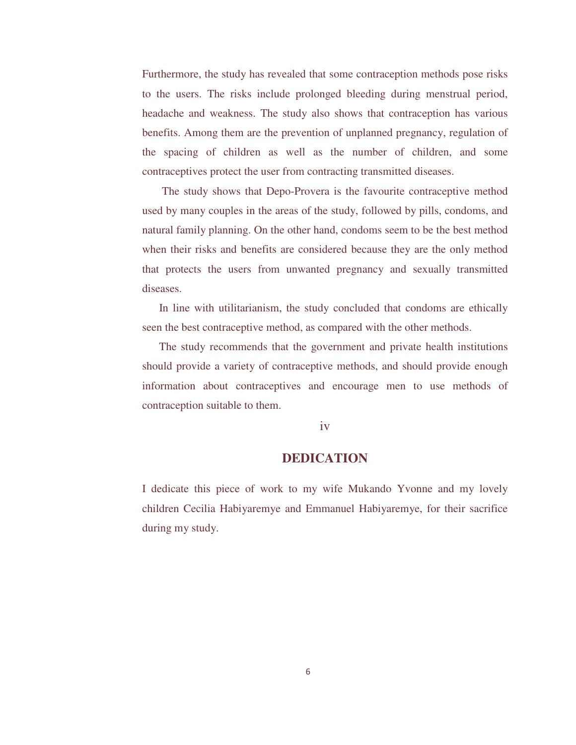Furthermore, the study has revealed that some contraception methods pose risks to the users. The risks include prolonged bleeding during menstrual period, headache and weakness. The study also shows that contraception has various benefits. Among them are the prevention of unplanned pregnancy, regulation of the spacing of children as well as the number of children, and some contraceptives protect the user from contracting transmitted diseases.

 The study shows that Depo-Provera is the favourite contraceptive method used by many couples in the areas of the study, followed by pills, condoms, and natural family planning. On the other hand, condoms seem to be the best method when their risks and benefits are considered because they are the only method that protects the users from unwanted pregnancy and sexually transmitted diseases.

 In line with utilitarianism, the study concluded that condoms are ethically seen the best contraceptive method, as compared with the other methods.

 The study recommends that the government and private health institutions should provide a variety of contraceptive methods, and should provide enough information about contraceptives and encourage men to use methods of contraception suitable to them.

## iv

# **DEDICATION**

I dedicate this piece of work to my wife Mukando Yvonne and my lovely children Cecilia Habiyaremye and Emmanuel Habiyaremye, for their sacrifice during my study.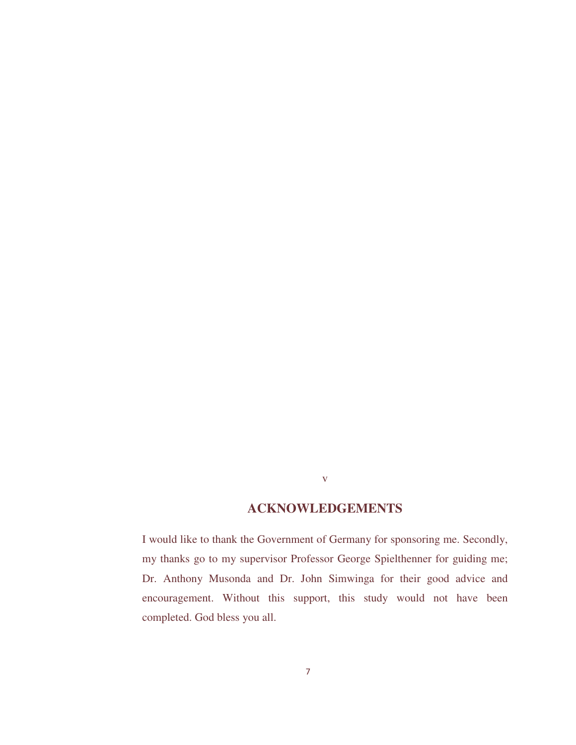# **ACKNOWLEDGEMENTS**

v

I would like to thank the Government of Germany for sponsoring me. Secondly, my thanks go to my supervisor Professor George Spielthenner for guiding me; Dr. Anthony Musonda and Dr. John Simwinga for their good advice and encouragement. Without this support, this study would not have been completed. God bless you all.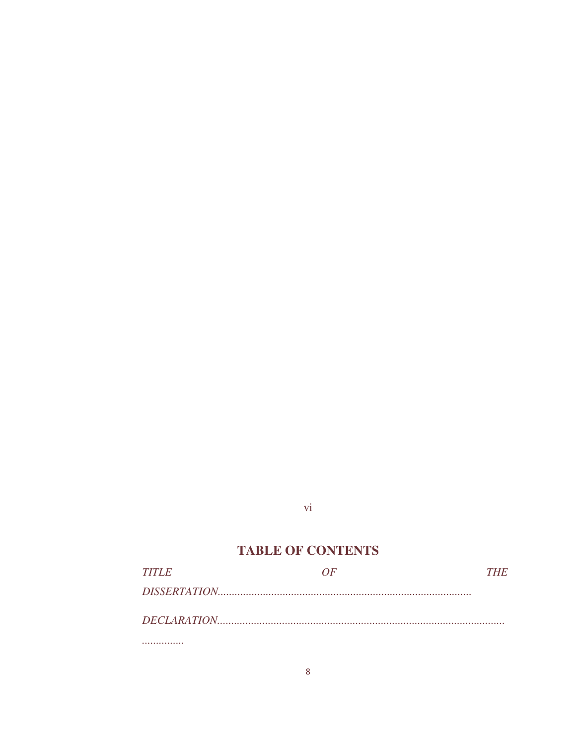# $\overline{vi}$

# **TABLE OF CONTENTS**

| <b>TITLE</b> | 7 I H | THE |
|--------------|-------|-----|
|              |       |     |
|              |       |     |
|              |       |     |
|              |       |     |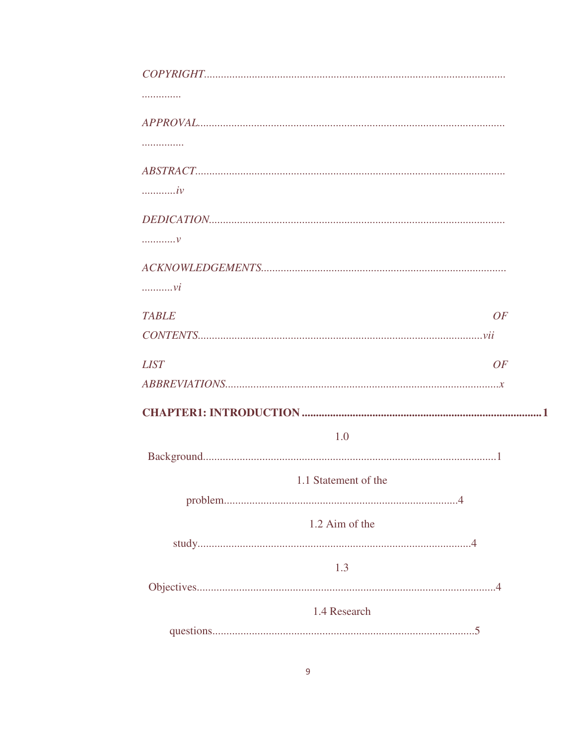| .                          |  |
|----------------------------|--|
|                            |  |
|                            |  |
|                            |  |
| $\dots \dots \dots iv$     |  |
|                            |  |
| $\ldots \ldots \ldots \nu$ |  |
|                            |  |
| $\ldots \ldots \nu i$      |  |
| <b>TABLE</b><br>OF         |  |
|                            |  |
| <b>LIST</b><br>OF          |  |
|                            |  |
|                            |  |
| 1.0                        |  |
|                            |  |
| 1.1 Statement of the       |  |
|                            |  |
| 1.2 Aim of the             |  |
|                            |  |
| 1.3                        |  |
| 1.4 Research               |  |
|                            |  |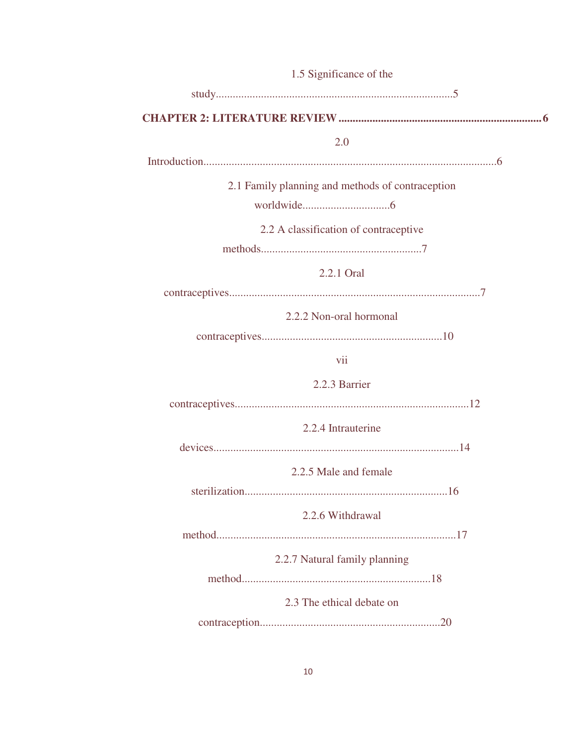| 1.5 Significance of the                          |
|--------------------------------------------------|
|                                                  |
|                                                  |
| 2.0                                              |
|                                                  |
| 2.1 Family planning and methods of contraception |
|                                                  |
| 2.2 A classification of contraceptive            |
|                                                  |
| 2.2.1 Oral                                       |
|                                                  |
| 2.2.2 Non-oral hormonal                          |
|                                                  |
| vii                                              |
| 2.2.3 Barrier                                    |
|                                                  |
| 2.2.4 Intrauterine                               |
|                                                  |
| 2.2.5 Male and female                            |
| 1 C                                              |
| 2.2.6 Withdrawal                                 |
|                                                  |
| 2.2.7 Natural family planning                    |
|                                                  |
| 2.3 The ethical debate on                        |
|                                                  |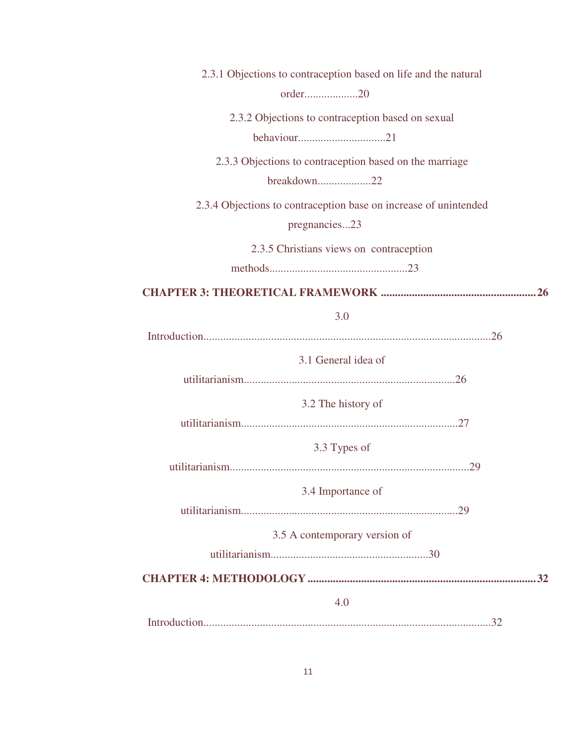| 2.3.1 Objections to contraception based on life and the natural  |
|------------------------------------------------------------------|
| order20                                                          |
| 2.3.2 Objections to contraception based on sexual                |
|                                                                  |
| 2.3.3 Objections to contraception based on the marriage          |
| breakdown22                                                      |
| 2.3.4 Objections to contraception base on increase of unintended |
| pregnancies23                                                    |
| 2.3.5 Christians views on contraception                          |
|                                                                  |
|                                                                  |
| 3.0                                                              |
|                                                                  |
| 3.1 General idea of                                              |
|                                                                  |
| 3.2 The history of                                               |
|                                                                  |
| 3.3 Types of                                                     |
|                                                                  |
| 3.4 Importance of                                                |
|                                                                  |
| 3.5 A contemporary version of                                    |
|                                                                  |
|                                                                  |
| 4.0                                                              |
|                                                                  |
|                                                                  |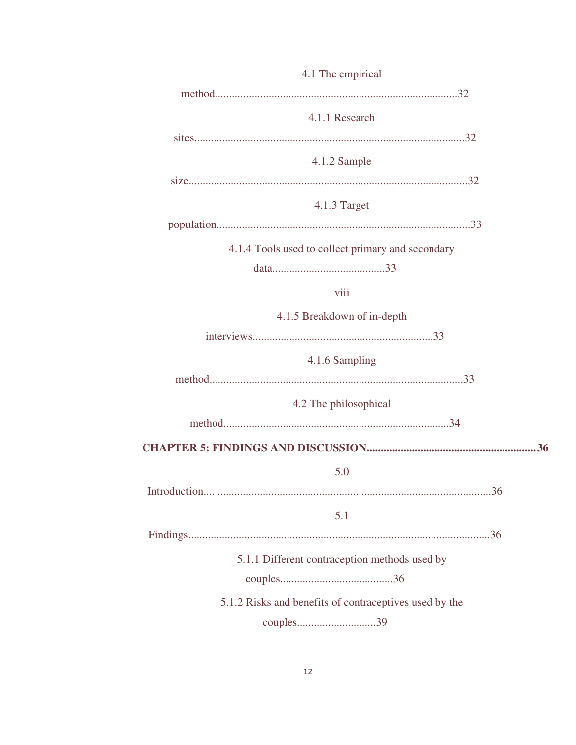| 4.1 The empirical                                      |
|--------------------------------------------------------|
|                                                        |
| 4.1.1 Research                                         |
|                                                        |
| 4.1.2 Sample                                           |
|                                                        |
| 4.1.3 Target                                           |
|                                                        |
| 4.1.4 Tools used to collect primary and secondary      |
|                                                        |
| viii                                                   |
| 4.1.5 Breakdown of in-depth                            |
|                                                        |
| 4.1.6 Sampling                                         |
|                                                        |
| 4.2 The philosophical                                  |
|                                                        |
|                                                        |
| 5.0                                                    |
| 36<br>Introduction                                     |
| 5.1                                                    |
|                                                        |
| 5.1.1 Different contraception methods used by          |
|                                                        |
| 5.1.2 Risks and benefits of contraceptives used by the |
|                                                        |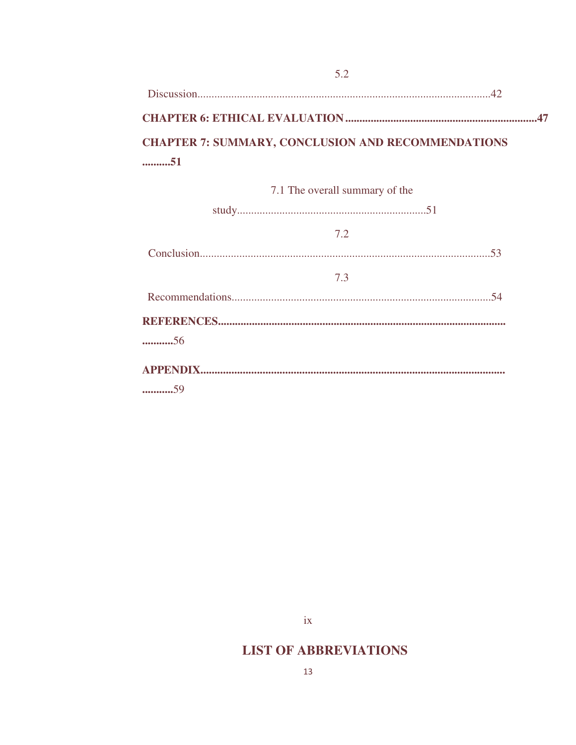| <b>CHAPTER 7: SUMMARY, CONCLUSION AND RECOMMENDATIONS</b> |  |
|-----------------------------------------------------------|--|
|                                                           |  |
| 7.1 The overall summary of the                            |  |

 $5.2$ 

| $\frac{1}{1}$ and overall summary of the |     |  |
|------------------------------------------|-----|--|
|                                          |     |  |
|                                          | 7.2 |  |
|                                          |     |  |
|                                          | 7.3 |  |
|                                          |     |  |
|                                          |     |  |
| 56                                       |     |  |
|                                          |     |  |
| 59                                       |     |  |

 $i**x**$ 

# **LIST OF ABBREVIATIONS**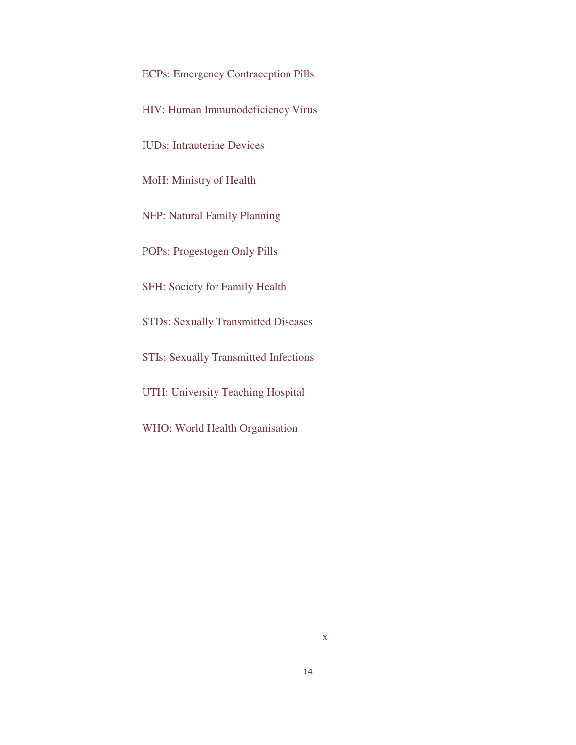ECPs: Emergency Contraception Pills

HIV: Human Immunodeficiency Virus

IUDs: Intrauterine Devices

MoH: Ministry of Health

NFP: Natural Family Planning

POPs: Progestogen Only Pills

SFH: Society for Family Health

STDs: Sexually Transmitted Diseases

STIs: Sexually Transmitted Infections

UTH: University Teaching Hospital

WHO: World Health Organisation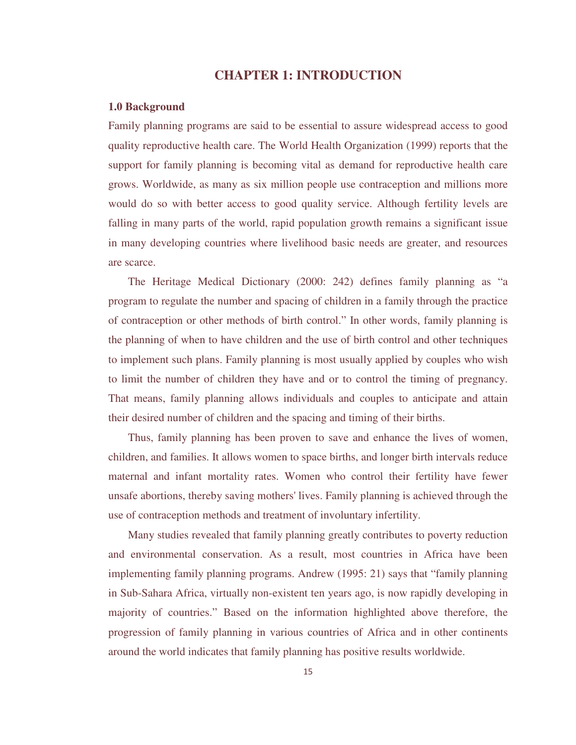## **CHAPTER 1: INTRODUCTION**

#### **1.0 Background**

Family planning programs are said to be essential to assure widespread access to good quality reproductive health care. The World Health Organization (1999) reports that the support for family planning is becoming vital as demand for reproductive health care grows. Worldwide, as many as six million people use contraception and millions more would do so with better access to good quality service. Although fertility levels are falling in many parts of the world, rapid population growth remains a significant issue in many developing countries where livelihood basic needs are greater, and resources are scarce.

 The Heritage Medical Dictionary (2000: 242) defines family planning as "a program to regulate the number and spacing of children in a family through the practice of contraception or other methods of birth control." In other words, family planning is the planning of when to have children and the use of birth control and other techniques to implement such plans. Family planning is most usually applied by couples who wish to limit the number of children they have and or to control the timing of pregnancy. That means, family planning allows individuals and couples to anticipate and attain their desired number of children and the spacing and timing of their births.

 Thus, family planning has been proven to save and enhance the lives of women, children, and families. It allows women to space births, and longer birth intervals reduce maternal and infant mortality rates. Women who control their fertility have fewer unsafe abortions, thereby saving mothers' lives. Family planning is achieved through the use of contraception methods and treatment of involuntary infertility.

 Many studies revealed that family planning greatly contributes to poverty reduction and environmental conservation. As a result, most countries in Africa have been implementing family planning programs. Andrew (1995: 21) says that "family planning in Sub-Sahara Africa, virtually non-existent ten years ago, is now rapidly developing in majority of countries." Based on the information highlighted above therefore, the progression of family planning in various countries of Africa and in other continents around the world indicates that family planning has positive results worldwide.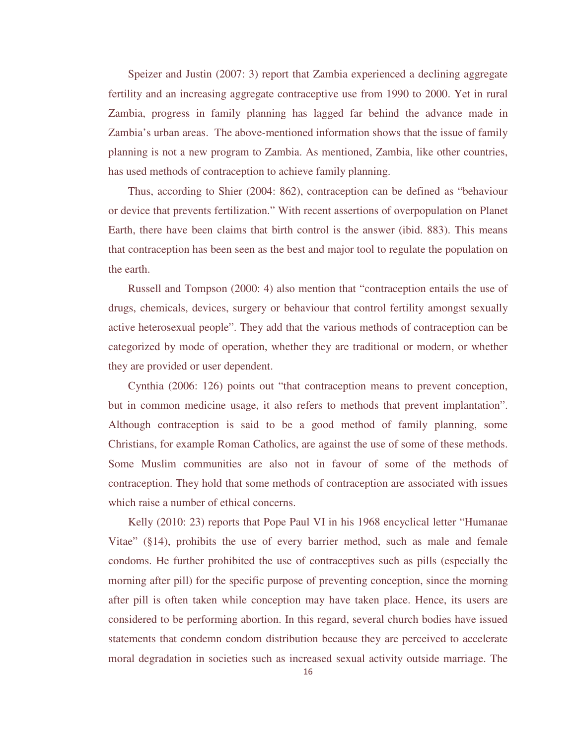Speizer and Justin (2007: 3) report that Zambia experienced a declining aggregate fertility and an increasing aggregate contraceptive use from 1990 to 2000. Yet in rural Zambia, progress in family planning has lagged far behind the advance made in Zambia's urban areas. The above-mentioned information shows that the issue of family planning is not a new program to Zambia. As mentioned, Zambia, like other countries, has used methods of contraception to achieve family planning.

Thus, according to Shier (2004: 862), contraception can be defined as "behaviour or device that prevents fertilization." With recent assertions of overpopulation on Planet Earth, there have been claims that birth control is the answer (ibid. 883). This means that contraception has been seen as the best and major tool to regulate the population on the earth.

 Russell and Tompson (2000: 4) also mention that "contraception entails the use of drugs, chemicals, devices, surgery or behaviour that control fertility amongst sexually active heterosexual people". They add that the various methods of contraception can be categorized by mode of operation, whether they are traditional or modern, or whether they are provided or user dependent.

 Cynthia (2006: 126) points out "that contraception means to prevent conception, but in common medicine usage, it also refers to methods that prevent implantation". Although contraception is said to be a good method of family planning, some Christians, for example Roman Catholics, are against the use of some of these methods. Some Muslim communities are also not in favour of some of the methods of contraception. They hold that some methods of contraception are associated with issues which raise a number of ethical concerns.

 Kelly (2010: 23) reports that Pope Paul VI in his 1968 encyclical letter "Humanae Vitae" (§14), prohibits the use of every barrier method, such as male and female condoms. He further prohibited the use of contraceptives such as pills (especially the morning after pill) for the specific purpose of preventing conception, since the morning after pill is often taken while conception may have taken place. Hence, its users are considered to be performing abortion. In this regard, several church bodies have issued statements that condemn condom distribution because they are perceived to accelerate moral degradation in societies such as increased sexual activity outside marriage. The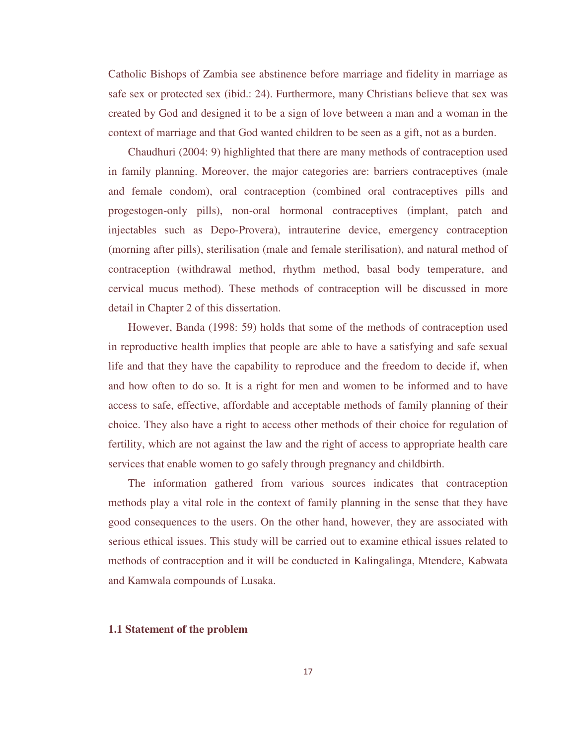Catholic Bishops of Zambia see abstinence before marriage and fidelity in marriage as safe sex or protected sex (ibid.: 24). Furthermore, many Christians believe that sex was created by God and designed it to be a sign of love between a man and a woman in the context of marriage and that God wanted children to be seen as a gift, not as a burden.

 Chaudhuri (2004: 9) highlighted that there are many methods of contraception used in family planning. Moreover, the major categories are: barriers contraceptives (male and female condom), oral contraception (combined oral contraceptives pills and progestogen-only pills), non-oral hormonal contraceptives (implant, patch and injectables such as Depo-Provera), intrauterine device, emergency contraception (morning after pills), sterilisation (male and female sterilisation), and natural method of contraception (withdrawal method, rhythm method, basal body temperature, and cervical mucus method). These methods of contraception will be discussed in more detail in Chapter 2 of this dissertation.

 However, Banda (1998: 59) holds that some of the methods of contraception used in reproductive health implies that people are able to have a satisfying and safe sexual life and that they have the capability to reproduce and the freedom to decide if, when and how often to do so. It is a right for men and women to be informed and to have access to safe, effective, affordable and acceptable methods of family planning of their choice. They also have a right to access other methods of their choice for regulation of fertility, which are not against the law and the right of access to appropriate health care services that enable women to go safely through pregnancy and childbirth.

 The information gathered from various sources indicates that contraception methods play a vital role in the context of family planning in the sense that they have good consequences to the users. On the other hand, however, they are associated with serious ethical issues. This study will be carried out to examine ethical issues related to methods of contraception and it will be conducted in Kalingalinga, Mtendere, Kabwata and Kamwala compounds of Lusaka.

### **1.1 Statement of the problem**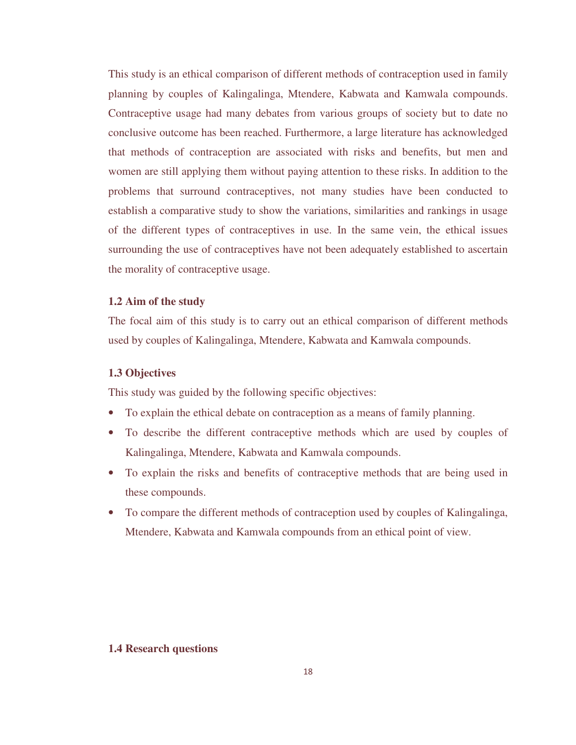This study is an ethical comparison of different methods of contraception used in family planning by couples of Kalingalinga, Mtendere, Kabwata and Kamwala compounds. Contraceptive usage had many debates from various groups of society but to date no conclusive outcome has been reached. Furthermore, a large literature has acknowledged that methods of contraception are associated with risks and benefits, but men and women are still applying them without paying attention to these risks. In addition to the problems that surround contraceptives, not many studies have been conducted to establish a comparative study to show the variations, similarities and rankings in usage of the different types of contraceptives in use. In the same vein, the ethical issues surrounding the use of contraceptives have not been adequately established to ascertain the morality of contraceptive usage.

### **1.2 Aim of the study**

The focal aim of this study is to carry out an ethical comparison of different methods used by couples of Kalingalinga, Mtendere, Kabwata and Kamwala compounds.

### **1.3 Objectives**

This study was guided by the following specific objectives:

- To explain the ethical debate on contraception as a means of family planning.
- To describe the different contraceptive methods which are used by couples of Kalingalinga, Mtendere, Kabwata and Kamwala compounds.
- To explain the risks and benefits of contraceptive methods that are being used in these compounds.
- To compare the different methods of contraception used by couples of Kalingalinga, Mtendere, Kabwata and Kamwala compounds from an ethical point of view.

## **1.4 Research questions**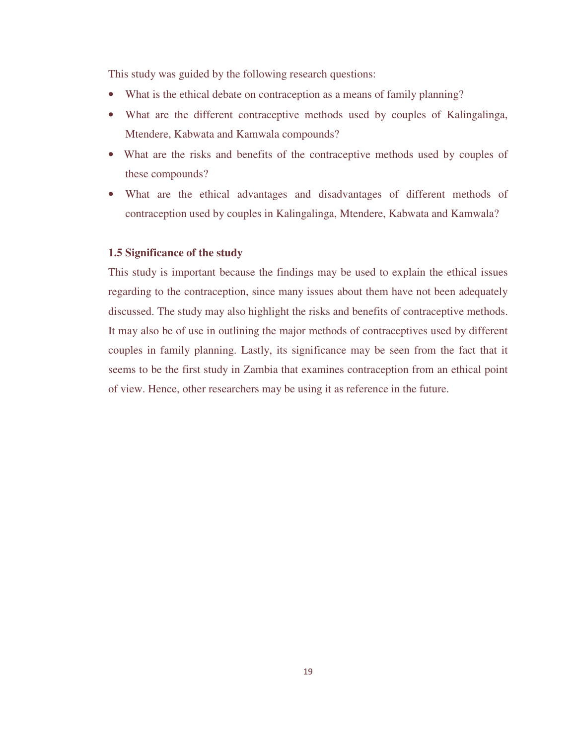This study was guided by the following research questions:

- What is the ethical debate on contraception as a means of family planning?
- What are the different contraceptive methods used by couples of Kalingalinga, Mtendere, Kabwata and Kamwala compounds?
- What are the risks and benefits of the contraceptive methods used by couples of these compounds?
- What are the ethical advantages and disadvantages of different methods of contraception used by couples in Kalingalinga, Mtendere, Kabwata and Kamwala?

## **1.5 Significance of the study**

This study is important because the findings may be used to explain the ethical issues regarding to the contraception, since many issues about them have not been adequately discussed. The study may also highlight the risks and benefits of contraceptive methods. It may also be of use in outlining the major methods of contraceptives used by different couples in family planning. Lastly, its significance may be seen from the fact that it seems to be the first study in Zambia that examines contraception from an ethical point of view. Hence, other researchers may be using it as reference in the future.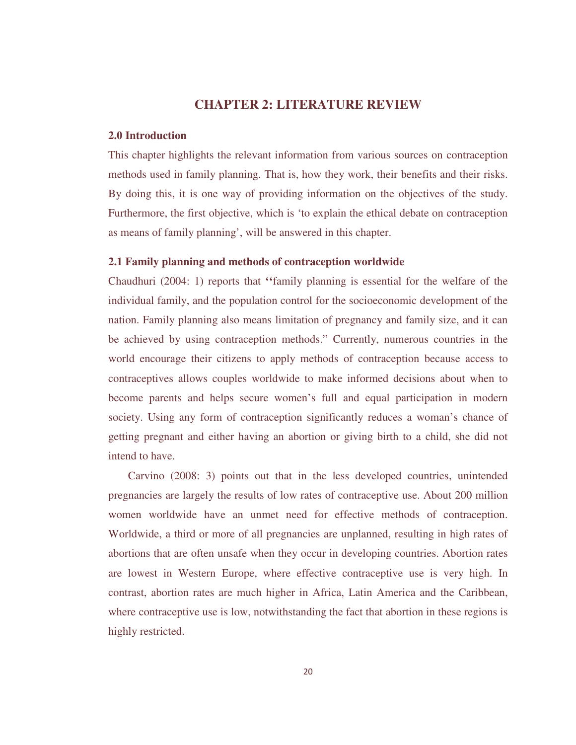# **CHAPTER 2: LITERATURE REVIEW**

### **2.0 Introduction**

This chapter highlights the relevant information from various sources on contraception methods used in family planning. That is, how they work, their benefits and their risks. By doing this, it is one way of providing information on the objectives of the study. Furthermore, the first objective, which is 'to explain the ethical debate on contraception as means of family planning', will be answered in this chapter.

## **2.1 Family planning and methods of contraception worldwide**

Chaudhuri (2004: 1) reports that **''**family planning is essential for the welfare of the individual family, and the population control for the socioeconomic development of the nation. Family planning also means limitation of pregnancy and family size, and it can be achieved by using contraception methods." Currently, numerous countries in the world encourage their citizens to apply methods of contraception because access to contraceptives allows couples worldwide to make informed decisions about when to become parents and helps secure women's full and equal participation in modern society. Using any form of contraception significantly reduces a woman's chance of getting pregnant and either having an abortion or giving birth to a child, she did not intend to have.

 Carvino (2008: 3) points out that in the less developed countries, unintended pregnancies are largely the results of low rates of contraceptive use. About 200 million women worldwide have an unmet need for effective methods of contraception. Worldwide, a third or more of all pregnancies are unplanned, resulting in high rates of abortions that are often unsafe when they occur in developing countries. Abortion rates are lowest in Western Europe, where effective contraceptive use is very high. In contrast, abortion rates are much higher in Africa, Latin America and the Caribbean, where contraceptive use is low, notwithstanding the fact that abortion in these regions is highly restricted.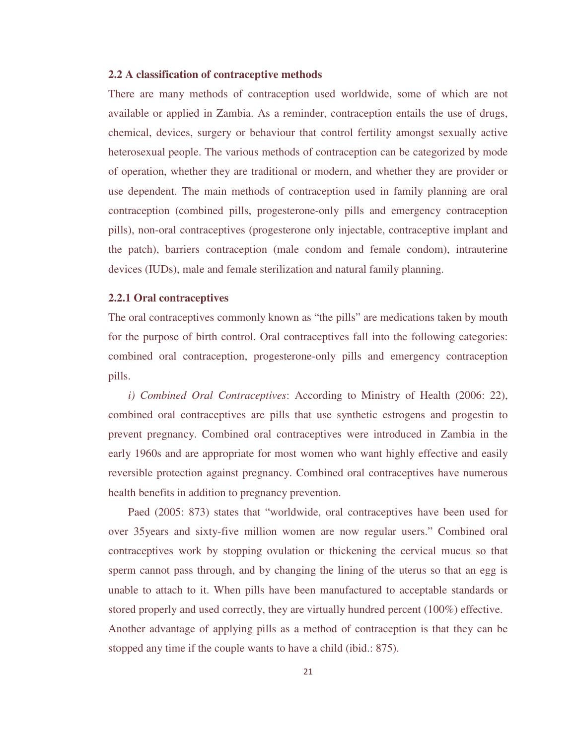### **2.2 A classification of contraceptive methods**

There are many methods of contraception used worldwide, some of which are not available or applied in Zambia. As a reminder, contraception entails the use of drugs, chemical, devices, surgery or behaviour that control fertility amongst sexually active heterosexual people. The various methods of contraception can be categorized by mode of operation, whether they are traditional or modern, and whether they are provider or use dependent. The main methods of contraception used in family planning are oral contraception (combined pills, progesterone-only pills and emergency contraception pills), non-oral contraceptives (progesterone only injectable, contraceptive implant and the patch), barriers contraception (male condom and female condom), intrauterine devices (IUDs), male and female sterilization and natural family planning.

### **2.2.1 Oral contraceptives**

The oral contraceptives commonly known as "the pills" are medications taken by mouth for the purpose of birth control. Oral contraceptives fall into the following categories: combined oral contraception, progesterone-only pills and emergency contraception pills.

 *i) Combined Oral Contraceptives*: According to Ministry of Health (2006: 22), combined oral contraceptives are pills that use synthetic estrogens and progestin to prevent pregnancy. Combined oral contraceptives were introduced in Zambia in the early 1960s and are appropriate for most women who want highly effective and easily reversible protection against pregnancy. Combined oral contraceptives have numerous health benefits in addition to pregnancy prevention.

 Paed (2005: 873) states that "worldwide, oral contraceptives have been used for over 35years and sixty-five million women are now regular users." Combined oral contraceptives work by stopping ovulation or thickening the cervical mucus so that sperm cannot pass through, and by changing the lining of the uterus so that an egg is unable to attach to it. When pills have been manufactured to acceptable standards or stored properly and used correctly, they are virtually hundred percent (100%) effective. Another advantage of applying pills as a method of contraception is that they can be stopped any time if the couple wants to have a child (ibid.: 875).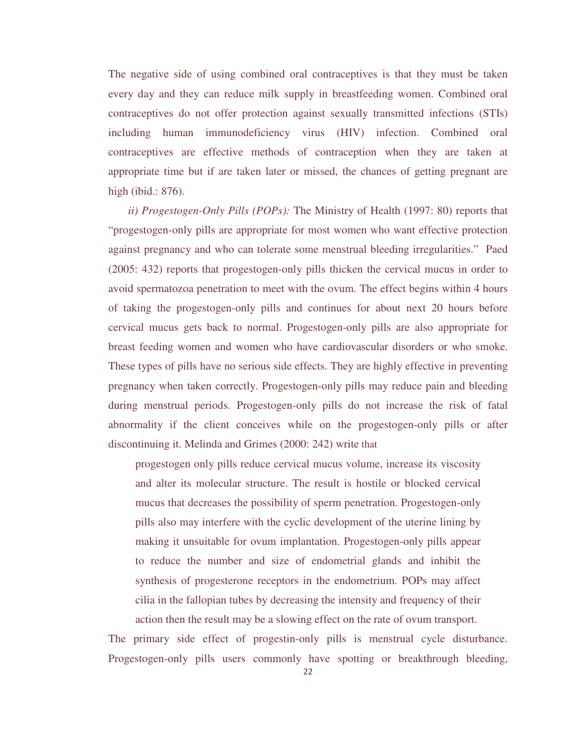The negative side of using combined oral contraceptives is that they must be taken every day and they can reduce milk supply in breastfeeding women. Combined oral contraceptives do not offer protection against sexually transmitted infections (STIs) including human immunodeficiency virus (HIV) infection. Combined oral contraceptives are effective methods of contraception when they are taken at appropriate time but if are taken later or missed, the chances of getting pregnant are high (ibid.: 876).

 *ii) Progestogen-Only Pills (POPs):* The Ministry of Health (1997: 80) reports that "progestogen-only pills are appropriate for most women who want effective protection against pregnancy and who can tolerate some menstrual bleeding irregularities." Paed (2005: 432) reports that progestogen-only pills thicken the cervical mucus in order to avoid spermatozoa penetration to meet with the ovum. The effect begins within 4 hours of taking the progestogen-only pills and continues for about next 20 hours before cervical mucus gets back to normal. Progestogen-only pills are also appropriate for breast feeding women and women who have cardiovascular disorders or who smoke. These types of pills have no serious side effects. They are highly effective in preventing pregnancy when taken correctly. Progestogen-only pills may reduce pain and bleeding during menstrual periods. Progestogen-only pills do not increase the risk of fatal abnormality if the client conceives while on the progestogen-only pills or after discontinuing it. Melinda and Grimes (2000: 242) write that

progestogen only pills reduce cervical mucus volume, increase its viscosity and alter its molecular structure. The result is hostile or blocked cervical mucus that decreases the possibility of sperm penetration. Progestogen-only pills also may interfere with the cyclic development of the uterine lining by making it unsuitable for ovum implantation. Progestogen-only pills appear to reduce the number and size of endometrial glands and inhibit the synthesis of progesterone receptors in the endometrium. POPs may affect cilia in the fallopian tubes by decreasing the intensity and frequency of their action then the result may be a slowing effect on the rate of ovum transport.

The primary side effect of progestin-only pills is menstrual cycle disturbance. Progestogen-only pills users commonly have spotting or breakthrough bleeding,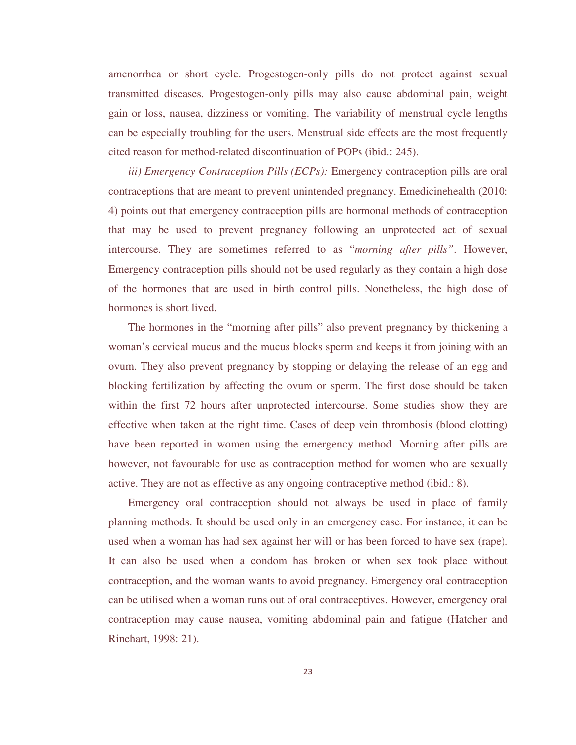amenorrhea or short cycle. Progestogen-only pills do not protect against sexual transmitted diseases. Progestogen-only pills may also cause abdominal pain, weight gain or loss, nausea, dizziness or vomiting. The variability of menstrual cycle lengths can be especially troubling for the users. Menstrual side effects are the most frequently cited reason for method-related discontinuation of POPs (ibid.: 245).

 *iii) Emergency Contraception Pills (ECPs):* Emergency contraception pills are oral contraceptions that are meant to prevent unintended pregnancy. Emedicinehealth (2010: 4) points out that emergency contraception pills are hormonal methods of contraception that may be used to prevent pregnancy following an unprotected act of sexual intercourse. They are sometimes referred to as "*morning after pills"*. However, Emergency contraception pills should not be used regularly as they contain a high dose of the hormones that are used in birth control pills. Nonetheless, the high dose of hormones is short lived.

 The hormones in the "morning after pills" also prevent pregnancy by thickening a woman's cervical mucus and the mucus blocks sperm and keeps it from joining with an ovum. They also prevent pregnancy by stopping or delaying the release of an egg and blocking fertilization by affecting the ovum or sperm. The first dose should be taken within the first 72 hours after unprotected intercourse. Some studies show they are effective when taken at the right time. Cases of deep vein thrombosis (blood clotting) have been reported in women using the emergency method. Morning after pills are however, not favourable for use as contraception method for women who are sexually active. They are not as effective as any ongoing contraceptive method (ibid.: 8).

 Emergency oral contraception should not always be used in place of family planning methods. It should be used only in an emergency case. For instance, it can be used when a woman has had sex against her will or has been forced to have sex (rape). It can also be used when a condom has broken or when sex took place without contraception, and the woman wants to avoid pregnancy. Emergency oral contraception can be utilised when a woman runs out of oral contraceptives. However, emergency oral contraception may cause nausea, vomiting abdominal pain and fatigue (Hatcher and Rinehart, 1998: 21).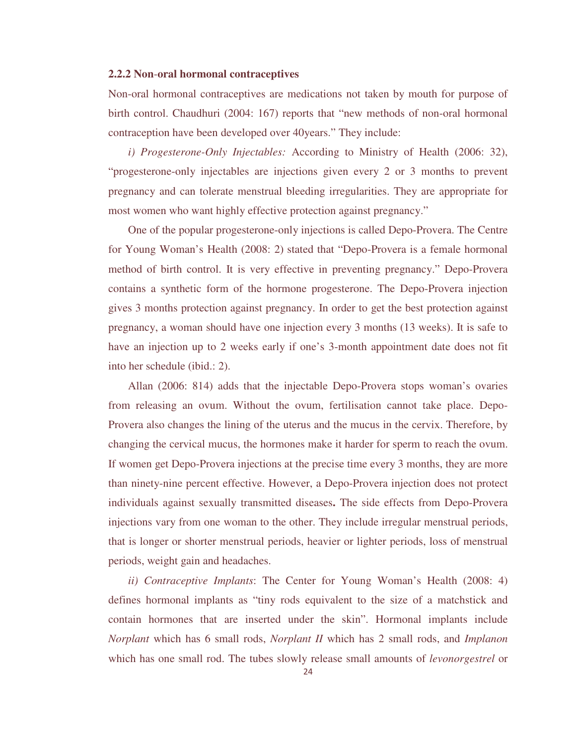### **2.2.2 Non**-**oral hormonal contraceptives**

Non-oral hormonal contraceptives are medications not taken by mouth for purpose of birth control. Chaudhuri (2004: 167) reports that "new methods of non-oral hormonal contraception have been developed over 40years." They include:

 *i) Progesterone-Only Injectables:* According to Ministry of Health (2006: 32), "progesterone-only injectables are injections given every 2 or 3 months to prevent pregnancy and can tolerate menstrual bleeding irregularities. They are appropriate for most women who want highly effective protection against pregnancy."

One of the popular progesterone-only injections is called Depo-Provera. The Centre for Young Woman's Health (2008: 2) stated that "Depo-Provera is a female hormonal method of birth control. It is very effective in preventing pregnancy." Depo-Provera contains a synthetic form of the hormone progesterone. The Depo-Provera injection gives 3 months protection against pregnancy. In order to get the best protection against pregnancy, a woman should have one injection every 3 months (13 weeks). It is safe to have an injection up to 2 weeks early if one's 3-month appointment date does not fit into her schedule (ibid.: 2).

 Allan (2006: 814) adds that the injectable Depo-Provera stops woman's ovaries from releasing an ovum. Without the ovum, fertilisation cannot take place. Depo-Provera also changes the lining of the uterus and the mucus in the cervix. Therefore, by changing the cervical mucus, the hormones make it harder for sperm to reach the ovum. If women get Depo-Provera injections at the precise time every 3 months, they are more than ninety-nine percent effective. However, a Depo-Provera injection does not protect individuals against sexually transmitted diseases**.** The side effects from Depo-Provera injections vary from one woman to the other. They include irregular menstrual periods, that is longer or shorter menstrual periods, heavier or lighter periods, loss of menstrual periods, weight gain and headaches.

 *ii) Contraceptive Implants*: The Center for Young Woman's Health (2008: 4) defines hormonal implants as "tiny rods equivalent to the size of a matchstick and contain hormones that are inserted under the skin". Hormonal implants include *Norplant* which has 6 small rods, *Norplant II* which has 2 small rods, and *Implanon* which has one small rod. The tubes slowly release small amounts of *levonorgestrel* or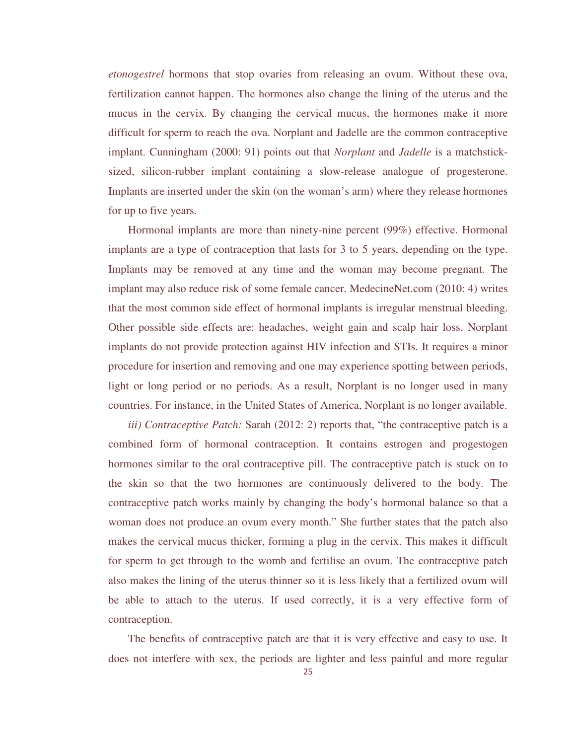*etonogestrel* hormons that stop ovaries from releasing an ovum. Without these ova, fertilization cannot happen. The hormones also change the lining of the uterus and the mucus in the cervix. By changing the cervical mucus, the hormones make it more difficult for sperm to reach the ova. Norplant and Jadelle are the common contraceptive implant. Cunningham (2000: 91) points out that *Norplant* and *Jadelle* is a matchsticksized, silicon-rubber implant containing a slow-release analogue of progesterone. Implants are inserted under the skin (on the woman's arm) where they release hormones for up to five years.

 Hormonal implants are more than ninety-nine percent (99%) effective. Hormonal implants are a type of contraception that lasts for 3 to 5 years, depending on the type. Implants may be removed at any time and the woman may become pregnant. The implant may also reduce risk of some female cancer. MedecineNet.com (2010: 4) writes that the most common side effect of hormonal implants is irregular menstrual bleeding. Other possible side effects are: headaches, weight gain and scalp hair loss. Norplant implants do not provide protection against HIV infection and STIs. It requires a minor procedure for insertion and removing and one may experience spotting between periods, light or long period or no periods. As a result, Norplant is no longer used in many countries. For instance, in the United States of America, Norplant is no longer available.

*iii) Contraceptive Patch:* Sarah (2012: 2) reports that, "the contraceptive patch is a combined form of hormonal contraception. It contains estrogen and progestogen hormones similar to the oral contraceptive pill. The contraceptive patch is stuck on to the skin so that the two hormones are continuously delivered to the body. The contraceptive patch works mainly by changing the body's hormonal balance so that a woman does not produce an ovum every month." She further states that the patch also makes the cervical mucus thicker, forming a plug in the cervix. This makes it difficult for sperm to get through to the womb and fertilise an ovum. The contraceptive patch also makes the lining of the uterus thinner so it is less likely that a fertilized ovum will be able to attach to the uterus. If used correctly, it is a very effective form of contraception.

 The benefits of contraceptive patch are that it is very effective and easy to use. It does not interfere with sex, the periods are lighter and less painful and more regular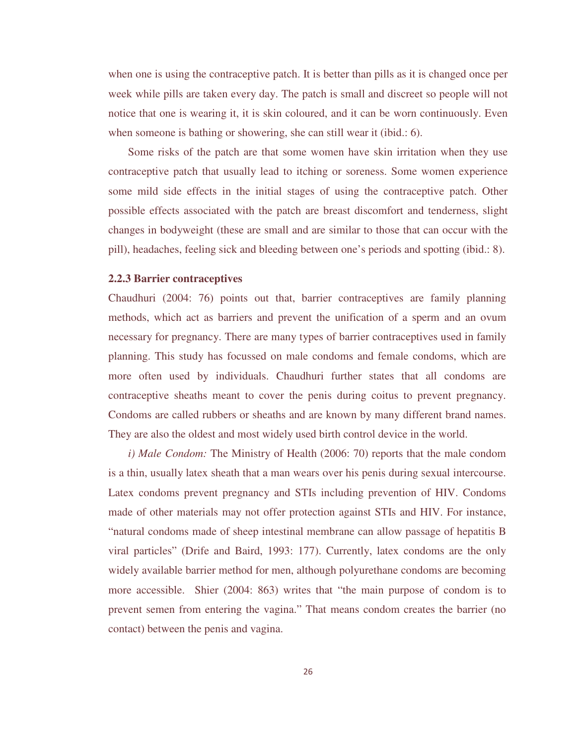when one is using the contraceptive patch. It is better than pills as it is changed once per week while pills are taken every day. The patch is small and discreet so people will not notice that one is wearing it, it is skin coloured, and it can be worn continuously. Even when someone is bathing or showering, she can still wear it (ibid.: 6).

 Some risks of the patch are that some women have skin irritation when they use contraceptive patch that usually lead to itching or soreness. Some women experience some mild side effects in the initial stages of using the contraceptive patch. Other possible effects associated with the patch are breast discomfort and tenderness, slight changes in bodyweight (these are small and are similar to those that can occur with the pill), headaches, feeling sick and bleeding between one's periods and spotting (ibid.: 8).

### **2.2.3 Barrier contraceptives**

Chaudhuri (2004: 76) points out that, barrier contraceptives are family planning methods, which act as barriers and prevent the unification of a sperm and an ovum necessary for pregnancy. There are many types of barrier contraceptives used in family planning. This study has focussed on male condoms and female condoms, which are more often used by individuals. Chaudhuri further states that all condoms are contraceptive sheaths meant to cover the penis during coitus to prevent pregnancy. Condoms are called rubbers or sheaths and are known by many different brand names. They are also the oldest and most widely used birth control device in the world.

 *i) Male Condom:* The Ministry of Health (2006: 70) reports that the male condom is a thin, usually latex sheath that a man wears over his penis during sexual intercourse. Latex condoms prevent pregnancy and STIs including prevention of HIV. Condoms made of other materials may not offer protection against STIs and HIV. For instance, "natural condoms made of sheep intestinal membrane can allow passage of hepatitis B viral particles" (Drife and Baird, 1993: 177). Currently, latex condoms are the only widely available barrier method for men, although polyurethane condoms are becoming more accessible. Shier (2004: 863) writes that "the main purpose of condom is to prevent semen from entering the vagina." That means condom creates the barrier (no contact) between the penis and vagina.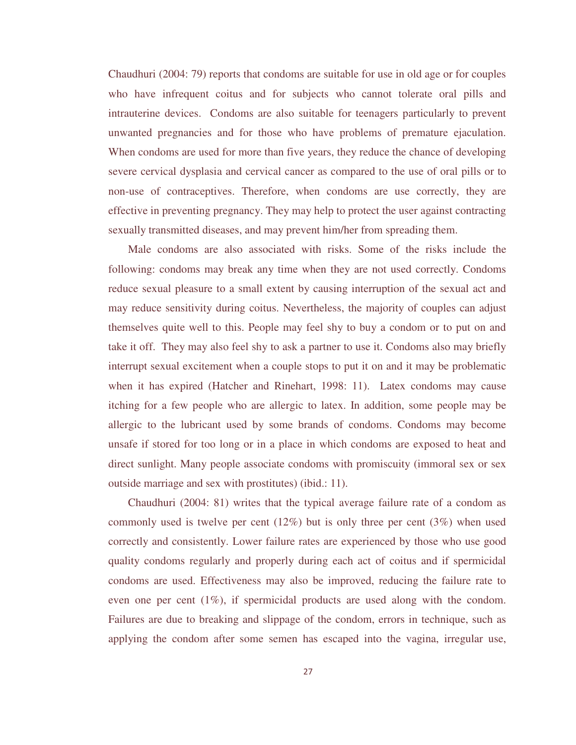Chaudhuri (2004: 79) reports that condoms are suitable for use in old age or for couples who have infrequent coitus and for subjects who cannot tolerate oral pills and intrauterine devices. Condoms are also suitable for teenagers particularly to prevent unwanted pregnancies and for those who have problems of premature ejaculation. When condoms are used for more than five years, they reduce the chance of developing severe cervical dysplasia and cervical cancer as compared to the use of oral pills or to non-use of contraceptives. Therefore, when condoms are use correctly, they are effective in preventing pregnancy. They may help to protect the user against contracting sexually transmitted diseases, and may prevent him/her from spreading them.

 Male condoms are also associated with risks. Some of the risks include the following: condoms may break any time when they are not used correctly. Condoms reduce sexual pleasure to a small extent by causing interruption of the sexual act and may reduce sensitivity during coitus. Nevertheless, the majority of couples can adjust themselves quite well to this. People may feel shy to buy a condom or to put on and take it off. They may also feel shy to ask a partner to use it. Condoms also may briefly interrupt sexual excitement when a couple stops to put it on and it may be problematic when it has expired (Hatcher and Rinehart, 1998: 11). Latex condoms may cause itching for a few people who are allergic to latex. In addition, some people may be allergic to the lubricant used by some brands of condoms. Condoms may become unsafe if stored for too long or in a place in which condoms are exposed to heat and direct sunlight. Many people associate condoms with promiscuity (immoral sex or sex outside marriage and sex with prostitutes) (ibid.: 11).

 Chaudhuri (2004: 81) writes that the typical average failure rate of a condom as commonly used is twelve per cent (12%) but is only three per cent (3%) when used correctly and consistently. Lower failure rates are experienced by those who use good quality condoms regularly and properly during each act of coitus and if spermicidal condoms are used. Effectiveness may also be improved, reducing the failure rate to even one per cent (1%), if spermicidal products are used along with the condom. Failures are due to breaking and slippage of the condom, errors in technique, such as applying the condom after some semen has escaped into the vagina, irregular use,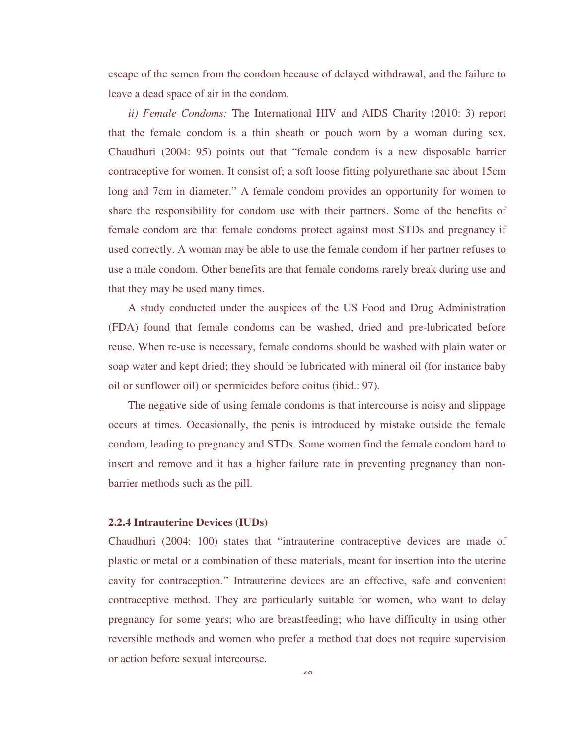escape of the semen from the condom because of delayed withdrawal, and the failure to leave a dead space of air in the condom.

 *ii) Female Condoms:* The International HIV and AIDS Charity (2010: 3) report that the female condom is a thin sheath or pouch worn by a woman during sex. Chaudhuri (2004: 95) points out that "female condom is a new disposable barrier contraceptive for women. It consist of; a soft loose fitting polyurethane sac about 15cm long and 7cm in diameter." A female condom provides an opportunity for women to share the responsibility for condom use with their partners. Some of the benefits of female condom are that female condoms protect against most STDs and pregnancy if used correctly. A woman may be able to use the female condom if her partner refuses to use a male condom. Other benefits are that female condoms rarely break during use and that they may be used many times.

 A study conducted under the auspices of the US Food and Drug Administration (FDA) found that female condoms can be washed, dried and pre-lubricated before reuse. When re-use is necessary, female condoms should be washed with plain water or soap water and kept dried; they should be lubricated with mineral oil (for instance baby oil or sunflower oil) or spermicides before coitus (ibid.: 97).

 The negative side of using female condoms is that intercourse is noisy and slippage occurs at times. Occasionally, the penis is introduced by mistake outside the female condom, leading to pregnancy and STDs. Some women find the female condom hard to insert and remove and it has a higher failure rate in preventing pregnancy than nonbarrier methods such as the pill.

## **2.2.4 Intrauterine Devices (IUDs)**

Chaudhuri (2004: 100) states that "intrauterine contraceptive devices are made of plastic or metal or a combination of these materials, meant for insertion into the uterine cavity for contraception." Intrauterine devices are an effective, safe and convenient contraceptive method. They are particularly suitable for women, who want to delay pregnancy for some years; who are breastfeeding; who have difficulty in using other reversible methods and women who prefer a method that does not require supervision or action before sexual intercourse.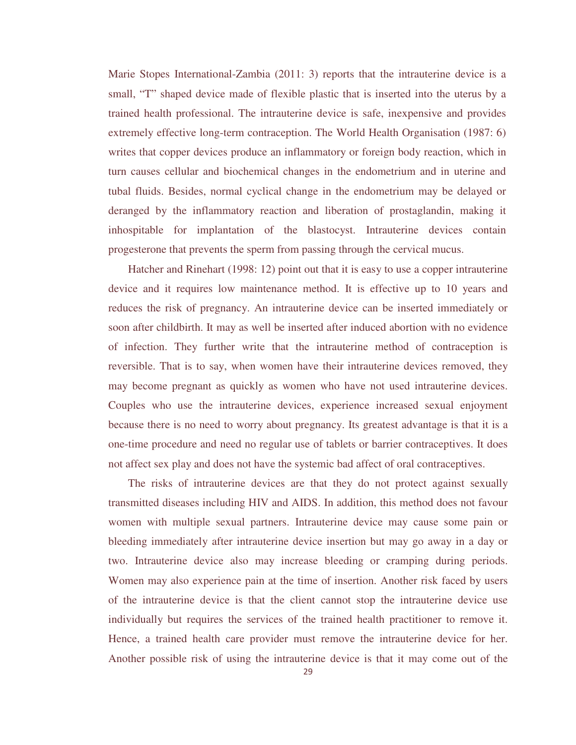Marie Stopes International-Zambia (2011: 3) reports that the intrauterine device is a small, "T" shaped device made of flexible plastic that is inserted into the uterus by a trained health professional. The intrauterine device is safe, inexpensive and provides extremely effective long-term contraception. The World Health Organisation (1987: 6) writes that copper devices produce an inflammatory or foreign body reaction, which in turn causes cellular and biochemical changes in the endometrium and in uterine and tubal fluids. Besides, normal cyclical change in the endometrium may be delayed or deranged by the inflammatory reaction and liberation of prostaglandin, making it inhospitable for implantation of the blastocyst. Intrauterine devices contain progesterone that prevents the sperm from passing through the cervical mucus.

 Hatcher and Rinehart (1998: 12) point out that it is easy to use a copper intrauterine device and it requires low maintenance method. It is effective up to 10 years and reduces the risk of pregnancy. An intrauterine device can be inserted immediately or soon after childbirth. It may as well be inserted after induced abortion with no evidence of infection. They further write that the intrauterine method of contraception is reversible. That is to say, when women have their intrauterine devices removed, they may become pregnant as quickly as women who have not used intrauterine devices. Couples who use the intrauterine devices, experience increased sexual enjoyment because there is no need to worry about pregnancy. Its greatest advantage is that it is a one-time procedure and need no regular use of tablets or barrier contraceptives. It does not affect sex play and does not have the systemic bad affect of oral contraceptives.

 The risks of intrauterine devices are that they do not protect against sexually transmitted diseases including HIV and AIDS. In addition, this method does not favour women with multiple sexual partners. Intrauterine device may cause some pain or bleeding immediately after intrauterine device insertion but may go away in a day or two. Intrauterine device also may increase bleeding or cramping during periods. Women may also experience pain at the time of insertion. Another risk faced by users of the intrauterine device is that the client cannot stop the intrauterine device use individually but requires the services of the trained health practitioner to remove it. Hence, a trained health care provider must remove the intrauterine device for her. Another possible risk of using the intrauterine device is that it may come out of the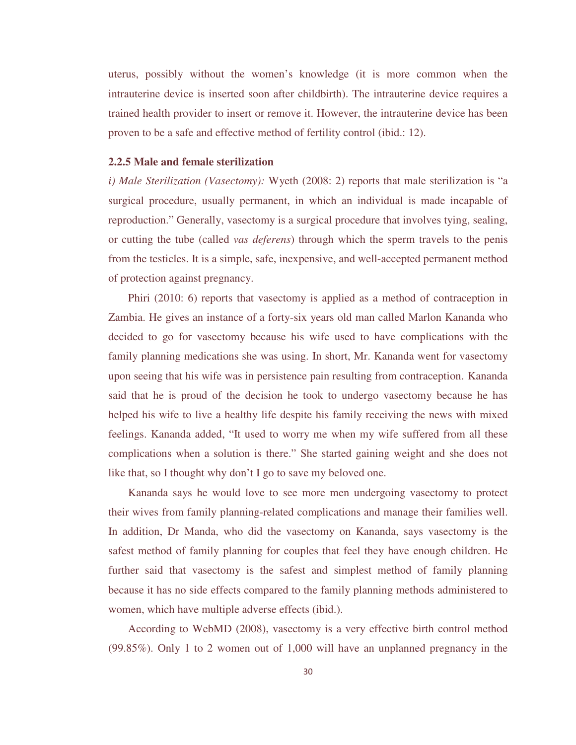uterus, possibly without the women's knowledge (it is more common when the intrauterine device is inserted soon after childbirth). The intrauterine device requires a trained health provider to insert or remove it. However, the intrauterine device has been proven to be a safe and effective method of fertility control (ibid.: 12).

### **2.2.5 Male and female sterilization**

*i) Male Sterilization (Vasectomy):* Wyeth (2008: 2) reports that male sterilization is "a surgical procedure, usually permanent, in which an individual is made incapable of reproduction." Generally, vasectomy is a surgical procedure that involves tying, sealing, or cutting the tube (called *vas deferens*) through which the sperm travels to the penis from the testicles. It is a simple, safe, inexpensive, and well-accepted permanent method of protection against pregnancy.

 Phiri (2010: 6) reports that vasectomy is applied as a method of contraception in Zambia. He gives an instance of a forty-six years old man called Marlon Kananda who decided to go for vasectomy because his wife used to have complications with the family planning medications she was using. In short, Mr. Kananda went for vasectomy upon seeing that his wife was in persistence pain resulting from contraception. Kananda said that he is proud of the decision he took to undergo vasectomy because he has helped his wife to live a healthy life despite his family receiving the news with mixed feelings. Kananda added, "It used to worry me when my wife suffered from all these complications when a solution is there." She started gaining weight and she does not like that, so I thought why don't I go to save my beloved one.

 Kananda says he would love to see more men undergoing vasectomy to protect their wives from family planning-related complications and manage their families well. In addition, Dr Manda, who did the vasectomy on Kananda, says vasectomy is the safest method of family planning for couples that feel they have enough children. He further said that vasectomy is the safest and simplest method of family planning because it has no side effects compared to the family planning methods administered to women, which have multiple adverse effects (ibid.).

 According to WebMD (2008), vasectomy is a very effective birth control method (99.85%). Only 1 to 2 women out of 1,000 will have an unplanned pregnancy in the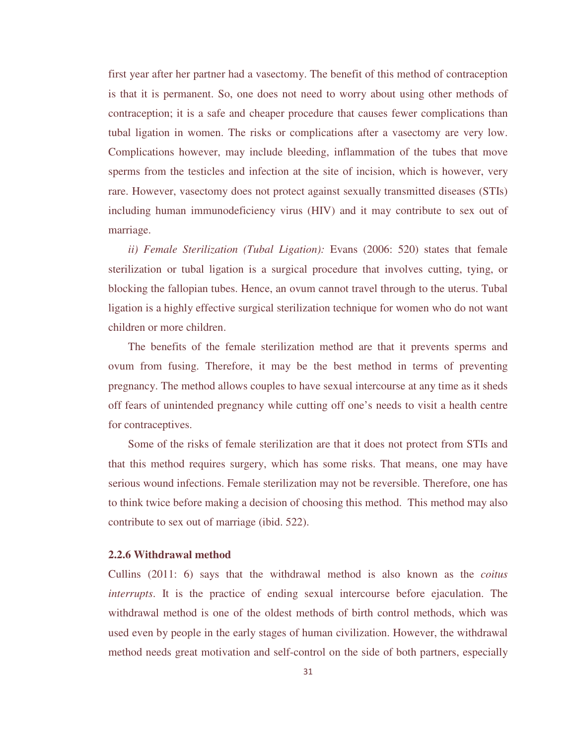first year after her partner had a vasectomy. The benefit of this method of contraception is that it is permanent. So, one does not need to worry about using other methods of contraception; it is a safe and cheaper procedure that causes fewer complications than tubal ligation in women. The risks or complications after a vasectomy are very low. Complications however, may include bleeding, inflammation of the tubes that move sperms from the testicles and infection at the site of incision, which is however, very rare. However, vasectomy does not protect against sexually transmitted diseases (STIs) including human immunodeficiency virus (HIV) and it may contribute to sex out of marriage.

 *ii) Female Sterilization (Tubal Ligation):* Evans (2006: 520) states that female sterilization or tubal ligation is a surgical procedure that involves cutting, tying, or blocking the fallopian tubes. Hence, an ovum cannot travel through to the uterus. Tubal ligation is a highly effective surgical sterilization technique for women who do not want children or more children.

 The benefits of the female sterilization method are that it prevents sperms and ovum from fusing. Therefore, it may be the best method in terms of preventing pregnancy. The method allows couples to have sexual intercourse at any time as it sheds off fears of unintended pregnancy while cutting off one's needs to visit a health centre for contraceptives.

 Some of the risks of female sterilization are that it does not protect from STIs and that this method requires surgery, which has some risks. That means, one may have serious wound infections. Female sterilization may not be reversible. Therefore, one has to think twice before making a decision of choosing this method. This method may also contribute to sex out of marriage (ibid. 522).

### **2.2.6 Withdrawal method**

Cullins (2011: 6) says that the withdrawal method is also known as the *coitus interrupts*. It is the practice of ending sexual intercourse before ejaculation. The withdrawal method is one of the oldest methods of birth control methods, which was used even by people in the early stages of human civilization. However, the withdrawal method needs great motivation and self-control on the side of both partners, especially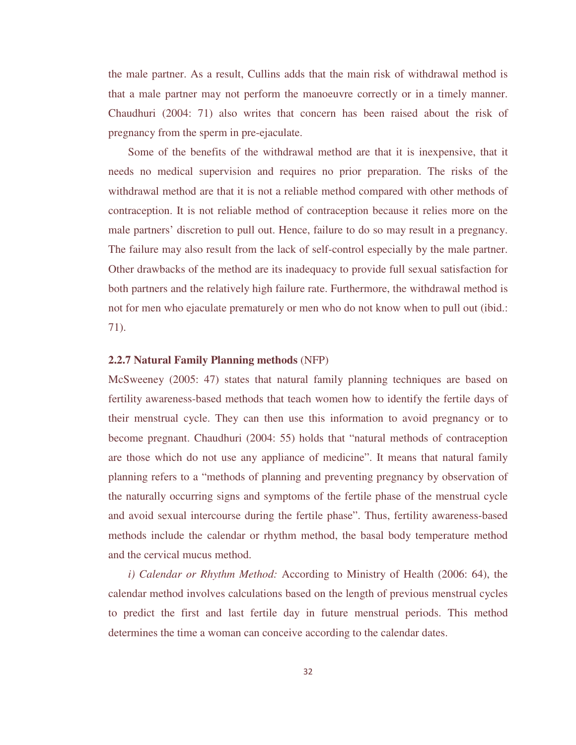the male partner. As a result, Cullins adds that the main risk of withdrawal method is that a male partner may not perform the manoeuvre correctly or in a timely manner. Chaudhuri (2004: 71) also writes that concern has been raised about the risk of pregnancy from the sperm in pre-ejaculate.

 Some of the benefits of the withdrawal method are that it is inexpensive, that it needs no medical supervision and requires no prior preparation. The risks of the withdrawal method are that it is not a reliable method compared with other methods of contraception. It is not reliable method of contraception because it relies more on the male partners' discretion to pull out. Hence, failure to do so may result in a pregnancy. The failure may also result from the lack of self-control especially by the male partner. Other drawbacks of the method are its inadequacy to provide full sexual satisfaction for both partners and the relatively high failure rate. Furthermore, the withdrawal method is not for men who ejaculate prematurely or men who do not know when to pull out (ibid.: 71).

### **2.2.7 Natural Family Planning methods** (NFP)

McSweeney (2005: 47) states that natural family planning techniques are based on fertility awareness-based methods that teach women how to identify the fertile days of their menstrual cycle. They can then use this information to avoid pregnancy or to become pregnant. Chaudhuri (2004: 55) holds that "natural methods of contraception are those which do not use any appliance of medicine". It means that natural family planning refers to a "methods of planning and preventing pregnancy by observation of the naturally occurring signs and symptoms of the fertile phase of the menstrual cycle and avoid sexual intercourse during the fertile phase". Thus, fertility awareness-based methods include the calendar or rhythm method, the basal body temperature method and the cervical mucus method.

 *i) Calendar or Rhythm Method:* According to Ministry of Health (2006: 64), the calendar method involves calculations based on the length of previous menstrual cycles to predict the first and last fertile day in future menstrual periods. This method determines the time a woman can conceive according to the calendar dates.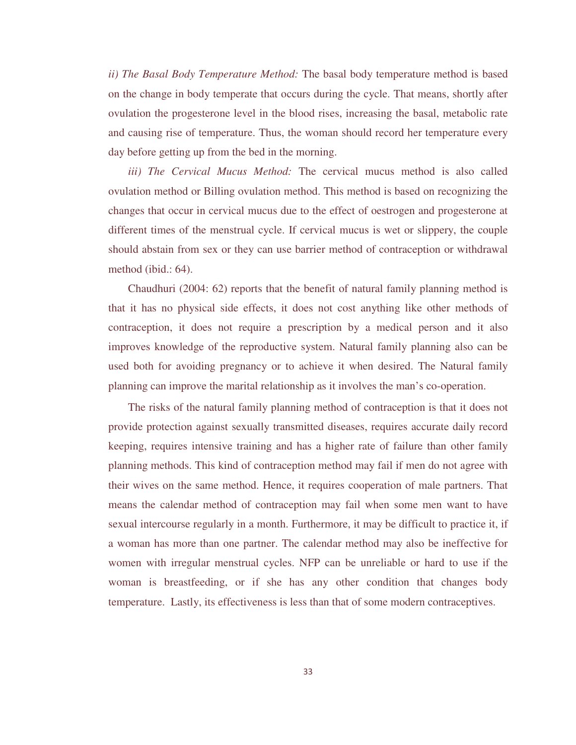*ii) The Basal Body Temperature Method:* The basal body temperature method is based on the change in body temperate that occurs during the cycle. That means, shortly after ovulation the progesterone level in the blood rises, increasing the basal, metabolic rate and causing rise of temperature. Thus, the woman should record her temperature every day before getting up from the bed in the morning.

 *iii) The Cervical Mucus Method:* The cervical mucus method is also called ovulation method or Billing ovulation method. This method is based on recognizing the changes that occur in cervical mucus due to the effect of oestrogen and progesterone at different times of the menstrual cycle. If cervical mucus is wet or slippery, the couple should abstain from sex or they can use barrier method of contraception or withdrawal method (ibid.: 64).

 Chaudhuri (2004: 62) reports that the benefit of natural family planning method is that it has no physical side effects, it does not cost anything like other methods of contraception, it does not require a prescription by a medical person and it also improves knowledge of the reproductive system. Natural family planning also can be used both for avoiding pregnancy or to achieve it when desired. The Natural family planning can improve the marital relationship as it involves the man's co-operation.

 The risks of the natural family planning method of contraception is that it does not provide protection against sexually transmitted diseases, requires accurate daily record keeping, requires intensive training and has a higher rate of failure than other family planning methods. This kind of contraception method may fail if men do not agree with their wives on the same method. Hence, it requires cooperation of male partners. That means the calendar method of contraception may fail when some men want to have sexual intercourse regularly in a month. Furthermore, it may be difficult to practice it, if a woman has more than one partner. The calendar method may also be ineffective for women with irregular menstrual cycles. NFP can be unreliable or hard to use if the woman is breastfeeding, or if she has any other condition that changes body temperature. Lastly, its effectiveness is less than that of some modern contraceptives.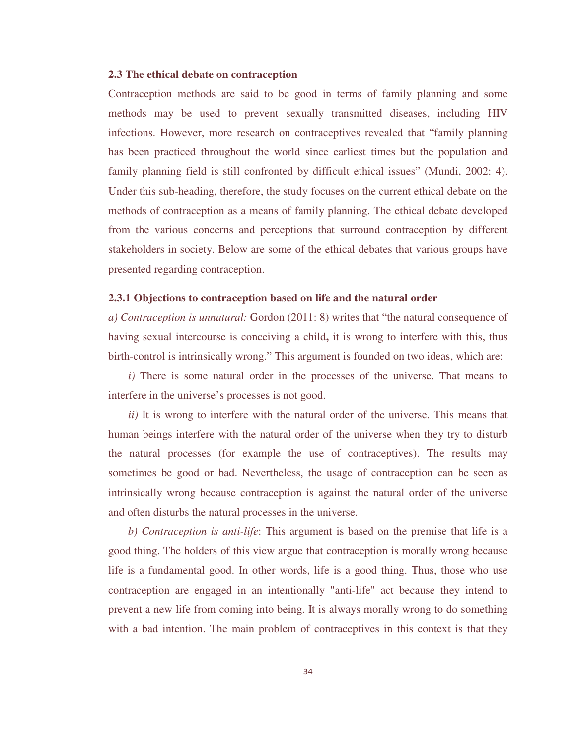### **2.3 The ethical debate on contraception**

Contraception methods are said to be good in terms of family planning and some methods may be used to prevent sexually transmitted diseases, including HIV infections. However, more research on contraceptives revealed that "family planning has been practiced throughout the world since earliest times but the population and family planning field is still confronted by difficult ethical issues" (Mundi, 2002: 4). Under this sub-heading, therefore, the study focuses on the current ethical debate on the methods of contraception as a means of family planning. The ethical debate developed from the various concerns and perceptions that surround contraception by different stakeholders in society. Below are some of the ethical debates that various groups have presented regarding contraception.

### **2.3.1 Objections to contraception based on life and the natural order**

*a) Contraception is unnatural:* Gordon (2011: 8) writes that "the natural consequence of having sexual intercourse is conceiving a child**,** it is wrong to interfere with this, thus birth-control is intrinsically wrong." This argument is founded on two ideas, which are:

*i*) There is some natural order in the processes of the universe. That means to interfere in the universe's processes is not good.

*ii*) It is wrong to interfere with the natural order of the universe. This means that human beings interfere with the natural order of the universe when they try to disturb the natural processes (for example the use of contraceptives). The results may sometimes be good or bad. Nevertheless, the usage of contraception can be seen as intrinsically wrong because contraception is against the natural order of the universe and often disturbs the natural processes in the universe.

 *b) Contraception is anti-life*: This argument is based on the premise that life is a good thing. The holders of this view argue that contraception is morally wrong because life is a fundamental good. In other words, life is a good thing. Thus, those who use contraception are engaged in an intentionally "anti-life" act because they intend to prevent a new life from coming into being. It is always morally wrong to do something with a bad intention. The main problem of contraceptives in this context is that they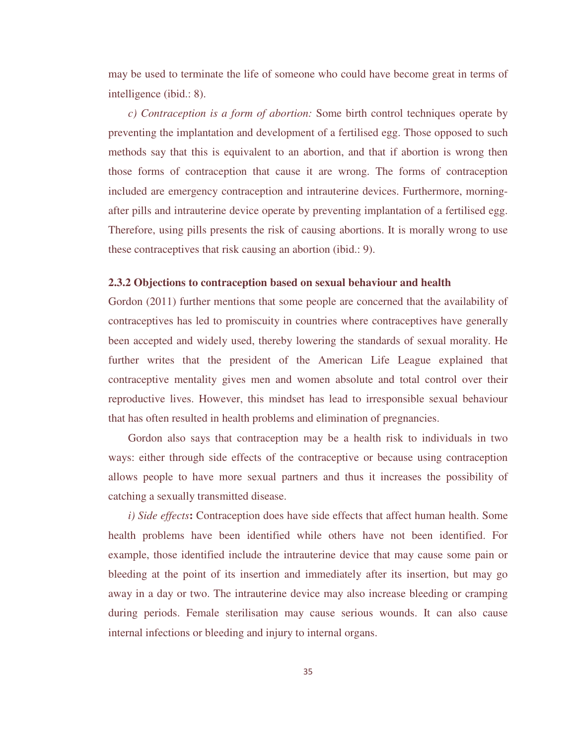may be used to terminate the life of someone who could have become great in terms of intelligence (ibid.: 8).

 *c) Contraception is a form of abortion:* Some birth control techniques operate by preventing the implantation and development of a fertilised egg. Those opposed to such methods say that this is equivalent to an abortion, and that if abortion is wrong then those forms of contraception that cause it are wrong. The forms of contraception included are emergency contraception and intrauterine devices. Furthermore, morningafter pills and intrauterine device operate by preventing implantation of a fertilised egg. Therefore, using pills presents the risk of causing abortions. It is morally wrong to use these contraceptives that risk causing an abortion (ibid.: 9).

#### **2.3.2 Objections to contraception based on sexual behaviour and health**

Gordon (2011) further mentions that some people are concerned that the availability of contraceptives has led to promiscuity in countries where contraceptives have generally been accepted and widely used, thereby lowering the standards of sexual morality. He further writes that the president of the American Life League explained that contraceptive mentality gives men and women absolute and total control over their reproductive lives. However, this mindset has lead to irresponsible sexual behaviour that has often resulted in health problems and elimination of pregnancies.

 Gordon also says that contraception may be a health risk to individuals in two ways: either through side effects of the contraceptive or because using contraception allows people to have more sexual partners and thus it increases the possibility of catching a sexually transmitted disease.

*i) Side effects***:** Contraception does have side effects that affect human health. Some health problems have been identified while others have not been identified. For example, those identified include the intrauterine device that may cause some pain or bleeding at the point of its insertion and immediately after its insertion, but may go away in a day or two. The intrauterine device may also increase bleeding or cramping during periods. Female sterilisation may cause serious wounds. It can also cause internal infections or bleeding and injury to internal organs.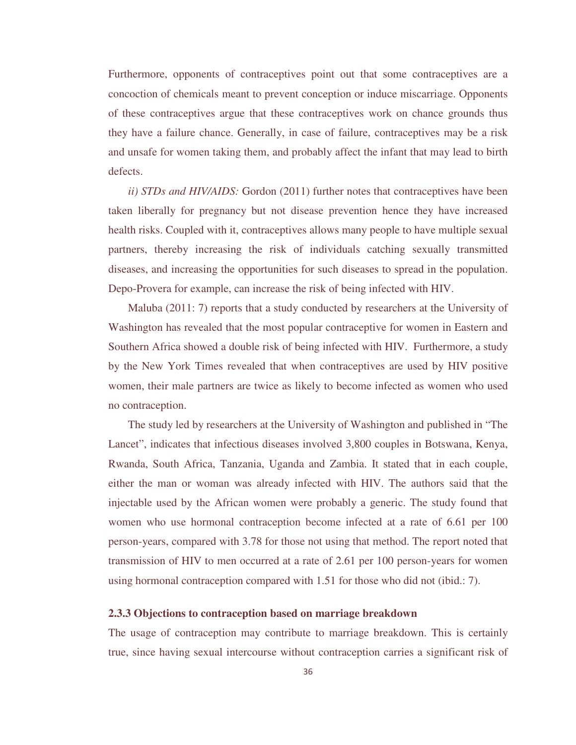Furthermore, opponents of contraceptives point out that some contraceptives are a concoction of chemicals meant to prevent conception or induce miscarriage. Opponents of these contraceptives argue that these contraceptives work on chance grounds thus they have a failure chance. Generally, in case of failure, contraceptives may be a risk and unsafe for women taking them, and probably affect the infant that may lead to birth defects.

 *ii) STDs and HIV/AIDS:* Gordon (2011) further notes that contraceptives have been taken liberally for pregnancy but not disease prevention hence they have increased health risks. Coupled with it, contraceptives allows many people to have multiple sexual partners, thereby increasing the risk of individuals catching sexually transmitted diseases, and increasing the opportunities for such diseases to spread in the population. Depo-Provera for example, can increase the risk of being infected with HIV.

Maluba (2011: 7) reports that a study conducted by researchers at the University of Washington has revealed that the most popular contraceptive for women in Eastern and Southern Africa showed a double risk of being infected with HIV. Furthermore, a study by the New York Times revealed that when contraceptives are used by HIV positive women, their male partners are twice as likely to become infected as women who used no contraception.

 The study led by researchers at the University of Washington and published in "The Lancet", indicates that infectious diseases involved 3,800 couples in Botswana, Kenya, Rwanda, South Africa, Tanzania, Uganda and Zambia. It stated that in each couple, either the man or woman was already infected with HIV. The authors said that the injectable used by the African women were probably a generic. The study found that women who use hormonal contraception become infected at a rate of 6.61 per 100 person-years, compared with 3.78 for those not using that method. The report noted that transmission of HIV to men occurred at a rate of 2.61 per 100 person-years for women using hormonal contraception compared with 1.51 for those who did not (ibid.: 7).

### **2.3.3 Objections to contraception based on marriage breakdown**

The usage of contraception may contribute to marriage breakdown. This is certainly true, since having sexual intercourse without contraception carries a significant risk of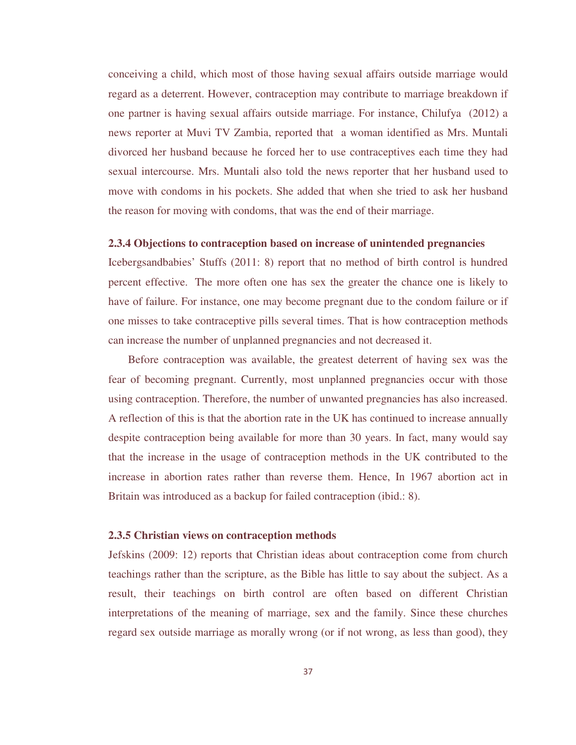conceiving a child, which most of those having sexual affairs outside marriage would regard as a deterrent. However, contraception may contribute to marriage breakdown if one partner is having sexual affairs outside marriage. For instance, Chilufya (2012) a news reporter at Muvi TV Zambia, reported that a woman identified as Mrs. Muntali divorced her husband because he forced her to use contraceptives each time they had sexual intercourse. Mrs. Muntali also told the news reporter that her husband used to move with condoms in his pockets. She added that when she tried to ask her husband the reason for moving with condoms, that was the end of their marriage.

## **2.3.4 Objections to contraception based on increase of unintended pregnancies**

Icebergsandbabies' Stuffs (2011: 8) report that no method of birth control is hundred percent effective. The more often one has sex the greater the chance one is likely to have of failure. For instance, one may become pregnant due to the condom failure or if one misses to take contraceptive pills several times. That is how contraception methods can increase the number of unplanned pregnancies and not decreased it.

 Before contraception was available, the greatest deterrent of having sex was the fear of becoming pregnant. Currently, most unplanned pregnancies occur with those using contraception. Therefore, the number of unwanted pregnancies has also increased. A reflection of this is that the abortion rate in the UK has continued to increase annually despite contraception being available for more than 30 years. In fact, many would say that the increase in the usage of contraception methods in the UK contributed to the increase in abortion rates rather than reverse them. Hence, In 1967 abortion act in Britain was introduced as a backup for failed contraception (ibid.: 8).

#### **2.3.5 Christian views on contraception methods**

Jefskins (2009: 12) reports that Christian ideas about contraception come from church teachings rather than the scripture, as the Bible has little to say about the subject. As a result, their teachings on birth control are often based on different Christian interpretations of the meaning of marriage, sex and the family. Since these churches regard sex outside marriage as morally wrong (or if not wrong, as less than good), they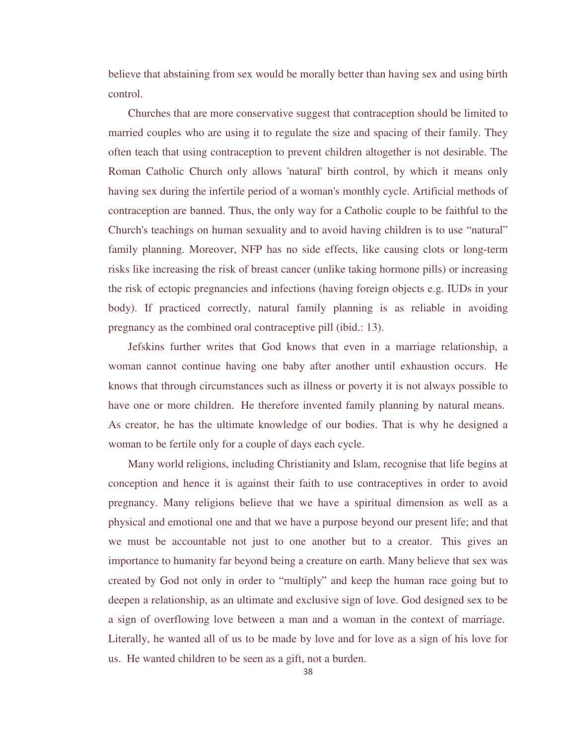believe that abstaining from sex would be morally better than having sex and using birth control.

Churches that are more conservative suggest that contraception should be limited to married couples who are using it to regulate the size and spacing of their family. They often teach that using contraception to prevent children altogether is not desirable. The Roman Catholic Church only allows 'natural' birth control, by which it means only having sex during the infertile period of a woman's monthly cycle. Artificial methods of contraception are banned. Thus, the only way for a Catholic couple to be faithful to the Church's teachings on human sexuality and to avoid having children is to use "natural" family planning. Moreover, NFP has no side effects, like causing clots or long-term risks like increasing the risk of breast cancer (unlike taking hormone pills) or increasing the risk of ectopic pregnancies and infections (having foreign objects e.g. IUDs in your body). If practiced correctly, natural family planning is as reliable in avoiding pregnancy as the combined oral contraceptive pill (ibid.: 13).

Jefskins further writes that God knows that even in a marriage relationship, a woman cannot continue having one baby after another until exhaustion occurs. He knows that through circumstances such as illness or poverty it is not always possible to have one or more children. He therefore invented family planning by natural means. As creator, he has the ultimate knowledge of our bodies. That is why he designed a woman to be fertile only for a couple of days each cycle.

 Many world religions, including Christianity and Islam, recognise that life begins at conception and hence it is against their faith to use contraceptives in order to avoid pregnancy. Many religions believe that we have a spiritual dimension as well as a physical and emotional one and that we have a purpose beyond our present life; and that we must be accountable not just to one another but to a creator. This gives an importance to humanity far beyond being a creature on earth. Many believe that sex was created by God not only in order to "multiply" and keep the human race going but to deepen a relationship, as an ultimate and exclusive sign of love. God designed sex to be a sign of overflowing love between a man and a woman in the context of marriage. Literally, he wanted all of us to be made by love and for love as a sign of his love for us. He wanted children to be seen as a gift, not a burden.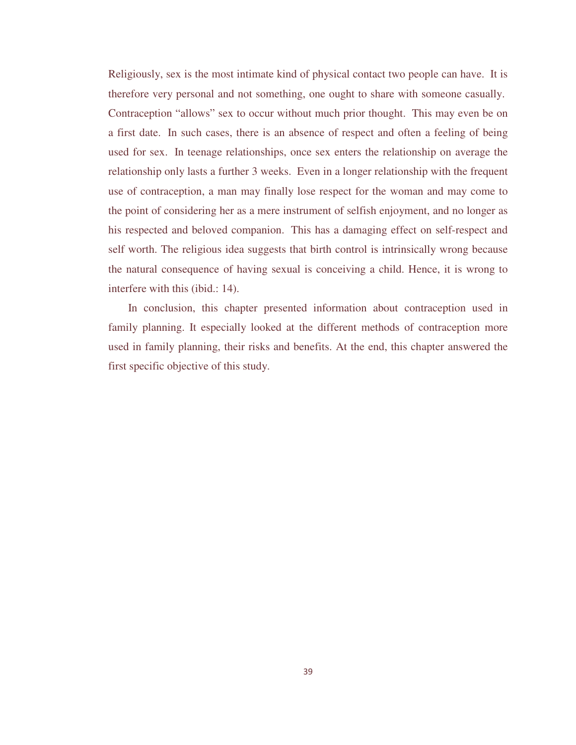Religiously, sex is the most intimate kind of physical contact two people can have. It is therefore very personal and not something, one ought to share with someone casually. Contraception "allows" sex to occur without much prior thought. This may even be on a first date. In such cases, there is an absence of respect and often a feeling of being used for sex. In teenage relationships, once sex enters the relationship on average the relationship only lasts a further 3 weeks. Even in a longer relationship with the frequent use of contraception, a man may finally lose respect for the woman and may come to the point of considering her as a mere instrument of selfish enjoyment, and no longer as his respected and beloved companion. This has a damaging effect on self-respect and self worth. The religious idea suggests that birth control is intrinsically wrong because the natural consequence of having sexual is conceiving a child. Hence, it is wrong to interfere with this (ibid.: 14).

In conclusion, this chapter presented information about contraception used in family planning. It especially looked at the different methods of contraception more used in family planning, their risks and benefits. At the end, this chapter answered the first specific objective of this study.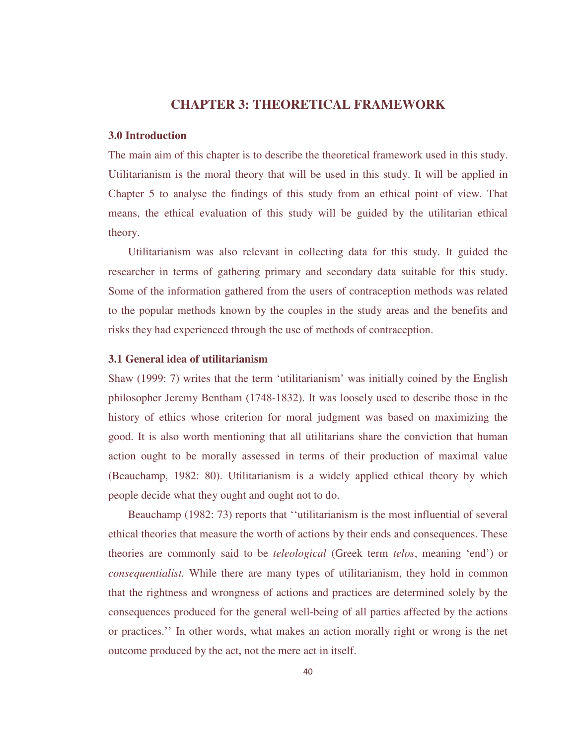# **CHAPTER 3: THEORETICAL FRAMEWORK**

## **3.0 Introduction**

The main aim of this chapter is to describe the theoretical framework used in this study. Utilitarianism is the moral theory that will be used in this study. It will be applied in Chapter 5 to analyse the findings of this study from an ethical point of view. That means, the ethical evaluation of this study will be guided by the utilitarian ethical theory.

 Utilitarianism was also relevant in collecting data for this study. It guided the researcher in terms of gathering primary and secondary data suitable for this study. Some of the information gathered from the users of contraception methods was related to the popular methods known by the couples in the study areas and the benefits and risks they had experienced through the use of methods of contraception.

## **3.1 General idea of utilitarianism**

Shaw (1999: 7) writes that the term 'utilitarianism' was initially coined by the English philosopher Jeremy Bentham (1748-1832). It was loosely used to describe those in the history of ethics whose criterion for moral judgment was based on maximizing the good. It is also worth mentioning that all utilitarians share the conviction that human action ought to be morally assessed in terms of their production of maximal value (Beauchamp, 1982: 80). Utilitarianism is a widely applied ethical theory by which people decide what they ought and ought not to do.

 Beauchamp (1982: 73) reports that ''utilitarianism is the most influential of several ethical theories that measure the worth of actions by their ends and consequences. These theories are commonly said to be *teleological* (Greek term *telos*, meaning 'end') or *consequentialist.* While there are many types of utilitarianism, they hold in common that the rightness and wrongness of actions and practices are determined solely by the consequences produced for the general well-being of all parties affected by the actions or practices.'' In other words, what makes an action morally right or wrong is the net outcome produced by the act, not the mere act in itself.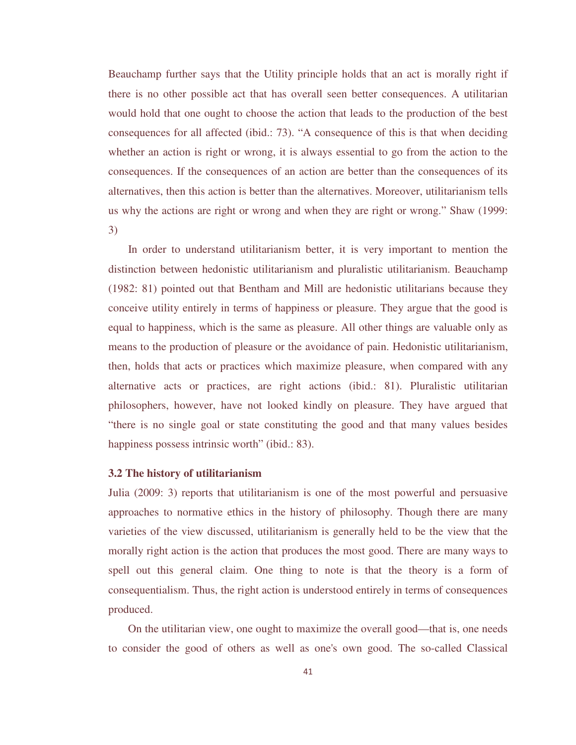Beauchamp further says that the Utility principle holds that an act is morally right if there is no other possible act that has overall seen better consequences. A utilitarian would hold that one ought to choose the action that leads to the production of the best consequences for all affected (ibid.: 73). "A consequence of this is that when deciding whether an action is right or wrong, it is always essential to go from the action to the consequences. If the consequences of an action are better than the consequences of its alternatives, then this action is better than the alternatives. Moreover, utilitarianism tells us why the actions are right or wrong and when they are right or wrong." Shaw (1999: 3)

 In order to understand utilitarianism better, it is very important to mention the distinction between hedonistic utilitarianism and pluralistic utilitarianism. Beauchamp (1982: 81) pointed out that Bentham and Mill are hedonistic utilitarians because they conceive utility entirely in terms of happiness or pleasure. They argue that the good is equal to happiness, which is the same as pleasure. All other things are valuable only as means to the production of pleasure or the avoidance of pain. Hedonistic utilitarianism, then, holds that acts or practices which maximize pleasure, when compared with any alternative acts or practices, are right actions (ibid.: 81). Pluralistic utilitarian philosophers, however, have not looked kindly on pleasure. They have argued that "there is no single goal or state constituting the good and that many values besides happiness possess intrinsic worth" (ibid.: 83).

## **3.2 The history of utilitarianism**

Julia (2009: 3) reports that utilitarianism is one of the most powerful and persuasive approaches to normative ethics in the history of philosophy. Though there are many varieties of the view discussed, utilitarianism is generally held to be the view that the morally right action is the action that produces the most good. There are many ways to spell out this general claim. One thing to note is that the theory is a form of consequentialism. Thus, the right action is understood entirely in terms of consequences produced.

 On the utilitarian view, one ought to maximize the overall good—that is, one needs to consider the good of others as well as one's own good. The so-called Classical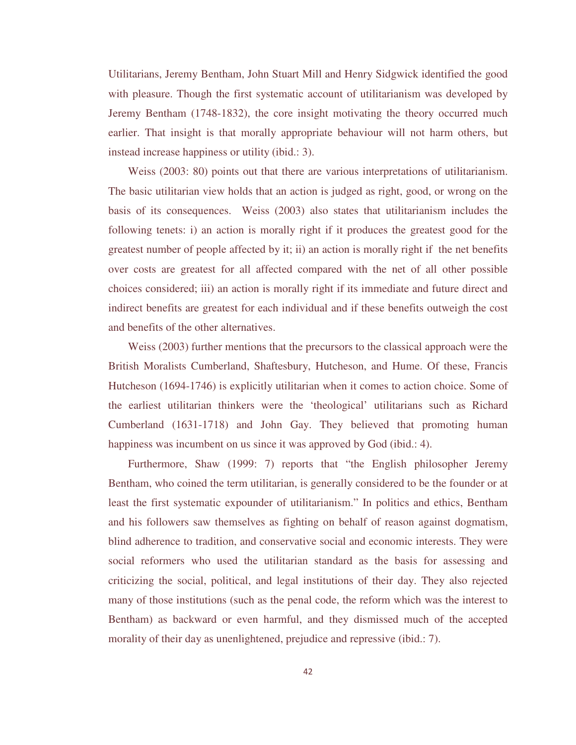Utilitarians, Jeremy Bentham, John Stuart Mill and Henry Sidgwick identified the good with pleasure. Though the first systematic account of utilitarianism was developed by Jeremy Bentham (1748-1832), the core insight motivating the theory occurred much earlier. That insight is that morally appropriate behaviour will not harm others, but instead increase happiness or utility (ibid.: 3).

 Weiss (2003: 80) points out that there are various interpretations of utilitarianism. The basic utilitarian view holds that an action is judged as right, good, or wrong on the basis of its consequences. Weiss (2003) also states that utilitarianism includes the following tenets: i) an action is morally right if it produces the greatest good for the greatest number of people affected by it; ii) an action is morally right if the net benefits over costs are greatest for all affected compared with the net of all other possible choices considered; iii) an action is morally right if its immediate and future direct and indirect benefits are greatest for each individual and if these benefits outweigh the cost and benefits of the other alternatives.

 Weiss (2003) further mentions that the precursors to the classical approach were the British Moralists Cumberland, Shaftesbury, Hutcheson, and Hume. Of these, Francis Hutcheson (1694-1746) is explicitly utilitarian when it comes to action choice. Some of the earliest utilitarian thinkers were the 'theological' utilitarians such as Richard Cumberland (1631-1718) and John Gay. They believed that promoting human happiness was incumbent on us since it was approved by God (ibid.: 4).

 Furthermore, Shaw (1999: 7) reports that "the English philosopher Jeremy Bentham, who coined the term utilitarian, is generally considered to be the founder or at least the first systematic expounder of utilitarianism." In politics and ethics, Bentham and his followers saw themselves as fighting on behalf of reason against dogmatism, blind adherence to tradition, and conservative social and economic interests. They were social reformers who used the utilitarian standard as the basis for assessing and criticizing the social, political, and legal institutions of their day. They also rejected many of those institutions (such as the penal code, the reform which was the interest to Bentham) as backward or even harmful, and they dismissed much of the accepted morality of their day as unenlightened, prejudice and repressive (ibid.: 7).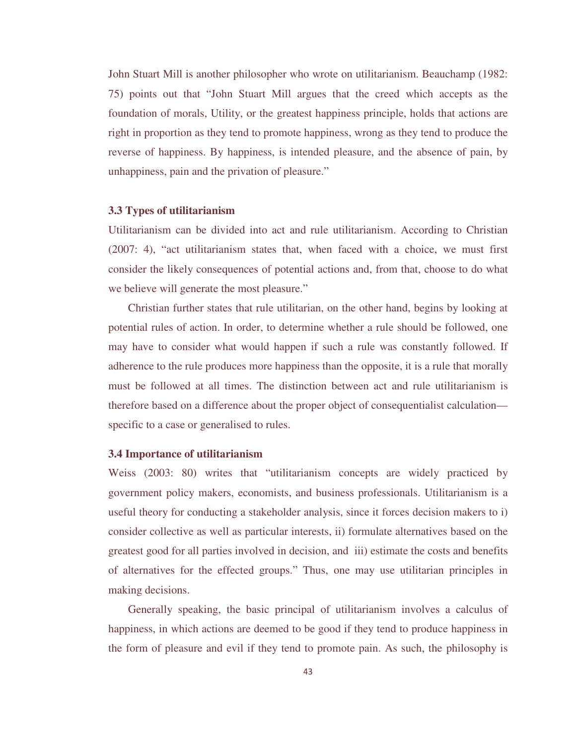John Stuart Mill is another philosopher who wrote on utilitarianism. Beauchamp (1982: 75) points out that "John Stuart Mill argues that the creed which accepts as the foundation of morals, Utility, or the greatest happiness principle, holds that actions are right in proportion as they tend to promote happiness, wrong as they tend to produce the reverse of happiness. By happiness, is intended pleasure, and the absence of pain, by unhappiness, pain and the privation of pleasure."

#### **3.3 Types of utilitarianism**

Utilitarianism can be divided into act and rule utilitarianism. According to Christian (2007: 4), "act utilitarianism states that, when faced with a choice, we must first consider the likely consequences of potential actions and, from that, choose to do what we believe will generate the most pleasure."

 Christian further states that rule utilitarian, on the other hand, begins by looking at potential rules of action. In order, to determine whether a rule should be followed, one may have to consider what would happen if such a rule was constantly followed. If adherence to the rule produces more happiness than the opposite, it is a rule that morally must be followed at all times. The distinction between act and rule utilitarianism is therefore based on a difference about the proper object of consequentialist calculation specific to a case or generalised to rules.

#### **3.4 Importance of utilitarianism**

Weiss (2003: 80) writes that "utilitarianism concepts are widely practiced by government policy makers, economists, and business professionals. Utilitarianism is a useful theory for conducting a stakeholder analysis, since it forces decision makers to i) consider collective as well as particular interests, ii) formulate alternatives based on the greatest good for all parties involved in decision, and iii) estimate the costs and benefits of alternatives for the effected groups." Thus, one may use utilitarian principles in making decisions.

 Generally speaking, the basic principal of utilitarianism involves a calculus of happiness, in which actions are deemed to be good if they tend to produce happiness in the form of pleasure and evil if they tend to promote pain. As such, the philosophy is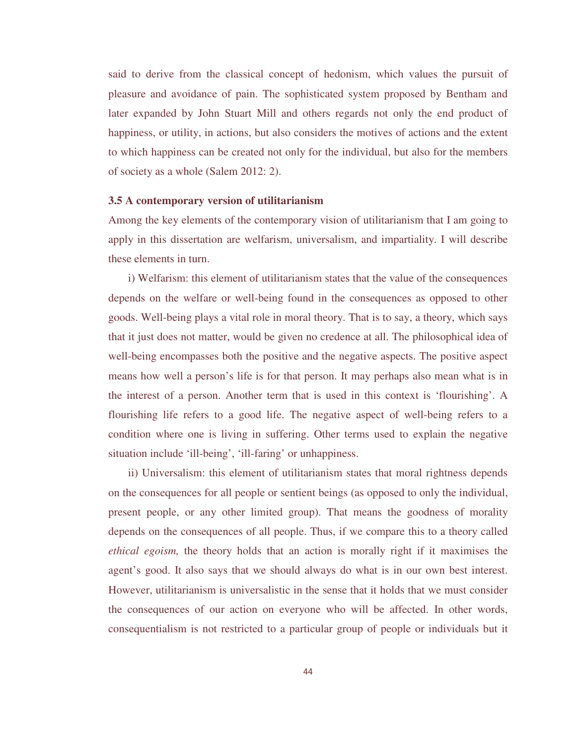said to derive from the classical concept of hedonism, which values the pursuit of pleasure and avoidance of pain. The sophisticated system proposed by Bentham and later expanded by John Stuart Mill and others regards not only the end product of happiness, or utility, in actions, but also considers the motives of actions and the extent to which happiness can be created not only for the individual, but also for the members of society as a whole (Salem 2012: 2).

#### **3.5 A contemporary version of utilitarianism**

Among the key elements of the contemporary vision of utilitarianism that I am going to apply in this dissertation are welfarism, universalism, and impartiality. I will describe these elements in turn.

 i) Welfarism: this element of utilitarianism states that the value of the consequences depends on the welfare or well-being found in the consequences as opposed to other goods. Well-being plays a vital role in moral theory. That is to say, a theory, which says that it just does not matter, would be given no credence at all. The philosophical idea of well-being encompasses both the positive and the negative aspects. The positive aspect means how well a person's life is for that person. It may perhaps also mean what is in the interest of a person. Another term that is used in this context is 'flourishing'. A flourishing life refers to a good life. The negative aspect of well-being refers to a condition where one is living in suffering. Other terms used to explain the negative situation include 'ill-being', 'ill-faring' or unhappiness.

 ii) Universalism: this element of utilitarianism states that moral rightness depends on the consequences for all people or sentient beings (as opposed to only the individual, present people, or any other limited group). That means the goodness of morality depends on the consequences of all people. Thus, if we compare this to a theory called *ethical egoism,* the theory holds that an action is morally right if it maximises the agent's good. It also says that we should always do what is in our own best interest. However, utilitarianism is universalistic in the sense that it holds that we must consider the consequences of our action on everyone who will be affected. In other words, consequentialism is not restricted to a particular group of people or individuals but it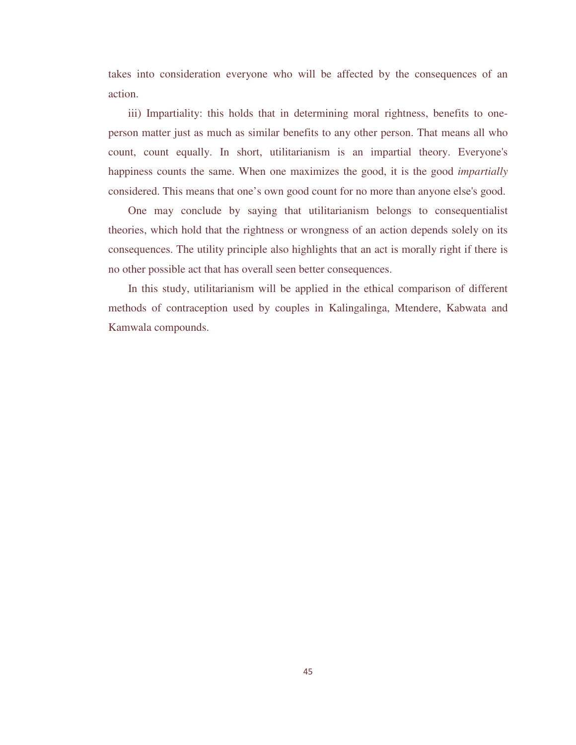takes into consideration everyone who will be affected by the consequences of an action.

iii) Impartiality: this holds that in determining moral rightness, benefits to oneperson matter just as much as similar benefits to any other person. That means all who count, count equally. In short, utilitarianism is an impartial theory. Everyone's happiness counts the same. When one maximizes the good, it is the good *impartially* considered. This means that one's own good count for no more than anyone else's good.

 One may conclude by saying that utilitarianism belongs to consequentialist theories, which hold that the rightness or wrongness of an action depends solely on its consequences. The utility principle also highlights that an act is morally right if there is no other possible act that has overall seen better consequences.

 In this study, utilitarianism will be applied in the ethical comparison of different methods of contraception used by couples in Kalingalinga, Mtendere, Kabwata and Kamwala compounds.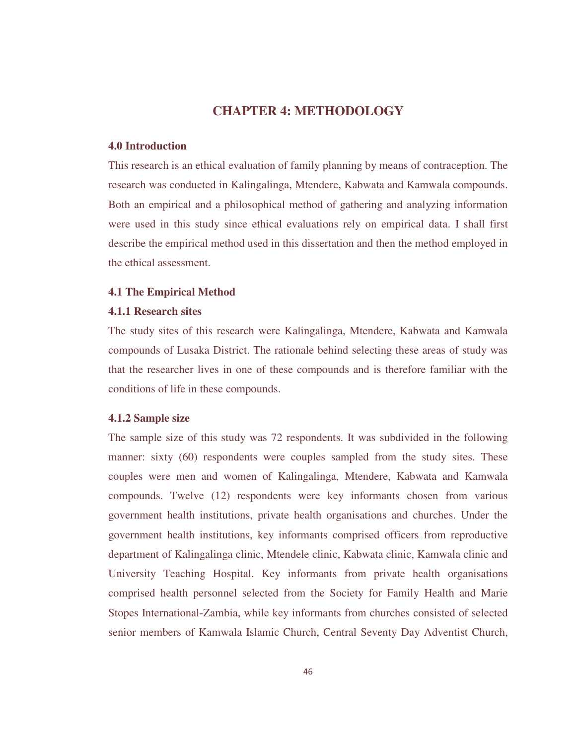# **CHAPTER 4: METHODOLOGY**

## **4.0 Introduction**

This research is an ethical evaluation of family planning by means of contraception. The research was conducted in Kalingalinga, Mtendere, Kabwata and Kamwala compounds. Both an empirical and a philosophical method of gathering and analyzing information were used in this study since ethical evaluations rely on empirical data. I shall first describe the empirical method used in this dissertation and then the method employed in the ethical assessment.

## **4.1 The Empirical Method**

## **4.1.1 Research sites**

The study sites of this research were Kalingalinga, Mtendere, Kabwata and Kamwala compounds of Lusaka District. The rationale behind selecting these areas of study was that the researcher lives in one of these compounds and is therefore familiar with the conditions of life in these compounds.

## **4.1.2 Sample size**

The sample size of this study was 72 respondents. It was subdivided in the following manner: sixty (60) respondents were couples sampled from the study sites. These couples were men and women of Kalingalinga, Mtendere, Kabwata and Kamwala compounds. Twelve (12) respondents were key informants chosen from various government health institutions, private health organisations and churches. Under the government health institutions, key informants comprised officers from reproductive department of Kalingalinga clinic, Mtendele clinic, Kabwata clinic, Kamwala clinic and University Teaching Hospital. Key informants from private health organisations comprised health personnel selected from the Society for Family Health and Marie Stopes International-Zambia, while key informants from churches consisted of selected senior members of Kamwala Islamic Church, Central Seventy Day Adventist Church,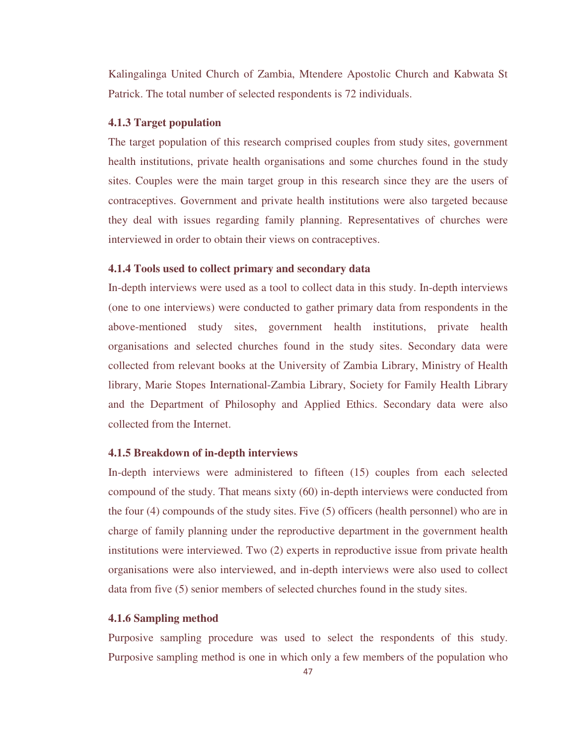Kalingalinga United Church of Zambia, Mtendere Apostolic Church and Kabwata St Patrick. The total number of selected respondents is 72 individuals.

## **4.1.3 Target population**

The target population of this research comprised couples from study sites, government health institutions, private health organisations and some churches found in the study sites. Couples were the main target group in this research since they are the users of contraceptives. Government and private health institutions were also targeted because they deal with issues regarding family planning. Representatives of churches were interviewed in order to obtain their views on contraceptives.

## **4.1.4 Tools used to collect primary and secondary data**

In-depth interviews were used as a tool to collect data in this study. In-depth interviews (one to one interviews) were conducted to gather primary data from respondents in the above-mentioned study sites, government health institutions, private health organisations and selected churches found in the study sites. Secondary data were collected from relevant books at the University of Zambia Library, Ministry of Health library, Marie Stopes International-Zambia Library, Society for Family Health Library and the Department of Philosophy and Applied Ethics. Secondary data were also collected from the Internet.

#### **4.1.5 Breakdown of in-depth interviews**

In-depth interviews were administered to fifteen (15) couples from each selected compound of the study. That means sixty (60) in-depth interviews were conducted from the four (4) compounds of the study sites. Five (5) officers (health personnel) who are in charge of family planning under the reproductive department in the government health institutions were interviewed. Two (2) experts in reproductive issue from private health organisations were also interviewed, and in-depth interviews were also used to collect data from five (5) senior members of selected churches found in the study sites.

#### **4.1.6 Sampling method**

Purposive sampling procedure was used to select the respondents of this study. Purposive sampling method is one in which only a few members of the population who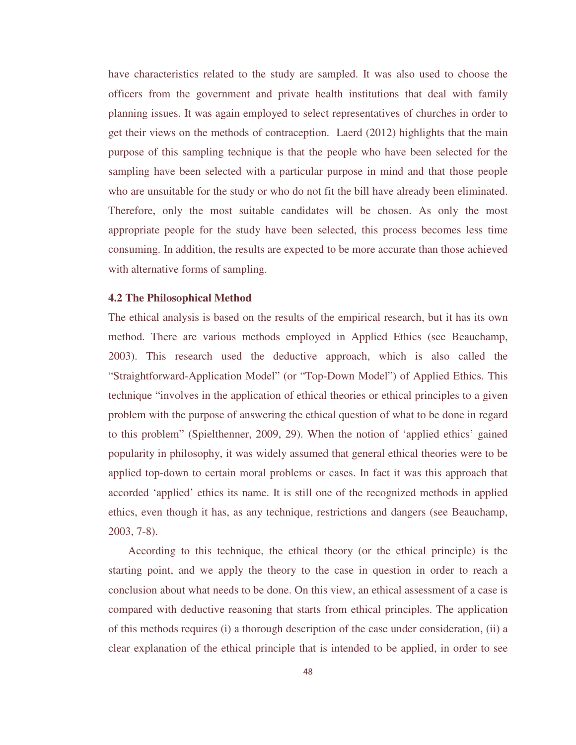have characteristics related to the study are sampled. It was also used to choose the officers from the government and private health institutions that deal with family planning issues. It was again employed to select representatives of churches in order to get their views on the methods of contraception. Laerd (2012) highlights that the main purpose of this sampling technique is that the people who have been selected for the sampling have been selected with a particular purpose in mind and that those people who are unsuitable for the study or who do not fit the bill have already been eliminated. Therefore, only the most suitable candidates will be chosen. As only the most appropriate people for the study have been selected, this process becomes less time consuming. In addition, the results are expected to be more accurate than those achieved with alternative forms of sampling.

#### **4.2 The Philosophical Method**

The ethical analysis is based on the results of the empirical research, but it has its own method. There are various methods employed in Applied Ethics (see Beauchamp, 2003). This research used the deductive approach, which is also called the "Straightforward-Application Model" (or "Top-Down Model") of Applied Ethics. This technique "involves in the application of ethical theories or ethical principles to a given problem with the purpose of answering the ethical question of what to be done in regard to this problem" (Spielthenner, 2009, 29). When the notion of 'applied ethics' gained popularity in philosophy, it was widely assumed that general ethical theories were to be applied top-down to certain moral problems or cases. In fact it was this approach that accorded 'applied' ethics its name. It is still one of the recognized methods in applied ethics, even though it has, as any technique, restrictions and dangers (see Beauchamp, 2003, 7-8).

 According to this technique, the ethical theory (or the ethical principle) is the starting point, and we apply the theory to the case in question in order to reach a conclusion about what needs to be done. On this view, an ethical assessment of a case is compared with deductive reasoning that starts from ethical principles. The application of this methods requires (i) a thorough description of the case under consideration, (ii) a clear explanation of the ethical principle that is intended to be applied, in order to see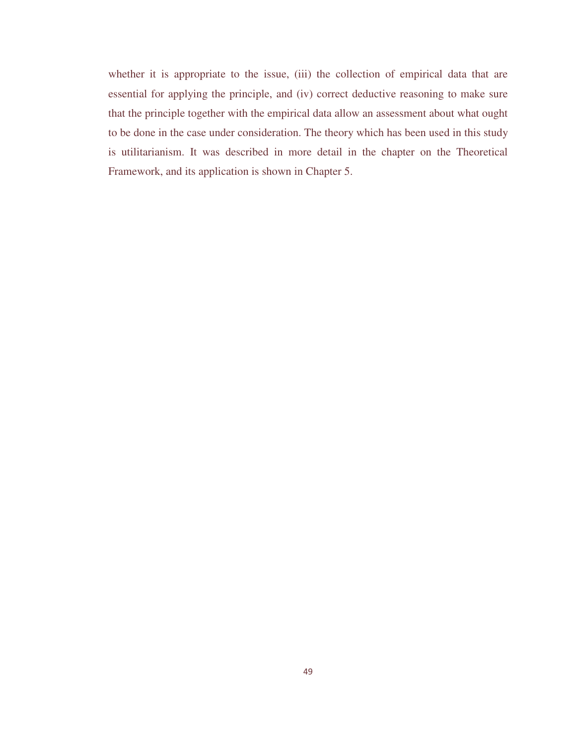whether it is appropriate to the issue, (iii) the collection of empirical data that are essential for applying the principle, and (iv) correct deductive reasoning to make sure that the principle together with the empirical data allow an assessment about what ought to be done in the case under consideration. The theory which has been used in this study is utilitarianism. It was described in more detail in the chapter on the Theoretical Framework, and its application is shown in Chapter 5.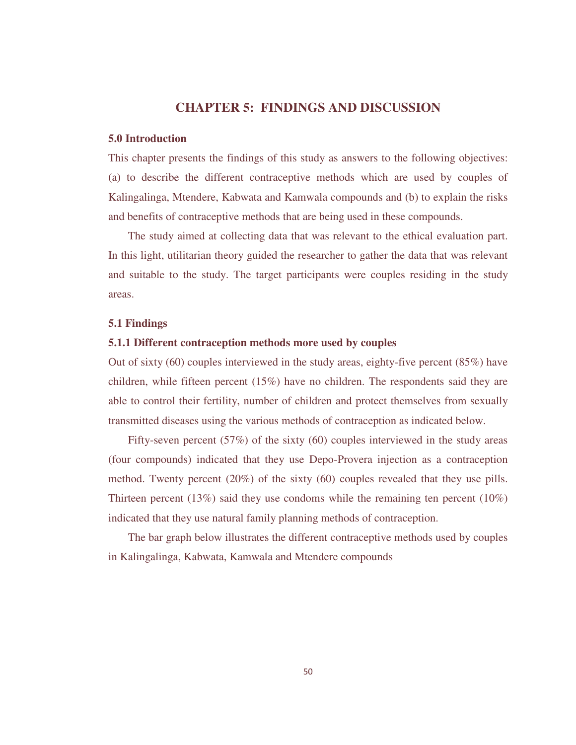## **CHAPTER 5: FINDINGS AND DISCUSSION**

## **5.0 Introduction**

This chapter presents the findings of this study as answers to the following objectives: (a) to describe the different contraceptive methods which are used by couples of Kalingalinga, Mtendere, Kabwata and Kamwala compounds and (b) to explain the risks and benefits of contraceptive methods that are being used in these compounds.

 The study aimed at collecting data that was relevant to the ethical evaluation part. In this light, utilitarian theory guided the researcher to gather the data that was relevant and suitable to the study. The target participants were couples residing in the study areas.

## **5.1 Findings**

## **5.1.1 Different contraception methods more used by couples**

Out of sixty (60) couples interviewed in the study areas, eighty-five percent (85%) have children, while fifteen percent (15%) have no children. The respondents said they are able to control their fertility, number of children and protect themselves from sexually transmitted diseases using the various methods of contraception as indicated below.

 Fifty-seven percent (57%) of the sixty (60) couples interviewed in the study areas (four compounds) indicated that they use Depo-Provera injection as a contraception method. Twenty percent (20%) of the sixty (60) couples revealed that they use pills. Thirteen percent (13%) said they use condoms while the remaining ten percent (10%) indicated that they use natural family planning methods of contraception.

 The bar graph below illustrates the different contraceptive methods used by couples in Kalingalinga, Kabwata, Kamwala and Mtendere compounds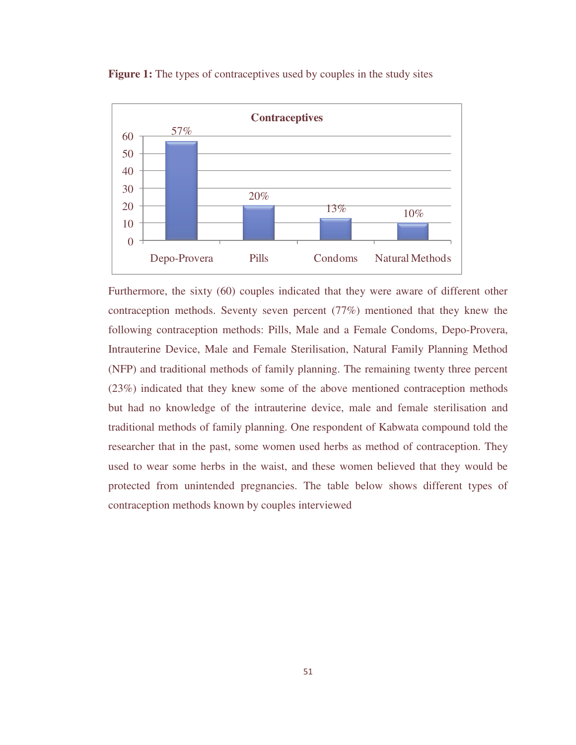

**Figure 1:** The types of contraceptives used by couples in the study sites

Furthermore, the sixty (60) couples indicated that they were aware of different other contraception methods. Seventy seven percent (77%) mentioned that they knew the following contraception methods: Pills, Male and a Female Condoms, Depo-Provera, Intrauterine Device, Male and Female Sterilisation, Natural Family Planning Method (NFP) and traditional methods of family planning. The remaining twenty three percent (23%) indicated that they knew some of the above mentioned contraception methods but had no knowledge of the intrauterine device, male and female sterilisation and traditional methods of family planning. One respondent of Kabwata compound told the researcher that in the past, some women used herbs as method of contraception. They used to wear some herbs in the waist, and these women believed that they would be protected from unintended pregnancies. The table below shows different types of contraception methods known by couples interviewed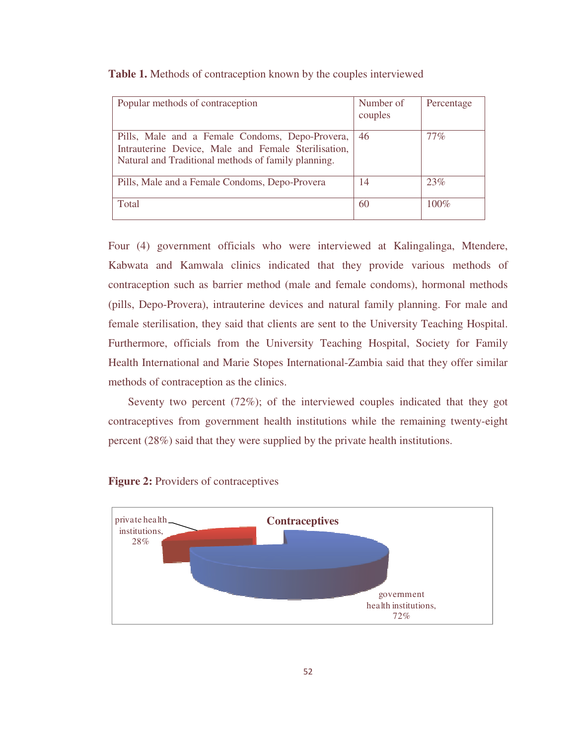| Popular methods of contraception                                                                                                                              | Number of<br>couples | Percentage |
|---------------------------------------------------------------------------------------------------------------------------------------------------------------|----------------------|------------|
| Pills, Male and a Female Condoms, Depo-Provera,<br>Intrauterine Device, Male and Female Sterilisation,<br>Natural and Traditional methods of family planning. | 46                   | $77\%$     |
| Pills, Male and a Female Condoms, Depo-Provera                                                                                                                | 14                   | 23%        |
| Total                                                                                                                                                         | 60                   | $100\%$    |

| Table 1. Methods of contraception known by the couples interviewed |  |  |  |  |
|--------------------------------------------------------------------|--|--|--|--|
|--------------------------------------------------------------------|--|--|--|--|

Four (4) government officials who were interviewed at Kalingalinga, Mtendere, Kabwata and Kamwala clinics indicated that they provide various methods of contraception such as barrier method (male and female condoms), hormonal methods (pills, Depo-Provera), intrauterine devices and natural family planning. For male and female sterilisation, they said that clients are sent to the University Teaching Hospital. Furthermore, officials from the University Teaching Hospital, Society for Family Health International and Marie Stopes International-Zambia said that they offer similar methods of contraception as the clinics.

 Seventy two percent (72%); of the interviewed couples indicated that they got contraceptives from government health institutions while the remaining twenty-eight percent (28%) said that they were supplied by the private health institutions.



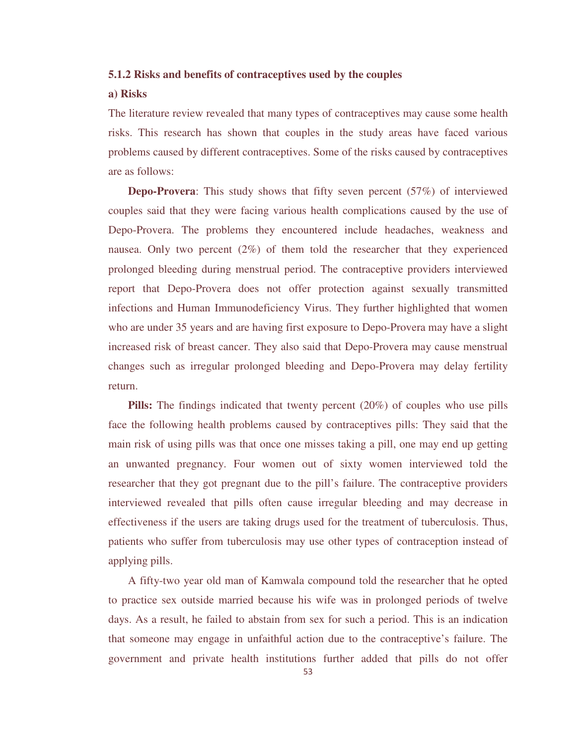## **5.1.2 Risks and benefits of contraceptives used by the couples**

## **a) Risks**

The literature review revealed that many types of contraceptives may cause some health risks. This research has shown that couples in the study areas have faced various problems caused by different contraceptives. Some of the risks caused by contraceptives are as follows:

**Depo-Provera**: This study shows that fifty seven percent (57%) of interviewed couples said that they were facing various health complications caused by the use of Depo-Provera. The problems they encountered include headaches, weakness and nausea. Only two percent (2%) of them told the researcher that they experienced prolonged bleeding during menstrual period. The contraceptive providers interviewed report that Depo-Provera does not offer protection against sexually transmitted infections and Human Immunodeficiency Virus. They further highlighted that women who are under 35 years and are having first exposure to Depo-Provera may have a slight increased risk of breast cancer. They also said that Depo-Provera may cause menstrual changes such as irregular prolonged bleeding and Depo-Provera may delay fertility return.

 **Pills:** The findings indicated that twenty percent (20%) of couples who use pills face the following health problems caused by contraceptives pills: They said that the main risk of using pills was that once one misses taking a pill, one may end up getting an unwanted pregnancy. Four women out of sixty women interviewed told the researcher that they got pregnant due to the pill's failure. The contraceptive providers interviewed revealed that pills often cause irregular bleeding and may decrease in effectiveness if the users are taking drugs used for the treatment of tuberculosis. Thus, patients who suffer from tuberculosis may use other types of contraception instead of applying pills.

 A fifty-two year old man of Kamwala compound told the researcher that he opted to practice sex outside married because his wife was in prolonged periods of twelve days. As a result, he failed to abstain from sex for such a period. This is an indication that someone may engage in unfaithful action due to the contraceptive's failure. The government and private health institutions further added that pills do not offer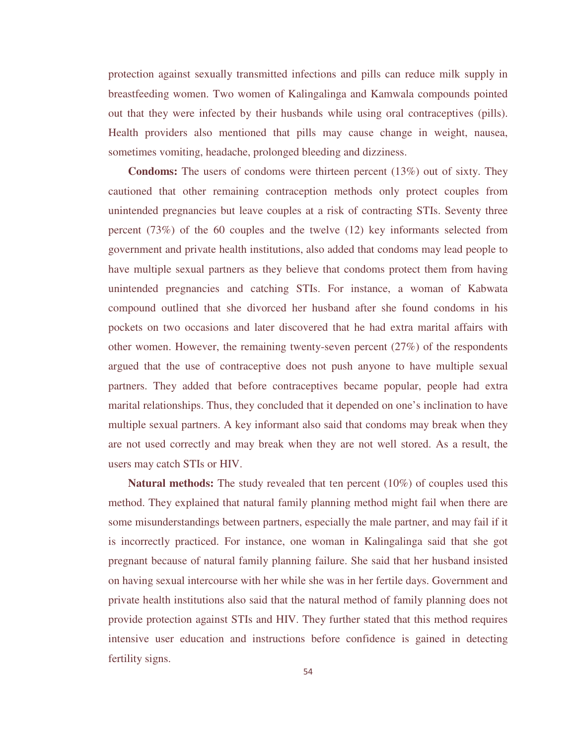protection against sexually transmitted infections and pills can reduce milk supply in breastfeeding women. Two women of Kalingalinga and Kamwala compounds pointed out that they were infected by their husbands while using oral contraceptives (pills). Health providers also mentioned that pills may cause change in weight, nausea, sometimes vomiting, headache, prolonged bleeding and dizziness.

 **Condoms:** The users of condoms were thirteen percent (13%) out of sixty. They cautioned that other remaining contraception methods only protect couples from unintended pregnancies but leave couples at a risk of contracting STIs. Seventy three percent (73%) of the 60 couples and the twelve (12) key informants selected from government and private health institutions, also added that condoms may lead people to have multiple sexual partners as they believe that condoms protect them from having unintended pregnancies and catching STIs. For instance, a woman of Kabwata compound outlined that she divorced her husband after she found condoms in his pockets on two occasions and later discovered that he had extra marital affairs with other women. However, the remaining twenty-seven percent  $(27%)$  of the respondents argued that the use of contraceptive does not push anyone to have multiple sexual partners. They added that before contraceptives became popular, people had extra marital relationships. Thus, they concluded that it depended on one's inclination to have multiple sexual partners. A key informant also said that condoms may break when they are not used correctly and may break when they are not well stored. As a result, the users may catch STIs or HIV.

**Natural methods:** The study revealed that ten percent (10%) of couples used this method. They explained that natural family planning method might fail when there are some misunderstandings between partners, especially the male partner, and may fail if it is incorrectly practiced. For instance, one woman in Kalingalinga said that she got pregnant because of natural family planning failure. She said that her husband insisted on having sexual intercourse with her while she was in her fertile days. Government and private health institutions also said that the natural method of family planning does not provide protection against STIs and HIV. They further stated that this method requires intensive user education and instructions before confidence is gained in detecting fertility signs.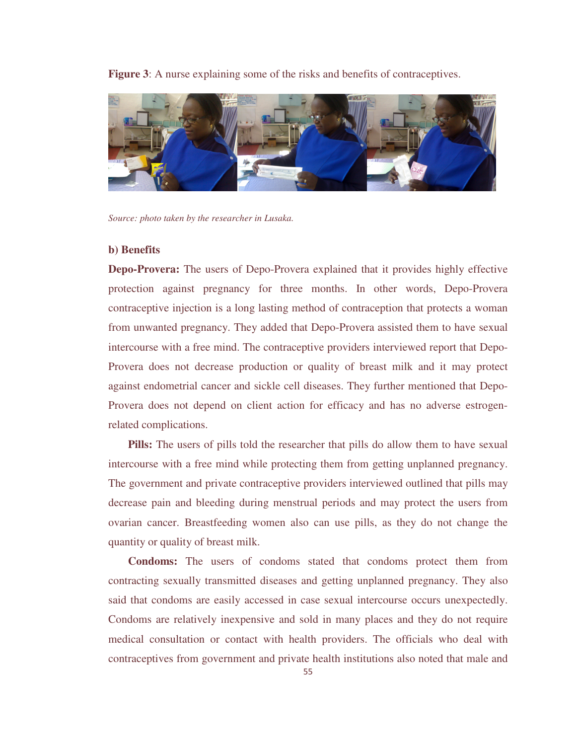**Figure 3**: A nurse explaining some of the risks and benefits of contraceptives.



*Source: photo taken by the researcher in Lusaka.* 

#### **b) Benefits**

**Depo-Provera:** The users of Depo-Provera explained that it provides highly effective protection against pregnancy for three months. In other words, Depo-Provera contraceptive injection is a long lasting method of contraception that protects a woman from unwanted pregnancy. They added that Depo-Provera assisted them to have sexual intercourse with a free mind. The contraceptive providers interviewed report that Depo-Provera does not decrease production or quality of breast milk and it may protect against endometrial cancer and sickle cell diseases. They further mentioned that Depo-Provera does not depend on client action for efficacy and has no adverse estrogenrelated complications.

**Pills:** The users of pills told the researcher that pills do allow them to have sexual intercourse with a free mind while protecting them from getting unplanned pregnancy. The government and private contraceptive providers interviewed outlined that pills may decrease pain and bleeding during menstrual periods and may protect the users from ovarian cancer. Breastfeeding women also can use pills, as they do not change the quantity or quality of breast milk.

 **Condoms:** The users of condoms stated that condoms protect them from contracting sexually transmitted diseases and getting unplanned pregnancy. They also said that condoms are easily accessed in case sexual intercourse occurs unexpectedly. Condoms are relatively inexpensive and sold in many places and they do not require medical consultation or contact with health providers. The officials who deal with contraceptives from government and private health institutions also noted that male and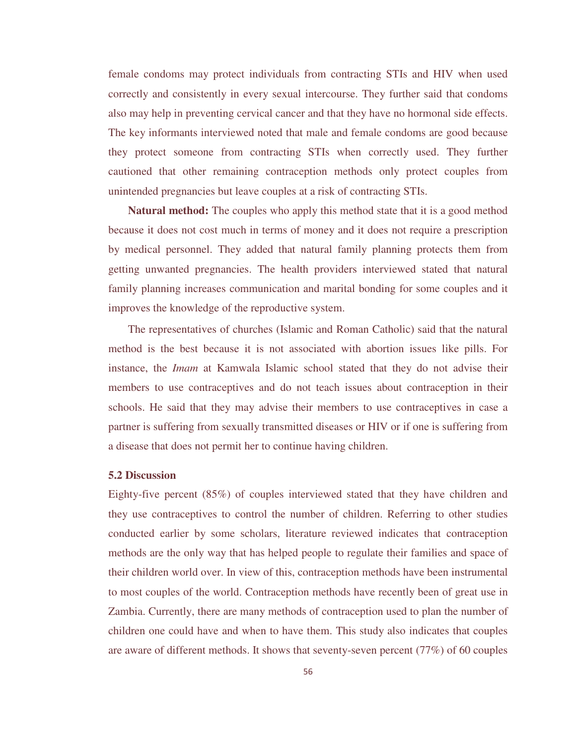female condoms may protect individuals from contracting STIs and HIV when used correctly and consistently in every sexual intercourse. They further said that condoms also may help in preventing cervical cancer and that they have no hormonal side effects. The key informants interviewed noted that male and female condoms are good because they protect someone from contracting STIs when correctly used. They further cautioned that other remaining contraception methods only protect couples from unintended pregnancies but leave couples at a risk of contracting STIs.

**Natural method:** The couples who apply this method state that it is a good method because it does not cost much in terms of money and it does not require a prescription by medical personnel. They added that natural family planning protects them from getting unwanted pregnancies. The health providers interviewed stated that natural family planning increases communication and marital bonding for some couples and it improves the knowledge of the reproductive system.

 The representatives of churches (Islamic and Roman Catholic) said that the natural method is the best because it is not associated with abortion issues like pills. For instance, the *Imam* at Kamwala Islamic school stated that they do not advise their members to use contraceptives and do not teach issues about contraception in their schools. He said that they may advise their members to use contraceptives in case a partner is suffering from sexually transmitted diseases or HIV or if one is suffering from a disease that does not permit her to continue having children.

## **5.2 Discussion**

Eighty-five percent (85%) of couples interviewed stated that they have children and they use contraceptives to control the number of children. Referring to other studies conducted earlier by some scholars, literature reviewed indicates that contraception methods are the only way that has helped people to regulate their families and space of their children world over. In view of this, contraception methods have been instrumental to most couples of the world. Contraception methods have recently been of great use in Zambia. Currently, there are many methods of contraception used to plan the number of children one could have and when to have them. This study also indicates that couples are aware of different methods. It shows that seventy-seven percent (77%) of 60 couples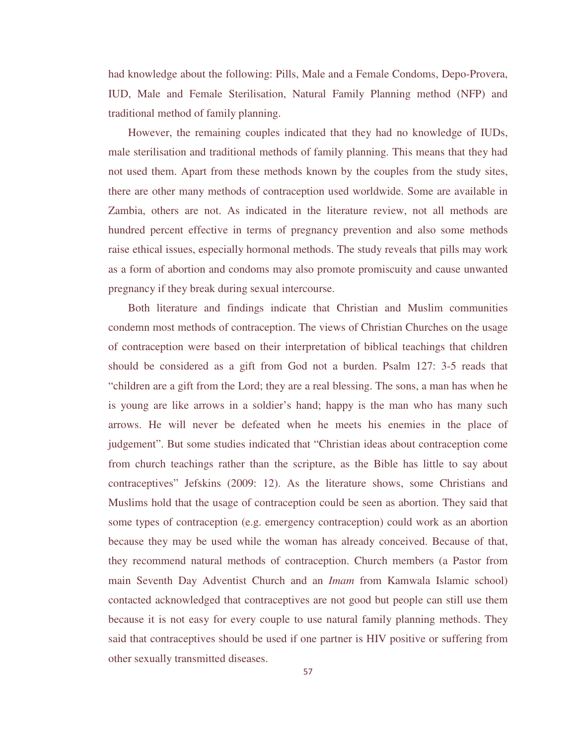had knowledge about the following: Pills, Male and a Female Condoms, Depo-Provera, IUD, Male and Female Sterilisation, Natural Family Planning method (NFP) and traditional method of family planning.

 However, the remaining couples indicated that they had no knowledge of IUDs, male sterilisation and traditional methods of family planning. This means that they had not used them. Apart from these methods known by the couples from the study sites, there are other many methods of contraception used worldwide. Some are available in Zambia, others are not. As indicated in the literature review, not all methods are hundred percent effective in terms of pregnancy prevention and also some methods raise ethical issues, especially hormonal methods. The study reveals that pills may work as a form of abortion and condoms may also promote promiscuity and cause unwanted pregnancy if they break during sexual intercourse.

 Both literature and findings indicate that Christian and Muslim communities condemn most methods of contraception. The views of Christian Churches on the usage of contraception were based on their interpretation of biblical teachings that children should be considered as a gift from God not a burden. Psalm 127: 3-5 reads that "children are a gift from the Lord; they are a real blessing. The sons, a man has when he is young are like arrows in a soldier's hand; happy is the man who has many such arrows. He will never be defeated when he meets his enemies in the place of judgement". But some studies indicated that "Christian ideas about contraception come from church teachings rather than the scripture, as the Bible has little to say about contraceptives" Jefskins (2009: 12). As the literature shows, some Christians and Muslims hold that the usage of contraception could be seen as abortion. They said that some types of contraception (e.g. emergency contraception) could work as an abortion because they may be used while the woman has already conceived. Because of that, they recommend natural methods of contraception. Church members (a Pastor from main Seventh Day Adventist Church and an *Imam* from Kamwala Islamic school) contacted acknowledged that contraceptives are not good but people can still use them because it is not easy for every couple to use natural family planning methods. They said that contraceptives should be used if one partner is HIV positive or suffering from other sexually transmitted diseases.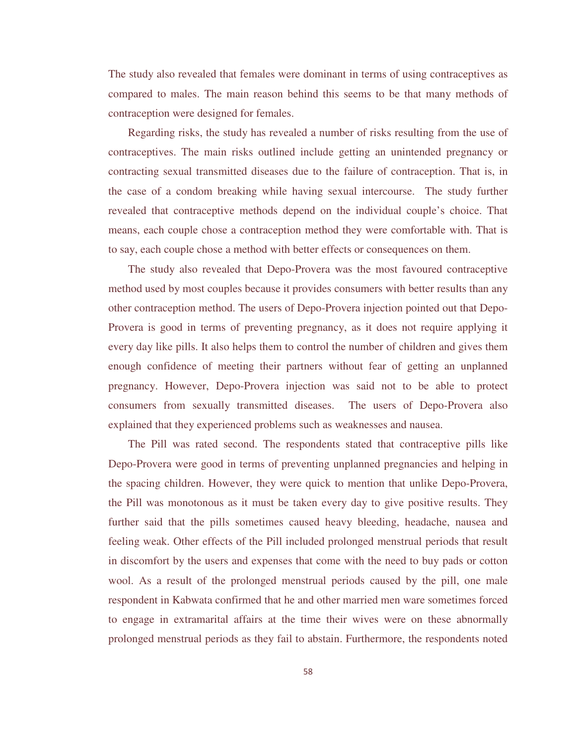The study also revealed that females were dominant in terms of using contraceptives as compared to males. The main reason behind this seems to be that many methods of contraception were designed for females.

 Regarding risks, the study has revealed a number of risks resulting from the use of contraceptives. The main risks outlined include getting an unintended pregnancy or contracting sexual transmitted diseases due to the failure of contraception. That is, in the case of a condom breaking while having sexual intercourse. The study further revealed that contraceptive methods depend on the individual couple's choice. That means, each couple chose a contraception method they were comfortable with. That is to say, each couple chose a method with better effects or consequences on them.

 The study also revealed that Depo-Provera was the most favoured contraceptive method used by most couples because it provides consumers with better results than any other contraception method. The users of Depo-Provera injection pointed out that Depo-Provera is good in terms of preventing pregnancy, as it does not require applying it every day like pills. It also helps them to control the number of children and gives them enough confidence of meeting their partners without fear of getting an unplanned pregnancy. However, Depo-Provera injection was said not to be able to protect consumers from sexually transmitted diseases. The users of Depo-Provera also explained that they experienced problems such as weaknesses and nausea.

 The Pill was rated second. The respondents stated that contraceptive pills like Depo-Provera were good in terms of preventing unplanned pregnancies and helping in the spacing children. However, they were quick to mention that unlike Depo-Provera, the Pill was monotonous as it must be taken every day to give positive results. They further said that the pills sometimes caused heavy bleeding, headache, nausea and feeling weak. Other effects of the Pill included prolonged menstrual periods that result in discomfort by the users and expenses that come with the need to buy pads or cotton wool. As a result of the prolonged menstrual periods caused by the pill, one male respondent in Kabwata confirmed that he and other married men ware sometimes forced to engage in extramarital affairs at the time their wives were on these abnormally prolonged menstrual periods as they fail to abstain. Furthermore, the respondents noted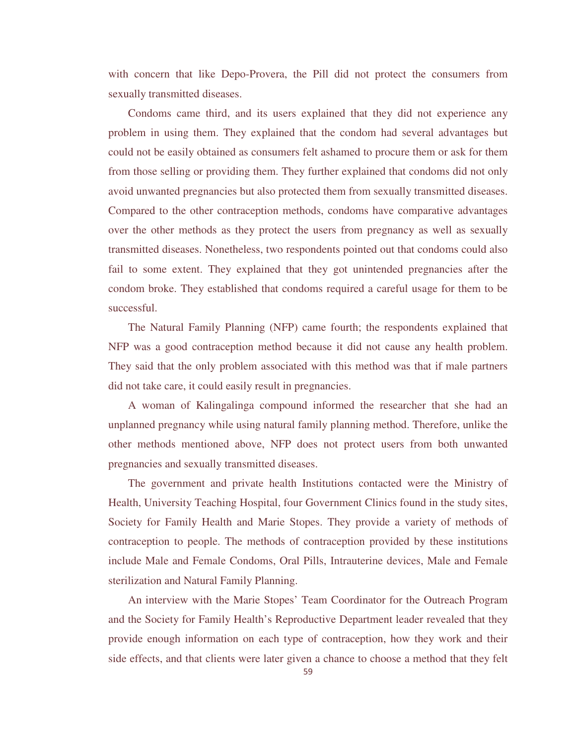with concern that like Depo-Provera, the Pill did not protect the consumers from sexually transmitted diseases.

 Condoms came third, and its users explained that they did not experience any problem in using them. They explained that the condom had several advantages but could not be easily obtained as consumers felt ashamed to procure them or ask for them from those selling or providing them. They further explained that condoms did not only avoid unwanted pregnancies but also protected them from sexually transmitted diseases. Compared to the other contraception methods, condoms have comparative advantages over the other methods as they protect the users from pregnancy as well as sexually transmitted diseases. Nonetheless, two respondents pointed out that condoms could also fail to some extent. They explained that they got unintended pregnancies after the condom broke. They established that condoms required a careful usage for them to be successful.

 The Natural Family Planning (NFP) came fourth; the respondents explained that NFP was a good contraception method because it did not cause any health problem. They said that the only problem associated with this method was that if male partners did not take care, it could easily result in pregnancies.

 A woman of Kalingalinga compound informed the researcher that she had an unplanned pregnancy while using natural family planning method. Therefore, unlike the other methods mentioned above, NFP does not protect users from both unwanted pregnancies and sexually transmitted diseases.

 The government and private health Institutions contacted were the Ministry of Health, University Teaching Hospital, four Government Clinics found in the study sites, Society for Family Health and Marie Stopes. They provide a variety of methods of contraception to people. The methods of contraception provided by these institutions include Male and Female Condoms, Oral Pills, Intrauterine devices, Male and Female sterilization and Natural Family Planning.

 An interview with the Marie Stopes' Team Coordinator for the Outreach Program and the Society for Family Health's Reproductive Department leader revealed that they provide enough information on each type of contraception, how they work and their side effects, and that clients were later given a chance to choose a method that they felt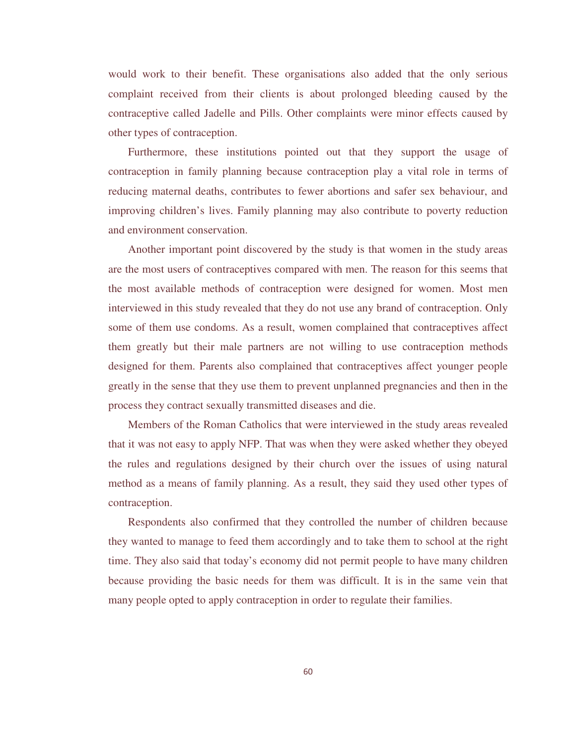would work to their benefit. These organisations also added that the only serious complaint received from their clients is about prolonged bleeding caused by the contraceptive called Jadelle and Pills. Other complaints were minor effects caused by other types of contraception.

 Furthermore, these institutions pointed out that they support the usage of contraception in family planning because contraception play a vital role in terms of reducing maternal deaths, contributes to fewer abortions and safer sex behaviour, and improving children's lives. Family planning may also contribute to poverty reduction and environment conservation.

 Another important point discovered by the study is that women in the study areas are the most users of contraceptives compared with men. The reason for this seems that the most available methods of contraception were designed for women. Most men interviewed in this study revealed that they do not use any brand of contraception. Only some of them use condoms. As a result, women complained that contraceptives affect them greatly but their male partners are not willing to use contraception methods designed for them. Parents also complained that contraceptives affect younger people greatly in the sense that they use them to prevent unplanned pregnancies and then in the process they contract sexually transmitted diseases and die.

 Members of the Roman Catholics that were interviewed in the study areas revealed that it was not easy to apply NFP. That was when they were asked whether they obeyed the rules and regulations designed by their church over the issues of using natural method as a means of family planning. As a result, they said they used other types of contraception.

 Respondents also confirmed that they controlled the number of children because they wanted to manage to feed them accordingly and to take them to school at the right time. They also said that today's economy did not permit people to have many children because providing the basic needs for them was difficult. It is in the same vein that many people opted to apply contraception in order to regulate their families.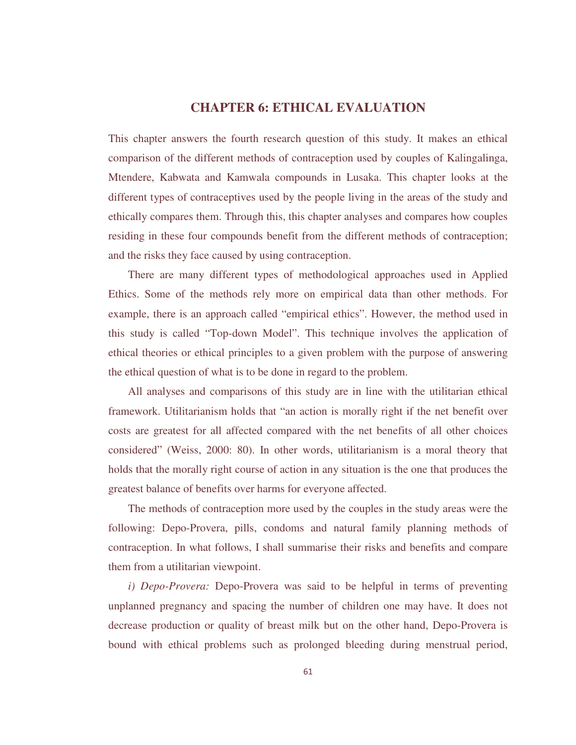# **CHAPTER 6: ETHICAL EVALUATION**

This chapter answers the fourth research question of this study. It makes an ethical comparison of the different methods of contraception used by couples of Kalingalinga, Mtendere, Kabwata and Kamwala compounds in Lusaka. This chapter looks at the different types of contraceptives used by the people living in the areas of the study and ethically compares them. Through this, this chapter analyses and compares how couples residing in these four compounds benefit from the different methods of contraception; and the risks they face caused by using contraception.

 There are many different types of methodological approaches used in Applied Ethics. Some of the methods rely more on empirical data than other methods. For example, there is an approach called "empirical ethics". However, the method used in this study is called "Top-down Model". This technique involves the application of ethical theories or ethical principles to a given problem with the purpose of answering the ethical question of what is to be done in regard to the problem.

 All analyses and comparisons of this study are in line with the utilitarian ethical framework. Utilitarianism holds that "an action is morally right if the net benefit over costs are greatest for all affected compared with the net benefits of all other choices considered" (Weiss, 2000: 80). In other words, utilitarianism is a moral theory that holds that the morally right course of action in any situation is the one that produces the greatest balance of benefits over harms for everyone affected.

 The methods of contraception more used by the couples in the study areas were the following: Depo-Provera, pills, condoms and natural family planning methods of contraception. In what follows, I shall summarise their risks and benefits and compare them from a utilitarian viewpoint.

 *i) Depo-Provera:* Depo-Provera was said to be helpful in terms of preventing unplanned pregnancy and spacing the number of children one may have. It does not decrease production or quality of breast milk but on the other hand, Depo-Provera is bound with ethical problems such as prolonged bleeding during menstrual period,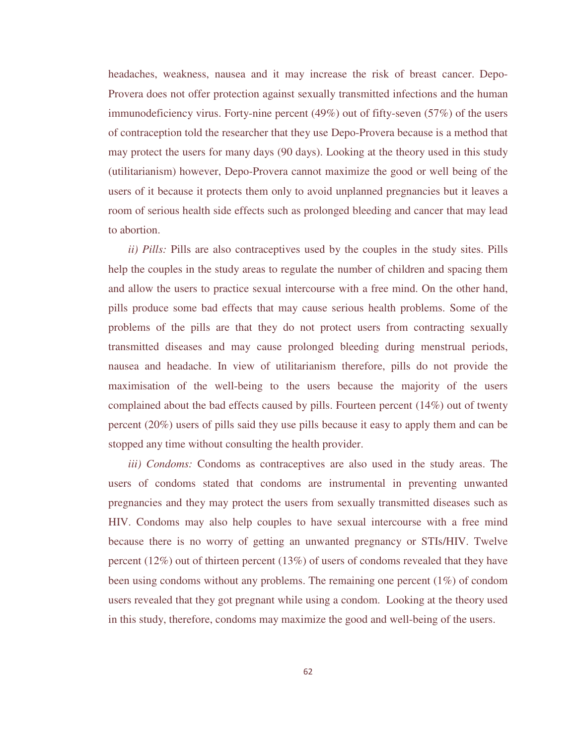headaches, weakness, nausea and it may increase the risk of breast cancer. Depo-Provera does not offer protection against sexually transmitted infections and the human immunodeficiency virus. Forty-nine percent (49%) out of fifty-seven (57%) of the users of contraception told the researcher that they use Depo-Provera because is a method that may protect the users for many days (90 days). Looking at the theory used in this study (utilitarianism) however, Depo-Provera cannot maximize the good or well being of the users of it because it protects them only to avoid unplanned pregnancies but it leaves a room of serious health side effects such as prolonged bleeding and cancer that may lead to abortion.

 *ii) Pills:* Pills are also contraceptives used by the couples in the study sites. Pills help the couples in the study areas to regulate the number of children and spacing them and allow the users to practice sexual intercourse with a free mind. On the other hand, pills produce some bad effects that may cause serious health problems. Some of the problems of the pills are that they do not protect users from contracting sexually transmitted diseases and may cause prolonged bleeding during menstrual periods, nausea and headache. In view of utilitarianism therefore, pills do not provide the maximisation of the well-being to the users because the majority of the users complained about the bad effects caused by pills. Fourteen percent (14%) out of twenty percent (20%) users of pills said they use pills because it easy to apply them and can be stopped any time without consulting the health provider.

 *iii) Condoms:* Condoms as contraceptives are also used in the study areas. The users of condoms stated that condoms are instrumental in preventing unwanted pregnancies and they may protect the users from sexually transmitted diseases such as HIV. Condoms may also help couples to have sexual intercourse with a free mind because there is no worry of getting an unwanted pregnancy or STIs/HIV. Twelve percent (12%) out of thirteen percent (13%) of users of condoms revealed that they have been using condoms without any problems. The remaining one percent (1%) of condom users revealed that they got pregnant while using a condom. Looking at the theory used in this study, therefore, condoms may maximize the good and well-being of the users.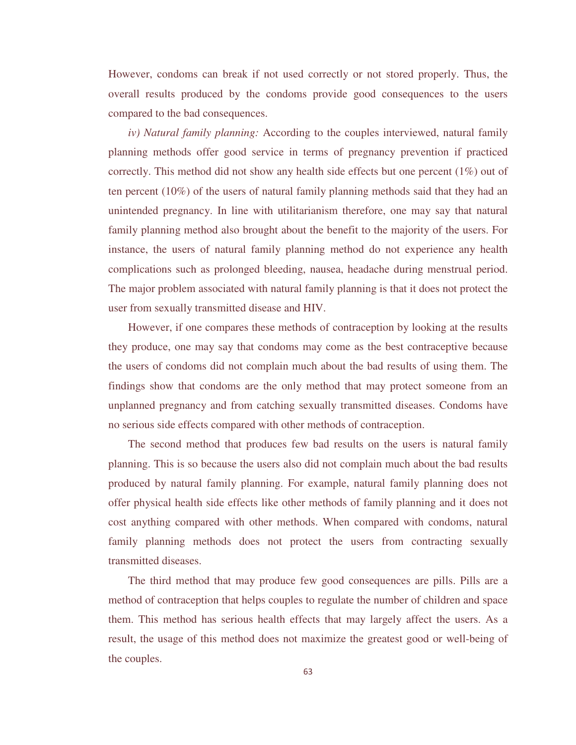However, condoms can break if not used correctly or not stored properly. Thus, the overall results produced by the condoms provide good consequences to the users compared to the bad consequences.

 *iv) Natural family planning:* According to the couples interviewed, natural family planning methods offer good service in terms of pregnancy prevention if practiced correctly. This method did not show any health side effects but one percent  $(1\%)$  out of ten percent (10%) of the users of natural family planning methods said that they had an unintended pregnancy. In line with utilitarianism therefore, one may say that natural family planning method also brought about the benefit to the majority of the users. For instance, the users of natural family planning method do not experience any health complications such as prolonged bleeding, nausea, headache during menstrual period. The major problem associated with natural family planning is that it does not protect the user from sexually transmitted disease and HIV.

 However, if one compares these methods of contraception by looking at the results they produce, one may say that condoms may come as the best contraceptive because the users of condoms did not complain much about the bad results of using them. The findings show that condoms are the only method that may protect someone from an unplanned pregnancy and from catching sexually transmitted diseases. Condoms have no serious side effects compared with other methods of contraception.

 The second method that produces few bad results on the users is natural family planning. This is so because the users also did not complain much about the bad results produced by natural family planning. For example, natural family planning does not offer physical health side effects like other methods of family planning and it does not cost anything compared with other methods. When compared with condoms, natural family planning methods does not protect the users from contracting sexually transmitted diseases.

 The third method that may produce few good consequences are pills. Pills are a method of contraception that helps couples to regulate the number of children and space them. This method has serious health effects that may largely affect the users. As a result, the usage of this method does not maximize the greatest good or well-being of the couples.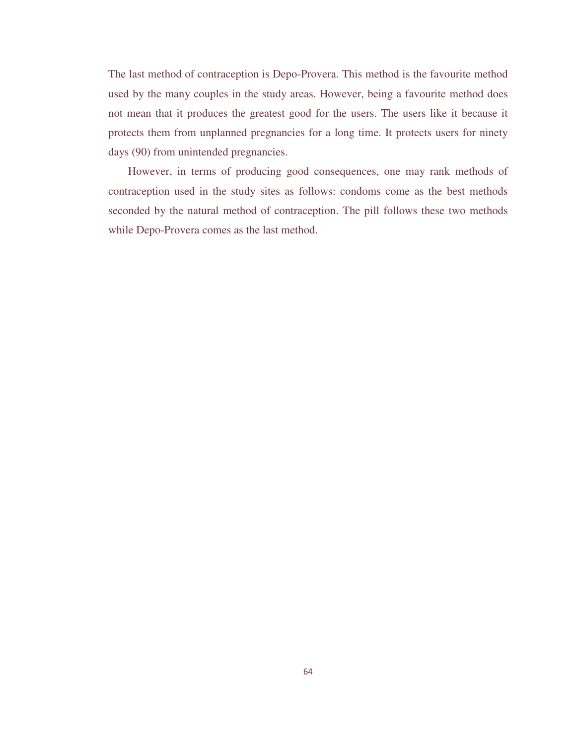The last method of contraception is Depo-Provera. This method is the favourite method used by the many couples in the study areas. However, being a favourite method does not mean that it produces the greatest good for the users. The users like it because it protects them from unplanned pregnancies for a long time. It protects users for ninety days (90) from unintended pregnancies.

 However, in terms of producing good consequences, one may rank methods of contraception used in the study sites as follows: condoms come as the best methods seconded by the natural method of contraception. The pill follows these two methods while Depo-Provera comes as the last method.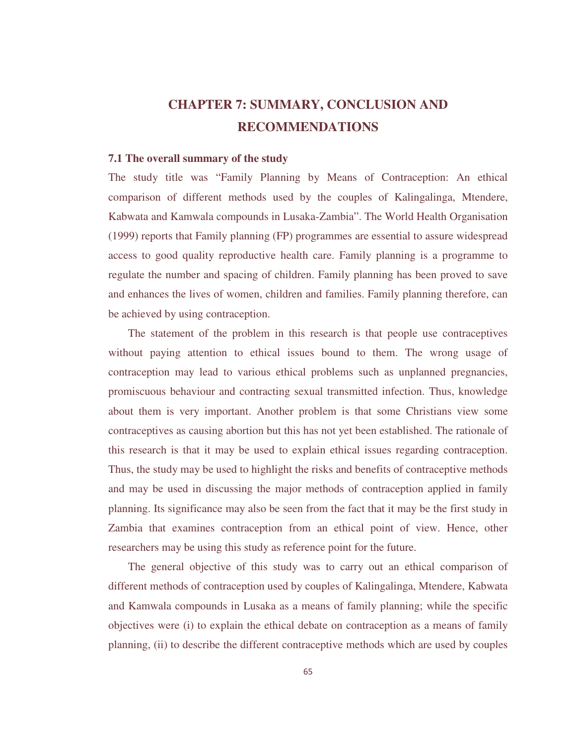# **CHAPTER 7: SUMMARY, CONCLUSION AND RECOMMENDATIONS**

#### **7.1 The overall summary of the study**

The study title was "Family Planning by Means of Contraception: An ethical comparison of different methods used by the couples of Kalingalinga, Mtendere, Kabwata and Kamwala compounds in Lusaka-Zambia". The World Health Organisation (1999) reports that Family planning (FP) programmes are essential to assure widespread access to good quality reproductive health care. Family planning is a programme to regulate the number and spacing of children. Family planning has been proved to save and enhances the lives of women, children and families. Family planning therefore, can be achieved by using contraception.

 The statement of the problem in this research is that people use contraceptives without paying attention to ethical issues bound to them. The wrong usage of contraception may lead to various ethical problems such as unplanned pregnancies, promiscuous behaviour and contracting sexual transmitted infection. Thus, knowledge about them is very important. Another problem is that some Christians view some contraceptives as causing abortion but this has not yet been established. The rationale of this research is that it may be used to explain ethical issues regarding contraception. Thus, the study may be used to highlight the risks and benefits of contraceptive methods and may be used in discussing the major methods of contraception applied in family planning. Its significance may also be seen from the fact that it may be the first study in Zambia that examines contraception from an ethical point of view. Hence, other researchers may be using this study as reference point for the future.

 The general objective of this study was to carry out an ethical comparison of different methods of contraception used by couples of Kalingalinga, Mtendere, Kabwata and Kamwala compounds in Lusaka as a means of family planning; while the specific objectives were (i) to explain the ethical debate on contraception as a means of family planning, (ii) to describe the different contraceptive methods which are used by couples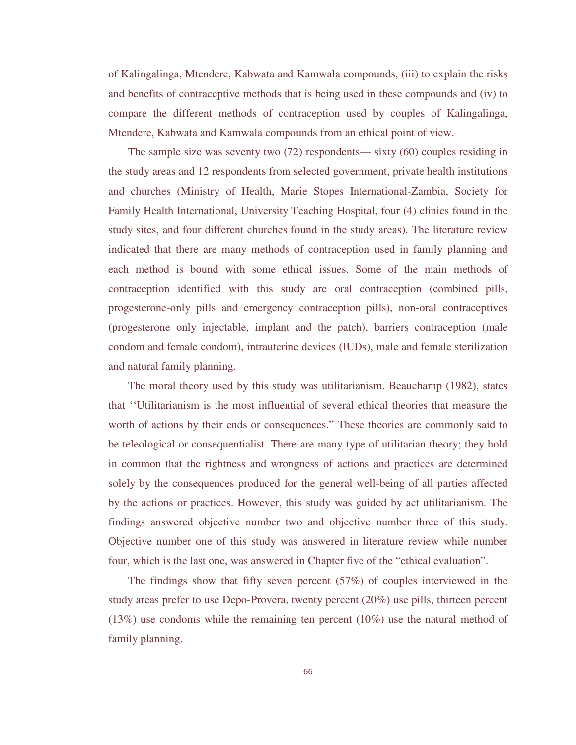of Kalingalinga, Mtendere, Kabwata and Kamwala compounds, (iii) to explain the risks and benefits of contraceptive methods that is being used in these compounds and (iv) to compare the different methods of contraception used by couples of Kalingalinga, Mtendere, Kabwata and Kamwala compounds from an ethical point of view.

 The sample size was seventy two (72) respondents— sixty (60) couples residing in the study areas and 12 respondents from selected government, private health institutions and churches (Ministry of Health, Marie Stopes International-Zambia, Society for Family Health International, University Teaching Hospital, four (4) clinics found in the study sites, and four different churches found in the study areas). The literature review indicated that there are many methods of contraception used in family planning and each method is bound with some ethical issues. Some of the main methods of contraception identified with this study are oral contraception (combined pills, progesterone-only pills and emergency contraception pills), non-oral contraceptives (progesterone only injectable, implant and the patch), barriers contraception (male condom and female condom), intrauterine devices (IUDs), male and female sterilization and natural family planning.

 The moral theory used by this study was utilitarianism. Beauchamp (1982), states that ''Utilitarianism is the most influential of several ethical theories that measure the worth of actions by their ends or consequences." These theories are commonly said to be teleological or consequentialist. There are many type of utilitarian theory; they hold in common that the rightness and wrongness of actions and practices are determined solely by the consequences produced for the general well-being of all parties affected by the actions or practices. However, this study was guided by act utilitarianism. The findings answered objective number two and objective number three of this study. Objective number one of this study was answered in literature review while number four, which is the last one, was answered in Chapter five of the "ethical evaluation".

 The findings show that fifty seven percent (57%) of couples interviewed in the study areas prefer to use Depo-Provera, twenty percent (20%) use pills, thirteen percent  $(13%)$  use condoms while the remaining ten percent  $(10%)$  use the natural method of family planning.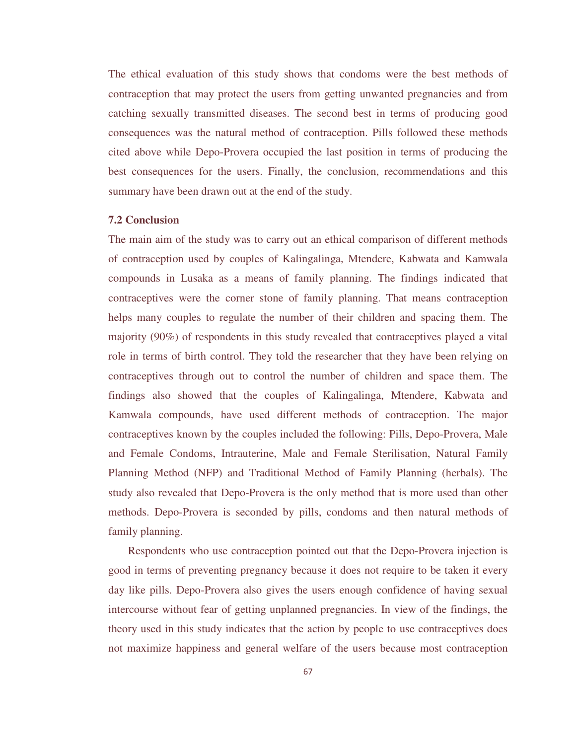The ethical evaluation of this study shows that condoms were the best methods of contraception that may protect the users from getting unwanted pregnancies and from catching sexually transmitted diseases. The second best in terms of producing good consequences was the natural method of contraception. Pills followed these methods cited above while Depo-Provera occupied the last position in terms of producing the best consequences for the users. Finally, the conclusion, recommendations and this summary have been drawn out at the end of the study.

## **7.2 Conclusion**

The main aim of the study was to carry out an ethical comparison of different methods of contraception used by couples of Kalingalinga, Mtendere, Kabwata and Kamwala compounds in Lusaka as a means of family planning. The findings indicated that contraceptives were the corner stone of family planning. That means contraception helps many couples to regulate the number of their children and spacing them. The majority (90%) of respondents in this study revealed that contraceptives played a vital role in terms of birth control. They told the researcher that they have been relying on contraceptives through out to control the number of children and space them. The findings also showed that the couples of Kalingalinga, Mtendere, Kabwata and Kamwala compounds, have used different methods of contraception. The major contraceptives known by the couples included the following: Pills, Depo-Provera, Male and Female Condoms, Intrauterine, Male and Female Sterilisation, Natural Family Planning Method (NFP) and Traditional Method of Family Planning (herbals). The study also revealed that Depo-Provera is the only method that is more used than other methods. Depo-Provera is seconded by pills, condoms and then natural methods of family planning.

 Respondents who use contraception pointed out that the Depo-Provera injection is good in terms of preventing pregnancy because it does not require to be taken it every day like pills. Depo-Provera also gives the users enough confidence of having sexual intercourse without fear of getting unplanned pregnancies. In view of the findings, the theory used in this study indicates that the action by people to use contraceptives does not maximize happiness and general welfare of the users because most contraception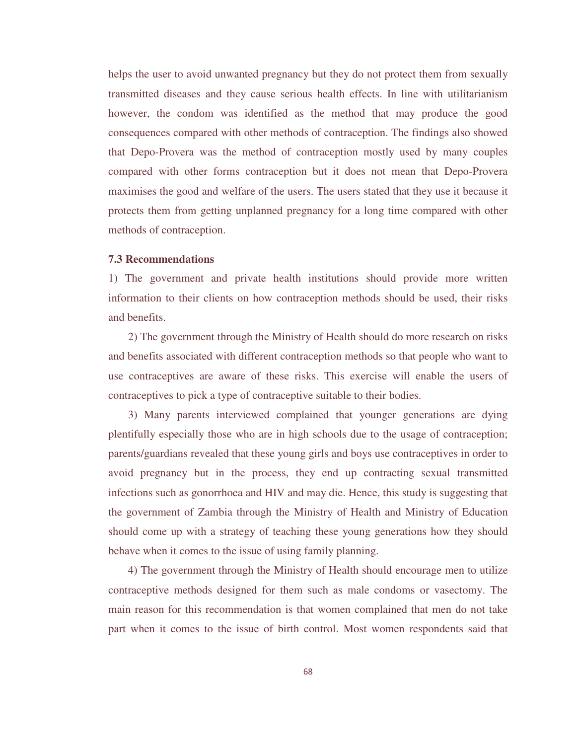helps the user to avoid unwanted pregnancy but they do not protect them from sexually transmitted diseases and they cause serious health effects. In line with utilitarianism however, the condom was identified as the method that may produce the good consequences compared with other methods of contraception. The findings also showed that Depo-Provera was the method of contraception mostly used by many couples compared with other forms contraception but it does not mean that Depo-Provera maximises the good and welfare of the users. The users stated that they use it because it protects them from getting unplanned pregnancy for a long time compared with other methods of contraception.

## **7.3 Recommendations**

1) The government and private health institutions should provide more written information to their clients on how contraception methods should be used, their risks and benefits.

 2) The government through the Ministry of Health should do more research on risks and benefits associated with different contraception methods so that people who want to use contraceptives are aware of these risks. This exercise will enable the users of contraceptives to pick a type of contraceptive suitable to their bodies.

 3) Many parents interviewed complained that younger generations are dying plentifully especially those who are in high schools due to the usage of contraception; parents/guardians revealed that these young girls and boys use contraceptives in order to avoid pregnancy but in the process, they end up contracting sexual transmitted infections such as gonorrhoea and HIV and may die. Hence, this study is suggesting that the government of Zambia through the Ministry of Health and Ministry of Education should come up with a strategy of teaching these young generations how they should behave when it comes to the issue of using family planning.

 4) The government through the Ministry of Health should encourage men to utilize contraceptive methods designed for them such as male condoms or vasectomy. The main reason for this recommendation is that women complained that men do not take part when it comes to the issue of birth control. Most women respondents said that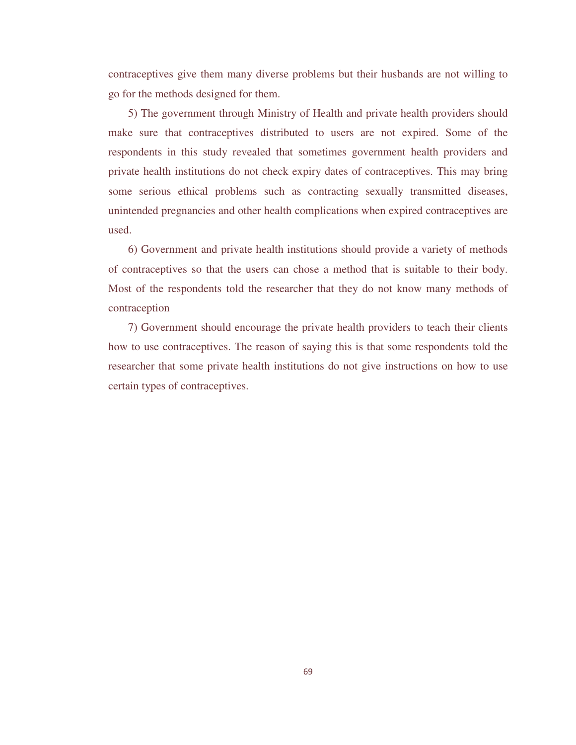contraceptives give them many diverse problems but their husbands are not willing to go for the methods designed for them.

 5) The government through Ministry of Health and private health providers should make sure that contraceptives distributed to users are not expired. Some of the respondents in this study revealed that sometimes government health providers and private health institutions do not check expiry dates of contraceptives. This may bring some serious ethical problems such as contracting sexually transmitted diseases, unintended pregnancies and other health complications when expired contraceptives are used.

 6) Government and private health institutions should provide a variety of methods of contraceptives so that the users can chose a method that is suitable to their body. Most of the respondents told the researcher that they do not know many methods of contraception

 7) Government should encourage the private health providers to teach their clients how to use contraceptives. The reason of saying this is that some respondents told the researcher that some private health institutions do not give instructions on how to use certain types of contraceptives.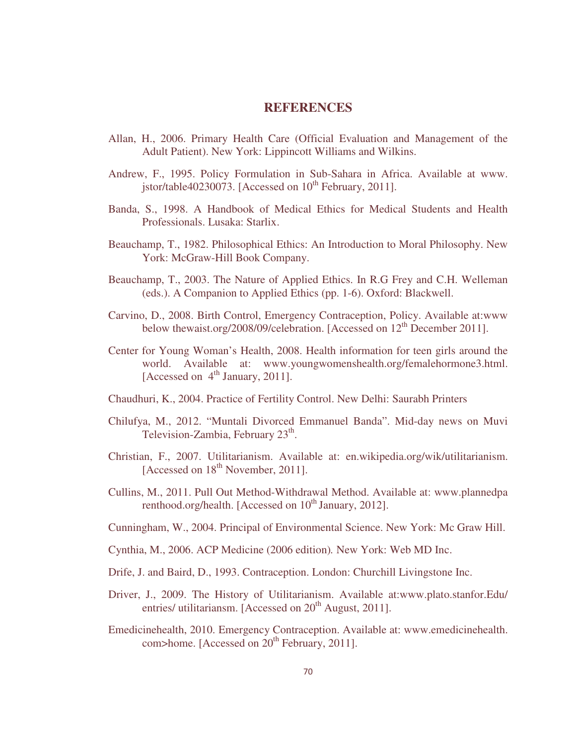## **REFERENCES**

- Allan, H., 2006. Primary Health Care (Official Evaluation and Management of the Adult Patient). New York: Lippincott Williams and Wilkins.
- Andrew, F., 1995. Policy Formulation in Sub-Sahara in Africa. Available at www. jstor/table40230073. [Accessed on  $10^{th}$  February, 2011].
- Banda, S., 1998. A Handbook of Medical Ethics for Medical Students and Health Professionals. Lusaka: Starlix.
- Beauchamp, T., 1982. Philosophical Ethics: An Introduction to Moral Philosophy. New York: McGraw-Hill Book Company.
- Beauchamp, T., 2003. The Nature of Applied Ethics. In R.G Frey and C.H. Welleman (eds.). A Companion to Applied Ethics (pp. 1-6). Oxford: Blackwell.
- Carvino, D., 2008. Birth Control, Emergency Contraception, Policy. Available at:www below thewaist.org/2008/09/celebration. [Accessed on  $12<sup>th</sup>$  December 2011].
- Center for Young Woman's Health, 2008. Health information for teen girls around the world. Available at: www.youngwomenshealth.org/femalehormone3.html. [Accessed on 4<sup>th</sup> January, 2011].
- Chaudhuri, K., 2004. Practice of Fertility Control. New Delhi: Saurabh Printers
- Chilufya, M., 2012. "Muntali Divorced Emmanuel Banda". Mid-day news on Muvi Television-Zambia, February 23<sup>th</sup>.
- Christian, F., 2007. Utilitarianism. Available at: en.wikipedia.org/wik/utilitarianism. [Accessed on 18<sup>th</sup> November, 2011].
- Cullins, M., 2011. Pull Out Method-Withdrawal Method. Available at: www.plannedpa renthood.org/health. [Accessed on 10<sup>th</sup> January, 2012].
- Cunningham, W., 2004. Principal of Environmental Science. New York: Mc Graw Hill.
- Cynthia, M., 2006. ACP Medicine (2006 edition)*.* New York: Web MD Inc.
- Drife, J. and Baird, D., 1993. Contraception. London: Churchill Livingstone Inc.
- Driver, J., 2009. The History of Utilitarianism. Available at:www.plato.stanfor.Edu/ entries/ utilitariansm. [Accessed on  $20<sup>th</sup>$  August, 2011].
- Emedicinehealth, 2010. Emergency Contraception. Available at: www.emedicinehealth. com>home. [Accessed on  $20<sup>th</sup>$  February, 2011].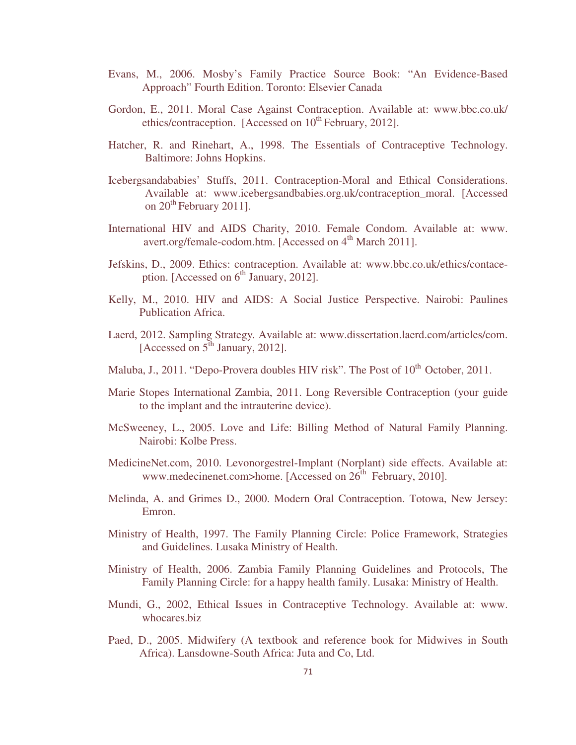- Evans, M., 2006. Mosby's Family Practice Source Book: "An Evidence-Based Approach" Fourth Edition. Toronto: Elsevier Canada
- Gordon, E., 2011. Moral Case Against Contraception. Available at: www.bbc.co.uk/ ethics/contraception. [Accessed on  $10^{th}$  February, 2012].
- Hatcher, R. and Rinehart, A., 1998. The Essentials of Contraceptive Technology. Baltimore: Johns Hopkins.
- Icebergsandababies' Stuffs, 2011. Contraception-Moral and Ethical Considerations. Available at: www.icebergsandbabies.org.uk/contraception\_moral. [Accessed on  $20^{th}$  February 2011].
- International HIV and AIDS Charity, 2010. Female Condom. Available at: www. avert.org/female-codom.htm. [Accessed on 4<sup>th</sup> March 2011].
- Jefskins, D., 2009. Ethics: contraception. Available at: www.bbc.co.uk/ethics/contace ption. [Accessed on  $6<sup>th</sup>$  January, 2012].
- Kelly, M., 2010. HIV and AIDS: A Social Justice Perspective. Nairobi: Paulines Publication Africa.
- Laerd, 2012. Sampling Strategy*.* Available at: www.dissertation.laerd.com/articles/com. [Accessed on  $5<sup>th</sup>$  January, 2012].
- Maluba, J., 2011. "Depo-Provera doubles HIV risk". The Post of  $10<sup>th</sup>$  October, 2011.
- Marie Stopes International Zambia, 2011. Long Reversible Contraception (your guide to the implant and the intrauterine device).
- McSweeney, L., 2005. Love and Life: Billing Method of Natural Family Planning. Nairobi: Kolbe Press.
- MedicineNet.com, 2010. Levonorgestrel-Implant (Norplant) side effects. Available at: www.medecinenet.com>home. [Accessed on  $26<sup>th</sup>$  February, 2010].
- Melinda, A. and Grimes D., 2000. Modern Oral Contraception. Totowa, New Jersey: Emron.
- Ministry of Health, 1997. The Family Planning Circle: Police Framework, Strategies and Guidelines. Lusaka Ministry of Health.
- Ministry of Health, 2006. Zambia Family Planning Guidelines and Protocols, The Family Planning Circle: for a happy health family. Lusaka: Ministry of Health.
- Mundi, G., 2002, Ethical Issues in Contraceptive Technology. Available at: www. whocares.biz
- Paed, D., 2005. Midwifery (A textbook and reference book for Midwives in South Africa). Lansdowne-South Africa: Juta and Co, Ltd.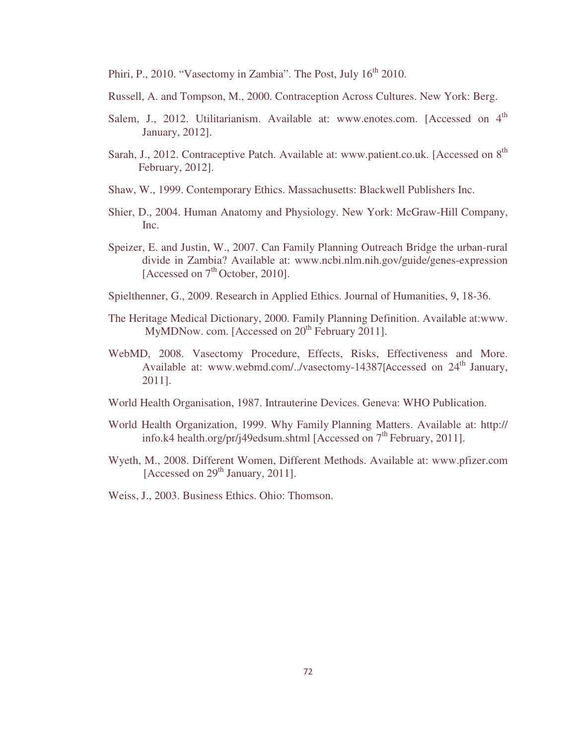Phiri, P., 2010. "Vasectomy in Zambia". The Post, July 16<sup>th</sup> 2010.

- Russell, A. and Tompson, M., 2000. Contraception Across Cultures. New York: Berg.
- Salem, J., 2012. Utilitarianism. Available at: www.enotes.com. [Accessed on 4<sup>th</sup> January, 2012].
- Sarah, J., 2012. Contraceptive Patch. Available at: www.patient.co.uk. [Accessed on 8<sup>th</sup> February, 2012].
- Shaw, W., 1999. Contemporary Ethics. Massachusetts: Blackwell Publishers Inc.
- Shier, D., 2004. Human Anatomy and Physiology. New York: McGraw-Hill Company, Inc.
- Speizer, E. and Justin, W., 2007. Can Family Planning Outreach Bridge the urban-rural divide in Zambia? Available at: www.ncbi.nlm.nih.gov/guide/genes-expression [Accessed on  $7<sup>th</sup>$  October, 2010].
- Spielthenner, G., 2009. Research in Applied Ethics. Journal of Humanities, 9, 18-36.
- The Heritage Medical Dictionary, 2000. Family Planning Definition. Available at:www. MyMDNow. com. [Accessed on  $20<sup>th</sup>$  February 2011].
- WebMD, 2008. Vasectomy Procedure, Effects, Risks, Effectiveness and More. Available at: www.webmd.com/../vasectomy-14387[Accessed on 24<sup>th</sup> January, 2011].
- World Health Organisation, 1987. Intrauterine Devices. Geneva: WHO Publication.
- World Health Organization, 1999. Why Family Planning Matters. Available at: http:// info.k4 health.org/pr/j49edsum.shtml [Accessed on  $7<sup>th</sup>$  February, 2011].
- Wyeth, M., 2008. Different Women, Different Methods. Available at: www.pfizer.com [Accessed on  $29<sup>th</sup>$  January, 2011].
- Weiss, J., 2003. Business Ethics. Ohio: Thomson.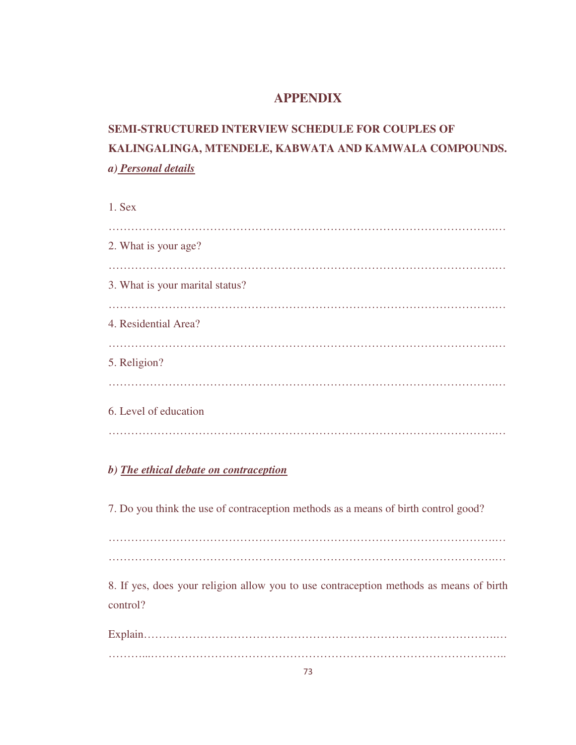### **APPENDIX**

# **SEMI-STRUCTURED INTERVIEW SCHEDULE FOR COUPLES OF KALINGALINGA, MTENDELE, KABWATA AND KAMWALA COMPOUNDS.**  *a) Personal details*

1. Sex ………………………………………………………………………………………….… 2. What is your age? ………………………………………………………………………………………….… 3. What is your marital status? ………………………………………………………………………………………….… 4. Residential Area? ………………………………………………………………………………………….… 5. Religion? ………………………………………………………………………………………….… 6. Level of education ………………………………………………………………………………………….…

### *b) The ethical debate on contraception*

7. Do you think the use of contraception methods as a means of birth control good?

………………………………………………………………………………………….… ………………………………………………………………………………………….…

8. If yes, does your religion allow you to use contraception methods as means of birth control?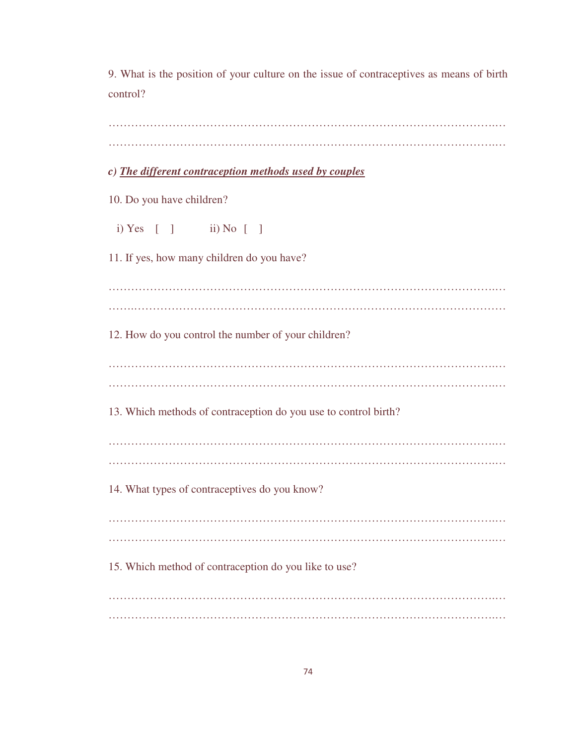9. What is the position of your culture on the issue of contraceptives as means of birth control?

| c) The different contraception methods used by couples          |
|-----------------------------------------------------------------|
| 10. Do you have children?                                       |
| i) Yes $[ ]$ ii) No $[ ]$                                       |
| 11. If yes, how many children do you have?                      |
|                                                                 |
| 12. How do you control the number of your children?             |
|                                                                 |
| 13. Which methods of contraception do you use to control birth? |
|                                                                 |
| 14. What types of contraceptives do you know?                   |
|                                                                 |
| 15. Which method of contraception do you like to use?           |
|                                                                 |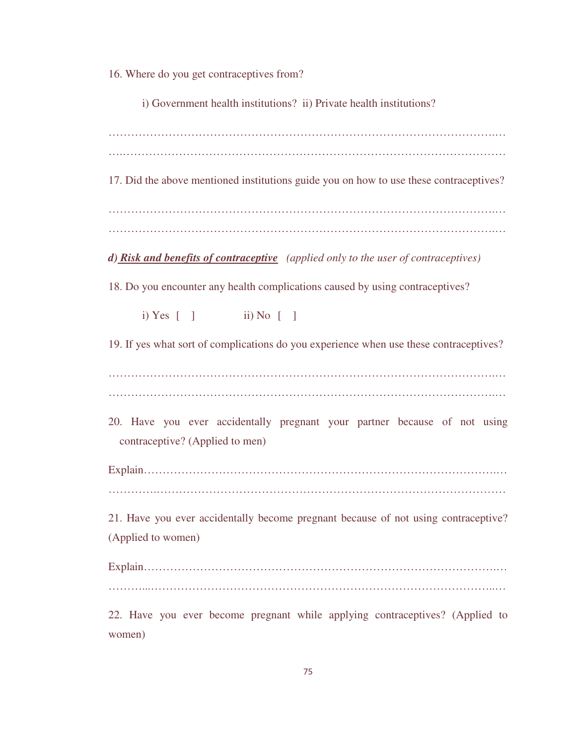16. Where do you get contraceptives from?

i) Government health institutions? ii) Private health institutions?

….…………………………………………………………………………………………

17. Did the above mentioned institutions guide you on how to use these contraceptives?

………………………………………………………………………………………….…

*d) Risk and benefits of contraceptive (applied only to the user of contraceptives)* 

18. Do you encounter any health complications caused by using contraceptives?

i) Yes  $\begin{bmatrix} 1 & \text{ii} \end{bmatrix}$  No  $\begin{bmatrix} 1 & \text{1} \end{bmatrix}$ 

19. If yes what sort of complications do you experience when use these contraceptives?

………………………………………………………………………………………….… ………………………………………………………………………………………….…

20. Have you ever accidentally pregnant your partner because of not using contraceptive? (Applied to men)

Explain………………………………………………………………………………….… ………….…………………………………………………………………………………

21. Have you ever accidentally become pregnant because of not using contraceptive? (Applied to women)

Explain………………………………………………………………………………….… ………...………………………………………………………………………………..…

22. Have you ever become pregnant while applying contraceptives? (Applied to women)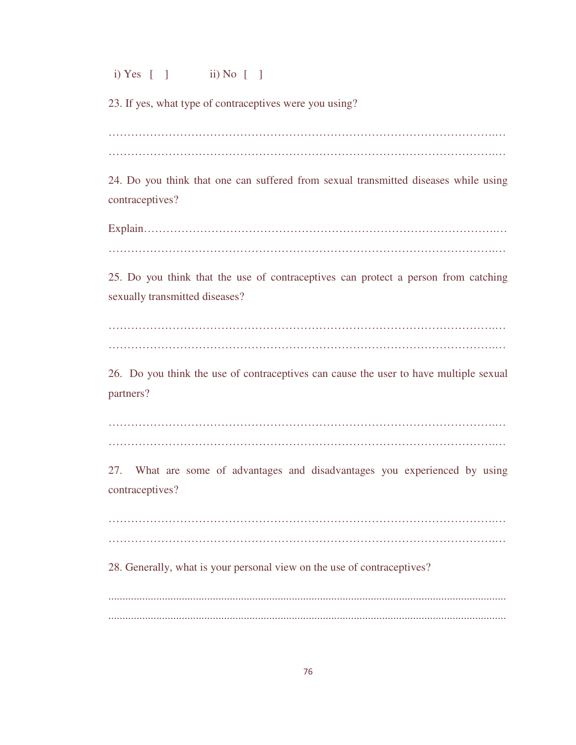i) Yes [ ] ii) No [ ]

23. If yes, what type of contraceptives were you using?

………………………………………………………………………………………….…

24. Do you think that one can suffered from sexual transmitted diseases while using contraceptives?

Explain………………………………………………………………………………….… ………………………………………………………………………………………….…

25. Do you think that the use of contraceptives can protect a person from catching sexually transmitted diseases?

………………………………………………………………………………………….… ………………………………………………………………………………………….…

26. Do you think the use of contraceptives can cause the user to have multiple sexual partners?

………………………………………………………………………………………….… ………………………………………………………………………………………….…

27. What are some of advantages and disadvantages you experienced by using contraceptives?

………………………………………………………………………………………….… ………………………………………………………………………………………….…

28. Generally, what is your personal view on the use of contraceptives?

............................................................................................................................................. .............................................................................................................................................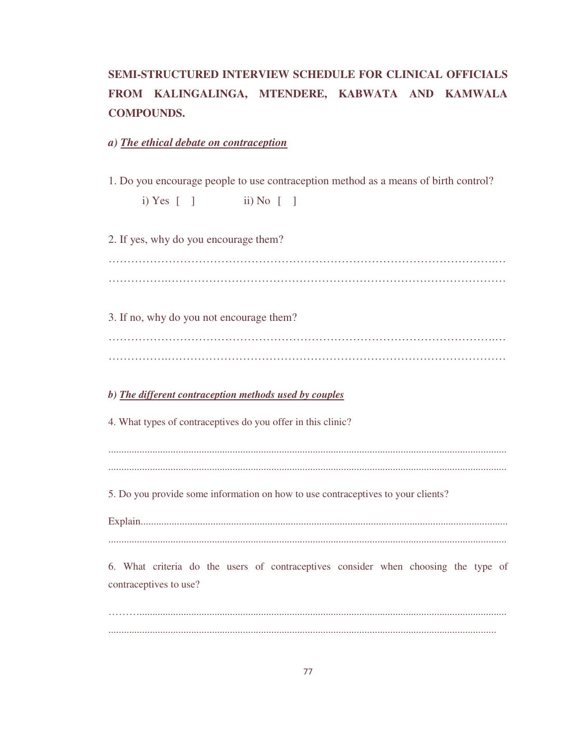# **SEMI-STRUCTURED INTERVIEW SCHEDULE FOR CLINICAL OFFICIALS FROM KALINGALINGA, MTENDERE, KABWATA AND KAMWALA COMPOUNDS.**

*a) The ethical debate on contraception*

1. Do you encourage people to use contraception method as a means of birth control?

i) Yes  $\begin{bmatrix} 1 & \text{ii} \end{bmatrix}$  No  $\begin{bmatrix} 1 & \text{1} \end{bmatrix}$ 

2. If yes, why do you encourage them? ………………………………………………………………………………………….… …………….……………………………………………………………………………… 3. If no, why do you not encourage them? ………………………………………………………………………………………….… …………….……………………………………………………………………………… *b) The different contraception methods used by couples* 4. What types of contraceptives do you offer in this clinic? .......................................................................................................................................................... 5. Do you provide some information on how to use contraceptives to your clients? Explain.............................................................................................................................................. .......................................................................................................................................................... 6. What criteria do the users of contraceptives consider when choosing the type of contraceptives to use?

……….............................................................................................................................................. ......................................................................................................................................................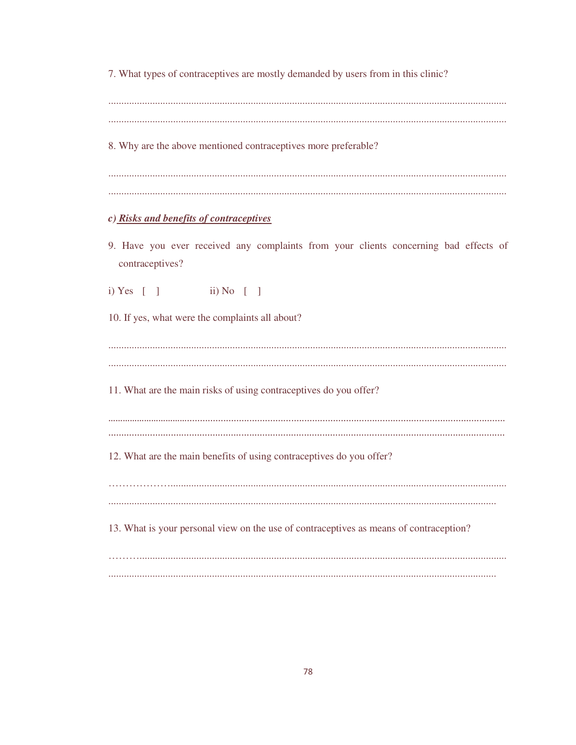7. What types of contraceptives are mostly demanded by users from in this clinic?

8. Why are the above mentioned contraceptives more preferable?

### c) Risks and benefits of contraceptives

9. Have you ever received any complaints from your clients concerning bad effects of contraceptives?

i) Yes  $\lceil \ \ \rceil$ ii) No  $\begin{bmatrix} 1 \end{bmatrix}$ 

10. If yes, what were the complaints all about?

11. What are the main risks of using contraceptives do you offer? 12. What are the main benefits of using contraceptives do you offer? 13. What is your personal view on the use of contraceptives as means of contraception?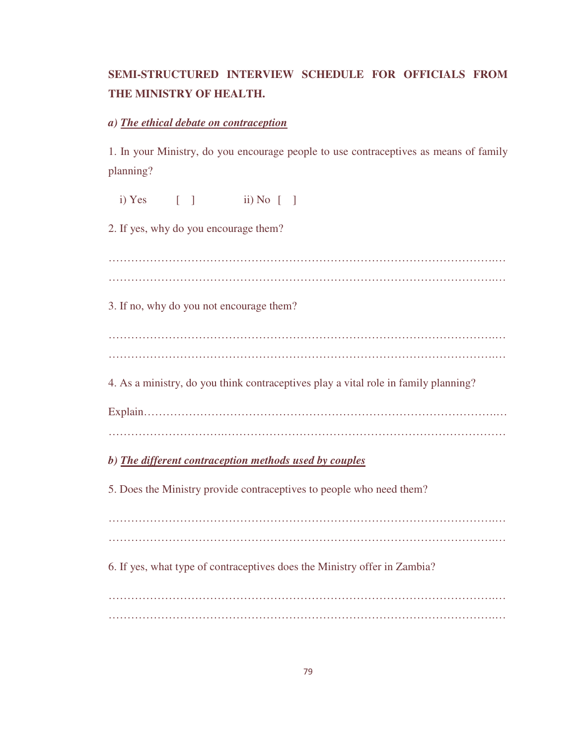## **SEMI-STRUCTURED INTERVIEW SCHEDULE FOR OFFICIALS FROM THE MINISTRY OF HEALTH.**

#### *a) The ethical debate on contraception*

1. In your Ministry, do you encourage people to use contraceptives as means of family planning?

i) Yes  $\begin{bmatrix} 1 & \text{ii} \end{bmatrix}$  No  $\begin{bmatrix} 1 & \text{1} \end{bmatrix}$ 2. If yes, why do you encourage them? ………………………………………………………………………………………….… ………………………………………………………………………………………….… 3. If no, why do you not encourage them? ………………………………………………………………………………………….… ………………………………………………………………………………………….… 4. As a ministry, do you think contraceptives play a vital role in family planning? Explain………………………………………………………………………………….… ………………………….………………………………………………………………… *b) The different contraception methods used by couples*  5. Does the Ministry provide contraceptives to people who need them? ………………………………………………………………………………………….… ………………………………………………………………………………………….… 6. If yes, what type of contraceptives does the Ministry offer in Zambia? ………………………………………………………………………………………….… ………………………………………………………………………………………….…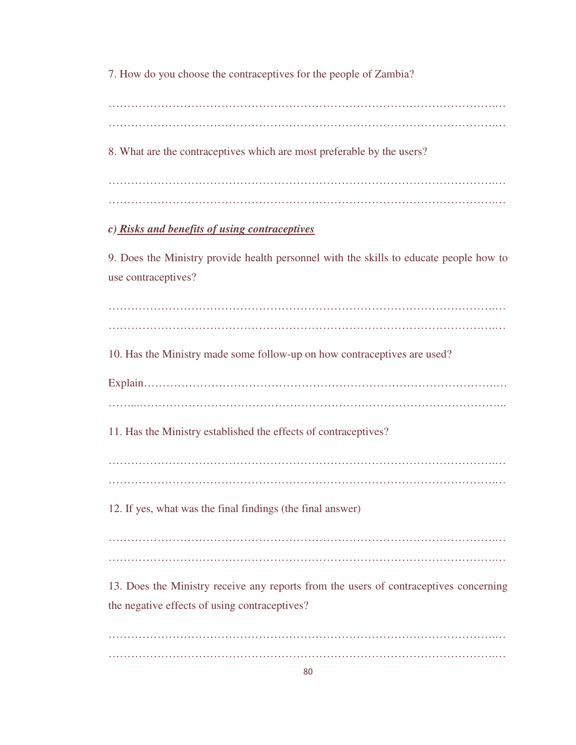7. How do you choose the contraceptives for the people of Zambia?

………………………………………………………………………………………….… ………………………………………………………………………………………….… 8. What are the contraceptives which are most preferable by the users? ………………………………………………………………………………………….… ………………………………………………………………………………………….… *c) Risks and benefits of using contraceptives* 9. Does the Ministry provide health personnel with the skills to educate people how to use contraceptives? ………………………………………………………………………………………….… ………………………………………………………………………………………….… 10. Has the Ministry made some follow-up on how contraceptives are used? Explain………………………………………………………………………………….… ……...…………………………………………………………………………………….. 11. Has the Ministry established the effects of contraceptives? ………………………………………………………………………………………….… ………………………………………………………………………………………….… 12. If yes, what was the final findings (the final answer) ………………………………………………………………………………………….… ………………………………………………………………………………………….… 13. Does the Ministry receive any reports from the users of contraceptives concerning the negative effects of using contraceptives? ………………………………………………………………………………………….… ………………………………………………………………………………………….…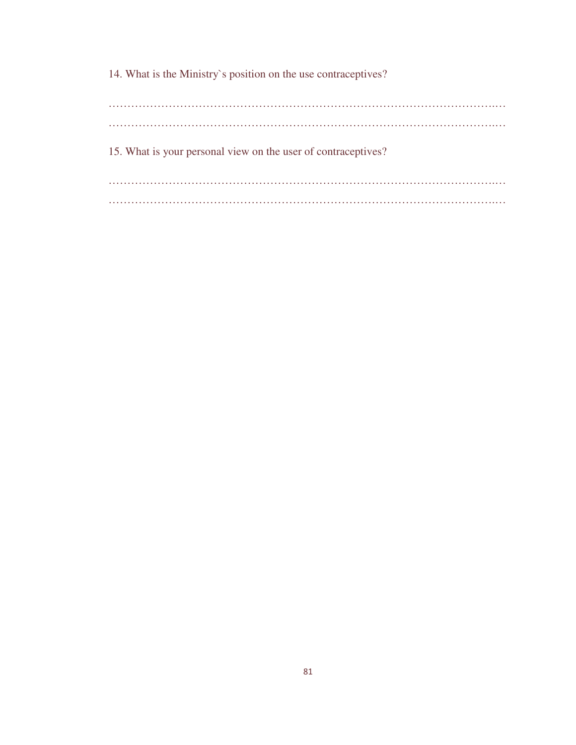14. What is the Ministry`s position on the use contraceptives?

………………………………………………………………………………………….… ………………………………………………………………………………………….… 15. What is your personal view on the user of contraceptives? ………………………………………………………………………………………….… ………………………………………………………………………………………….…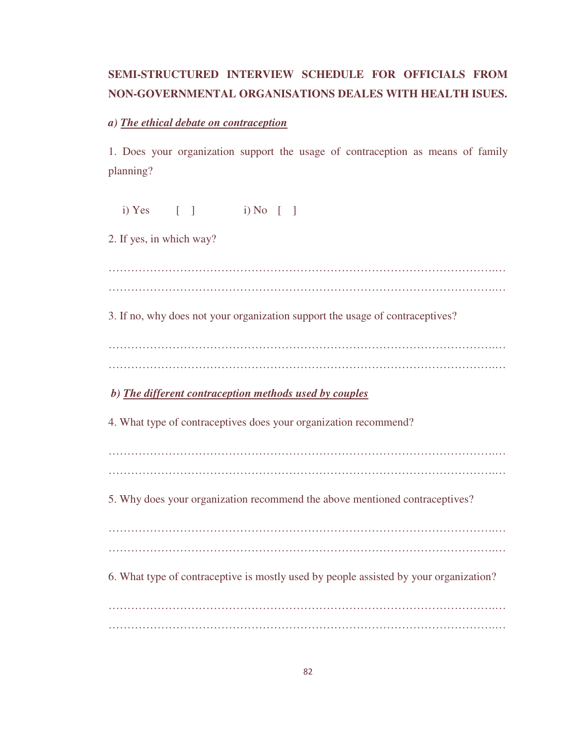### **SEMI-STRUCTURED INTERVIEW SCHEDULE FOR OFFICIALS FROM NON-GOVERNMENTAL ORGANISATIONS DEALES WITH HEALTH ISUES.**

#### *a) The ethical debate on contraception*

1. Does your organization support the usage of contraception as means of family planning?

 i) Yes [ ] i) No [ ] 2. If yes, in which way? ………………………………………………………………………………………….… ………………………………………………………………………………………….… 3. If no, why does not your organization support the usage of contraceptives? ………………………………………………………………………………………….… ………………………………………………………………………………………….…  *b) The different contraception methods used by couples*  4. What type of contraceptives does your organization recommend? ………………………………………………………………………………………….… ………………………………………………………………………………………….… 5. Why does your organization recommend the above mentioned contraceptives? ………………………………………………………………………………………….… ………………………………………………………………………………………….… 6. What type of contraceptive is mostly used by people assisted by your organization? ………………………………………………………………………………………….… ………………………………………………………………………………………….…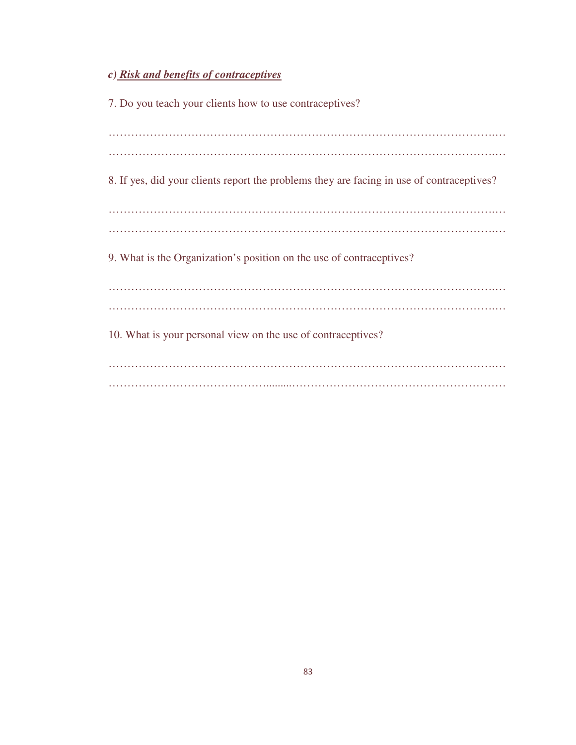# *c) Risk and benefits of contraceptives*

7. Do you teach your clients how to use contraceptives? ………………………………………………………………………………………….… ………………………………………………………………………………………….… 8. If yes, did your clients report the problems they are facing in use of contraceptives? ………………………………………………………………………………………….… ………………………………………………………………………………………….… 9. What is the Organization's position on the use of contraceptives? ………………………………………………………………………………………….… ………………………………………………………………………………………….… 10. What is your personal view on the use of contraceptives? ………………………………………………………………………………………….… …………………………………….........…………………………………………………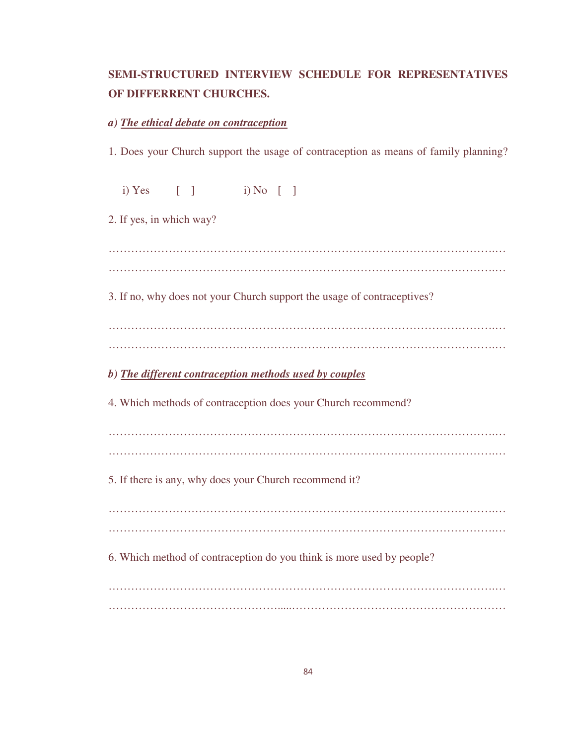## **SEMI-STRUCTURED INTERVIEW SCHEDULE FOR REPRESENTATIVES OF DIFFERRENT CHURCHES.**

#### *a) The ethical debate on contraception*

1. Does your Church support the usage of contraception as means of family planning?

 i) Yes [ ] i) No [ ] 2. If yes, in which way? ………………………………………………………………………………………….… ………………………………………………………………………………………….… 3. If no, why does not your Church support the usage of contraceptives? *b) The different contraception methods used by couples* 4. Which methods of contraception does your Church recommend? ………………………………………………………………………………………….… 5. If there is any, why does your Church recommend it? ………………………………………………………………………………………….… ………………………………………………………………………………………….… 6. Which method of contraception do you think is more used by people? ………………………………………………………………………………………….… ……………………………………….....…………………………………………………